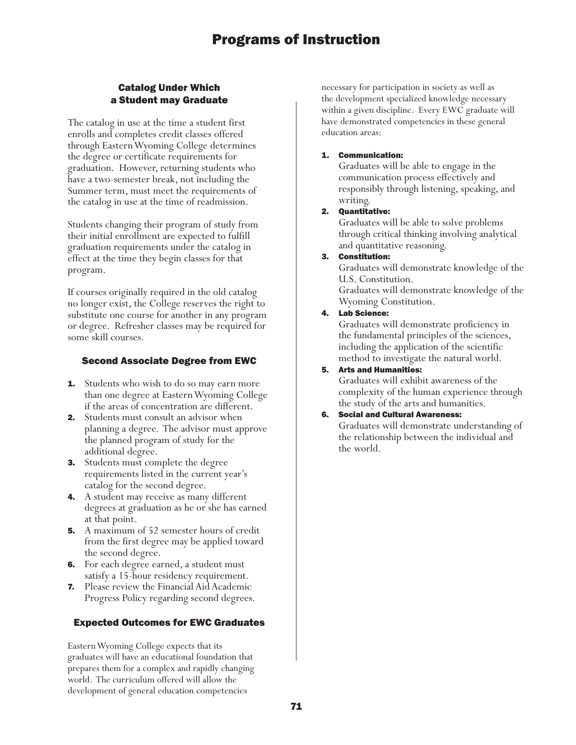## Catalog Under Which a Student may Graduate

The catalog in use at the time a student first enrolls and completes credit classes offered through Eastern Wyoming College determines the degree or certificate requirements for graduation. However, returning students who have a two-semester break, not including the Summer term, must meet the requirements of the catalog in use at the time of readmission.

Students changing their program of study from their initial enrollment are expected to fulfill graduation requirements under the catalog in effect at the time they begin classes for that program.

If courses originally required in the old catalog no longer exist, the College reserves the right to substitute one course for another in any program or degree. Refresher classes may be required for some skill courses.

## Second Associate Degree from EWC

- **1.** Students who wish to do so may earn more than one degree at Eastern Wyoming College if the areas of concentration are different.
- 2. Students must consult an advisor when planning a degree. The advisor must approve the planned program of study for the additional degree.
- **3.** Students must complete the degree requirements listed in the current year's catalog for the second degree.
- 4. A student may receive as many different degrees at graduation as he or she has earned at that point.
- **5.** A maximum of 52 semester hours of credit from the first degree may be applied toward the second degree.
- 6. For each degree earned, a student must satisfy a 15-hour residency requirement.
- 7. Please review the Financial Aid Academic Progress Policy regarding second degrees.

## Expected Outcomes for EWC Graduates

Eastern Wyoming College expects that its graduates will have an educational foundation that prepares them for a complex and rapidly changing world. The curriculum offered will allow the development of general education competencies

necessary for participation in society as well as the development specialized knowledge necessary within a given discipline. Every EWC graduate will have demonstrated competencies in these general education areas:

### 1. Communication:

Graduates will be able to engage in the communication process effectively and responsibly through listening, speaking, and writing.

### 2. Quantitative:

Graduates will be able to solve problems through critical thinking involving analytical and quantitative reasoning.

3. Constitution:

Graduates will demonstrate knowledge of the U.S. Constitution.

Graduates will demonstrate knowledge of the Wyoming Constitution.

## 4. Lab Science:

Graduates will demonstrate proficiency in the fundamental principles of the sciences, including the application of the scientific method to investigate the natural world.

## 5. Arts and Humanities:

Graduates will exhibit awareness of the complexity of the human experience through the study of the arts and humanities.

## 6. Social and Cultural Awareness:

Graduates will demonstrate understanding of the relationship between the individual and the world.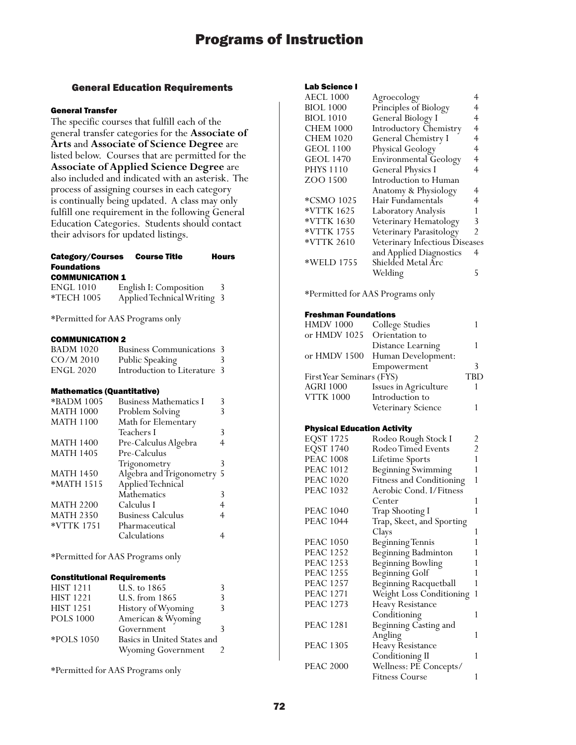## General Education Requirements

#### General Transfer

The specific courses that fulfill each of the general transfer categories for the **Associate of Arts** and **Associate of Science Degree** are listed below. Courses that are permitted for the **Associate of Applied Science Degree** are also included and indicated with an asterisk. The process of assigning courses in each category is continually being updated. A class may only fulfill one requirement in the following General Education Categories. Students should contact their advisors for updated listings.

## Category/Courses Course Title Hours Foundations

#### COMMUNICATION 1

| <b>ENGL 1010</b>  | English I: Composition      |  |
|-------------------|-----------------------------|--|
| <b>*TECH 1005</b> | Applied Technical Writing 3 |  |

\*Permitted for AAS Programs only

#### COMMUNICATION 2

| <b>BADM 1020</b> | <b>Business Communications 3</b> |   |
|------------------|----------------------------------|---|
| $CO/M$ 2010      | Public Speaking                  | 3 |
| <b>ENGL 2020</b> | Introduction to Literature 3     |   |

#### Mathematics (Quantitative)

| *BADM 1005       | <b>Business Mathematics I</b> |   |
|------------------|-------------------------------|---|
| <b>MATH 1000</b> | Problem Solving               |   |
| <b>MATH 1100</b> | Math for Elementary           |   |
|                  | Teachers I                    | 3 |
| <b>MATH 1400</b> | Pre-Calculus Algebra          |   |
| <b>MATH 1405</b> | Pre-Calculus                  |   |
|                  | Trigonometry                  | 3 |
| <b>MATH 1450</b> | Algebra and Trigonometry 5    |   |
| *MATH 1515       | Applied Technical             |   |
|                  | Mathematics                   | 3 |
| <b>MATH 2200</b> | Calculus I                    |   |
| <b>MATH 2350</b> | <b>Business Calculus</b>      | 4 |
| *VTTK 1751       | Pharmaceutical                |   |
|                  | Calculations                  |   |
|                  |                               |   |

\*Permitted for AAS Programs only

#### Constitutional Requirements

| <b>HIST 1211</b> | U.S. to 1865                | 3 |
|------------------|-----------------------------|---|
| <b>HIST 1221</b> | U.S. from 1865              | 3 |
| <b>HIST 1251</b> | History of Wyoming          | 3 |
| <b>POLS 1000</b> | American & Wyoming          |   |
|                  | Government                  | ς |
| *POLS 1050       | Basics in United States and |   |
|                  | <b>Wyoming Government</b>   |   |
|                  |                             |   |

\*Permitted for AAS Programs only

#### Lab Science I

| <b>AECL 1000</b> | Agroecology                    |                |
|------------------|--------------------------------|----------------|
| <b>BIOL 1000</b> | Principles of Biology          | 4              |
| <b>BIOL 1010</b> | General Biology I              | 4              |
| <b>CHEM 1000</b> | <b>Introductory Chemistry</b>  | $\overline{4}$ |
| <b>CHEM 1020</b> | General Chemistry I            | 4              |
| <b>GEOL 1100</b> | Physical Geology               | 4              |
| <b>GEOL 1470</b> | <b>Environmental Geology</b>   | 4              |
| <b>PHYS 1110</b> | <b>General Physics I</b>       | 4              |
| ZOO 1500         | Introduction to Human          |                |
|                  | Anatomy & Physiology           | 4              |
| *CSMO 1025       | Hair Fundamentals              | 4              |
| *VTTK 1625       | Laboratory Analysis            |                |
| *VTTK 1630       | Veterinary Hematology          | 3              |
| *VTTK 1755       | Veterinary Parasitology        | 2              |
| *VTTK 2610       | Veterinary Infectious Diseases |                |
|                  | and Applied Diagnostics        | 4              |
| *WELD 1755       | Shielded Metal Arc             |                |
|                  | Welding                        | 5              |
|                  |                                |                |

\*Permitted for AAS Programs only

#### Freshman Foundations

| <b>HMDV 1000</b>          | College Studies                 |            |
|---------------------------|---------------------------------|------------|
| or HMDV 1025              | Orientation to                  |            |
|                           | Distance Learning               |            |
|                           | or HMDV 1500 Human Development: |            |
|                           | Empowerment                     | 3          |
| First Year Seminars (FYS) |                                 | <b>TBD</b> |
| <b>AGRI 1000</b>          | Issues in Agriculture           |            |
| <b>VTTK 1000</b>          | Introduction to                 |            |
|                           | Veterinary Science              |            |

#### Physical Education Activity

|                           | 2                                                                                                                                                            |
|---------------------------|--------------------------------------------------------------------------------------------------------------------------------------------------------------|
| Rodeo Timed Events        | $\overline{c}$                                                                                                                                               |
|                           | 1                                                                                                                                                            |
|                           | 1                                                                                                                                                            |
| Fitness and Conditioning  | 1                                                                                                                                                            |
| Aerobic Cond. I/Fitness   |                                                                                                                                                              |
| Center                    | 1                                                                                                                                                            |
| Trap Shooting I           | 1                                                                                                                                                            |
| Trap, Skeet, and Sporting |                                                                                                                                                              |
| Clays                     | 1                                                                                                                                                            |
| <b>Beginning Tennis</b>   | 1                                                                                                                                                            |
|                           | 1                                                                                                                                                            |
|                           |                                                                                                                                                              |
|                           | 1                                                                                                                                                            |
| Beginning Racquetball     | 1                                                                                                                                                            |
| Weight Loss Conditioning  | 1                                                                                                                                                            |
| Heavy Resistance          |                                                                                                                                                              |
| Conditioning              | 1                                                                                                                                                            |
| Beginning Casting and     |                                                                                                                                                              |
| Angling                   | 1                                                                                                                                                            |
|                           |                                                                                                                                                              |
| Conditioning II           | 1                                                                                                                                                            |
| Wellness: PE Concepts/    |                                                                                                                                                              |
| <b>Fitness Course</b>     | 1                                                                                                                                                            |
|                           | Rodeo Rough Stock I<br>Lifetime Sports<br><b>Beginning Swimming</b><br>Beginning Badminton<br><b>Beginning Bowling</b><br>Beginning Golf<br>Heavy Resistance |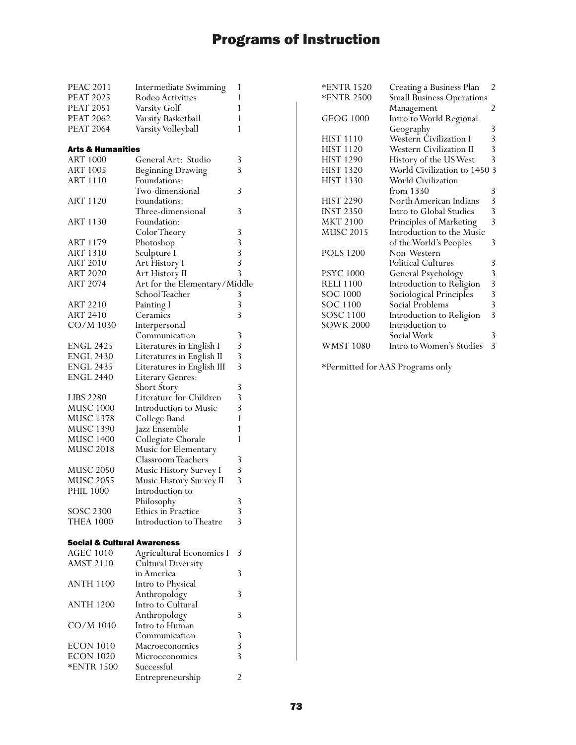| <b>PEAC 2011</b>            | <b>Intermediate Swimming</b>  | 1 |
|-----------------------------|-------------------------------|---|
| <b>PEAT 2025</b>            | Rodeo Activities              | 1 |
| <b>PEAT 2051</b>            | Varsity Golf                  | 1 |
| <b>PEAT 2062</b>            | Varsity Basketball            | 1 |
| <b>PEAT 2064</b>            | Varsity Volleyball            | 1 |
|                             |                               |   |
| Arts & Humanities           |                               |   |
| <b>ART 1000</b>             | General Art: Studio           | 3 |
| <b>ART 1005</b>             | <b>Beginning Drawing</b>      | 3 |
| <b>ART 1110</b>             | Foundations:                  |   |
|                             | Two-dimensional               | 3 |
| ART 1120                    | Foundations:                  |   |
|                             | Three-dimensional             | 3 |
| <b>ART 1130</b>             | Foundation:                   |   |
|                             | Color Theory                  | 3 |
| ART 1179                    | Photoshop                     | 3 |
| <b>ART 1310</b>             | Sculpture I                   | 3 |
| <b>ART 2010</b>             | Art History I                 | 3 |
| <b>ART 2020</b>             | Art History II                | 3 |
| <b>ART 2074</b>             | Art for the Elementary/Middle |   |
|                             | School Teacher                | 3 |
| ART 2210                    | Painting I                    | 3 |
| <b>ART 2410</b>             | Ceramics                      | 3 |
| CO/M 1030                   | Interpersonal                 |   |
|                             | Communication                 | 3 |
| ENGL 2425                   | Literatures in English I      | 3 |
| <b>ENGL 2430</b>            | Literatures in English II     | 3 |
| ENGL 2435                   | Literatures in English III    | 3 |
| <b>ENGL 2440</b>            | Literary Genres:              |   |
|                             | Short Story                   | 3 |
| <b>LIBS 2280</b>            | Literature for Children       | 3 |
| <b>MUSC 1000</b>            | Introduction to Music         | 3 |
| <b>MUSC 1378</b>            | College Band                  | 1 |
| MUSC 1390<br>MUSC 1400      | Jazz Ensemble                 | 1 |
|                             | Collegiate Chorale            | 1 |
| <b>MUSC 2018</b>            | Music for Elementary          |   |
|                             | Classroom Teachers            | 3 |
| <b>MUSC 2050</b>            | Music History Survey I        | 3 |
| <b>MUSC 2055</b>            | Music History Survey II       | 3 |
| <b>PHIL 1000</b>            | Introduction to               |   |
|                             | Philosophy                    | 3 |
| <b>SOSC 2300</b>            | Ethics in Practice            | 3 |
| <b>THEA 1000</b>            | Introduction to Theatre       | 3 |
|                             |                               |   |
| Social & Cultural Awareness |                               |   |
| <b>AGEC 1010</b>            | Agricultural Economics I      | 3 |
| <b>AMST 2110</b>            | <b>Cultural Diversity</b>     |   |
|                             | in America                    | 3 |
| <b>ANTH 1100</b>            | Intro to Physical             |   |
|                             | Anthropology                  | 3 |
| <b>ANTH 1200</b>            | Intro to Cultural             |   |
|                             | Anthropology                  | 3 |
| CO/M 1040                   | Intro to Human                |   |
|                             | Communication                 | 3 |
| ECON 1010                   | Macroeconomics                | 3 |
| ECON 1020                   | Microeconomics                | 3 |
| *ENTR 1500                  | Successful                    |   |
|                             | Entrepreneurship              | 2 |

| <b>*ENTR 1520</b> | Creating a Business Plan         | $\overline{2}$                             |
|-------------------|----------------------------------|--------------------------------------------|
| <b>*ENTR 2500</b> | <b>Small Business Operations</b> |                                            |
|                   | Management                       | 2                                          |
| <b>GEOG 1000</b>  | Intro to World Regional          |                                            |
|                   | Geography                        | 3                                          |
| <b>HIST 1110</b>  | <b>Western Civilization I</b>    | $\overline{3}$                             |
| <b>HIST 1120</b>  | Western Civilization II          | 3                                          |
| <b>HIST 1290</b>  | History of the US West           | 3                                          |
| <b>HIST 1320</b>  | World Civilization to 1450       | 3                                          |
| <b>HIST 1330</b>  | World Civilization               |                                            |
|                   | from 1330                        | 3                                          |
| <b>HIST 2290</b>  | North American Indians           |                                            |
| <b>INST 2350</b>  | Intro to Global Studies          | $\begin{array}{c} 3 \\ 3 \\ 3 \end{array}$ |
| <b>MKT 2100</b>   | Principles of Marketing          |                                            |
| <b>MUSC 2015</b>  | Introduction to the Music        |                                            |
|                   | of the World's Peoples           | 3                                          |
| <b>POLS 1200</b>  | Non-Western                      |                                            |
|                   | <b>Political Cultures</b>        | 3                                          |
| <b>PSYC 1000</b>  | General Psychology               |                                            |
| <b>RELI 1100</b>  | Introduction to Religion         | $\frac{3}{3}$                              |
| <b>SOC 1000</b>   | Sociological Principles          | $\frac{3}{3}$                              |
| SOC 1100          | Social Problems                  |                                            |
| <b>SOSC 1100</b>  | Introduction to Religion         | $\overline{3}$                             |
| <b>SOWK 2000</b>  | Introduction to                  |                                            |
|                   | Social Work                      | 3                                          |
| <b>WMST 1080</b>  | Intro to Women's Studies         | 3                                          |
|                   |                                  |                                            |

\*Permitted for AAS Programs only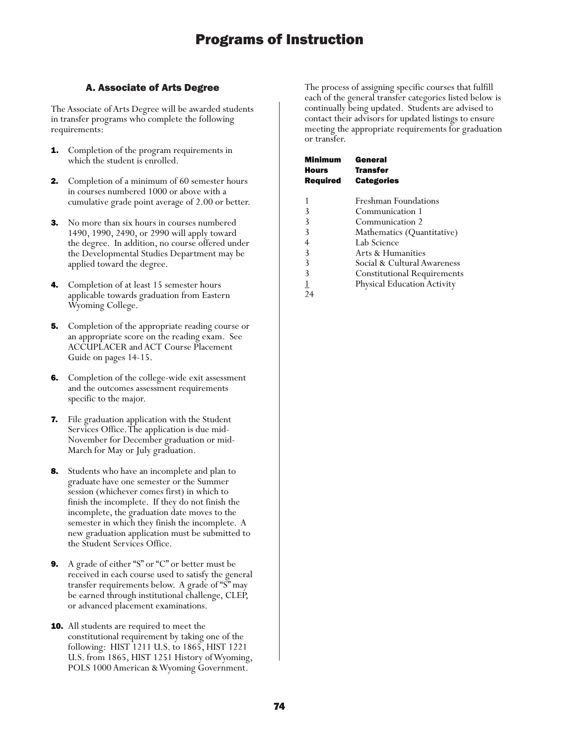## A. Associate of Arts Degree

The Associate of Arts Degree will be awarded students in transfer programs who complete the following requirements:

- **1.** Completion of the program requirements in which the student is enrolled.
- **2.** Completion of a minimum of 60 semester hours in courses numbered 1000 or above with a cumulative grade point average of 2.00 or better.
- **3.** No more than six hours in courses numbered 1490, 1990, 2490, or 2990 will apply toward the degree. In addition, no course offered under the Developmental Studies Department may be applied toward the degree.
- Completion of at least 15 semester hours applicable towards graduation from Eastern Wyoming College.
- **5.** Completion of the appropriate reading course or an appropriate score on the reading exam. See ACCUPLACER and ACT Course Placement Guide on pages 14-15.
- **6.** Completion of the college-wide exit assessment and the outcomes assessment requirements specific to the major.
- 7. File graduation application with the Student Services Office. The application is due mid-November for December graduation or mid-March for May or July graduation.
- **8.** Students who have an incomplete and plan to graduate have one semester or the Summer session (whichever comes first) in which to finish the incomplete. If they do not finish the incomplete, the graduation date moves to the semester in which they finish the incomplete. A new graduation application must be submitted to the Student Services Office.
- 9. A grade of either "S" or "C" or better must be received in each course used to satisfy the general transfer requirements below. A grade of "S" may be earned through institutional challenge, CLEP, or advanced placement examinations.
- **10.** All students are required to meet the constitutional requirement by taking one of the following: HIST 1211 U.S. to 1865, HIST 1221 U.S. from 1865, HIST 1251 History of Wyoming, POLS 1000 American & Wyoming Government.

The process of assigning specific courses that fulfill each of the general transfer categories listed below is continually being updated. Students are advised to contact their advisors for updated listings to ensure meeting the appropriate requirements for graduation or transfer.

| Minimum         | General                            |
|-----------------|------------------------------------|
| Hours           | <b>Transfer</b>                    |
| <b>Required</b> | <b>Categories</b>                  |
|                 |                                    |
|                 | Freshman Foundations               |
| 3               | Communication 1                    |
| 3               | Communication 2                    |
| 3               | Mathematics (Quantitative)         |
| 4               | Lab Science                        |
| 3               | Arts & Humanities                  |
| 3               | Social & Cultural Awareness        |
| 3               | <b>Constitutional Requirements</b> |
|                 | <b>Physical Education Activity</b> |
| 24              |                                    |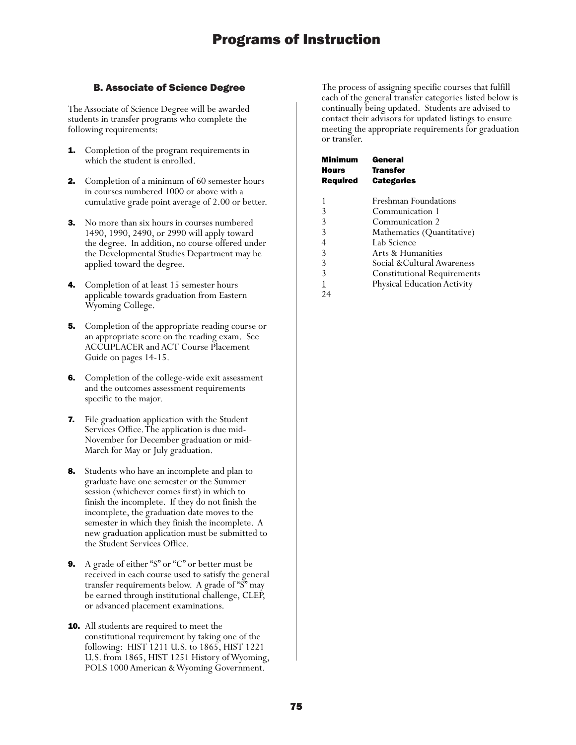## B. Associate of Science Degree

The Associate of Science Degree will be awarded students in transfer programs who complete the following requirements:

- **1.** Completion of the program requirements in which the student is enrolled.
- **2.** Completion of a minimum of 60 semester hours in courses numbered 1000 or above with a cumulative grade point average of 2.00 or better.
- **3.** No more than six hours in courses numbered 1490, 1990, 2490, or 2990 will apply toward the degree. In addition, no course offered under the Developmental Studies Department may be applied toward the degree.
- 4. Completion of at least 15 semester hours applicable towards graduation from Eastern Wyoming College.
- **5.** Completion of the appropriate reading course or an appropriate score on the reading exam. See ACCUPLACER and ACT Course Placement Guide on pages 14-15.
- **6.** Completion of the college-wide exit assessment and the outcomes assessment requirements specific to the major.
- 7. File graduation application with the Student Services Office. The application is due mid-November for December graduation or mid-March for May or July graduation.
- **8.** Students who have an incomplete and plan to graduate have one semester or the Summer session (whichever comes first) in which to finish the incomplete. If they do not finish the incomplete, the graduation date moves to the semester in which they finish the incomplete. A new graduation application must be submitted to the Student Services Office.
- 9. A grade of either "S" or "C" or better must be received in each course used to satisfy the general transfer requirements below. A grade of "S" may be earned through institutional challenge, CLEP, or advanced placement examinations.
- **10.** All students are required to meet the constitutional requirement by taking one of the following: HIST 1211 U.S. to 1865, HIST 1221 U.S. from 1865, HIST 1251 History of Wyoming, POLS 1000 American & Wyoming Government.

The process of assigning specific courses that fulfill each of the general transfer categories listed below is continually being updated. Students are advised to contact their advisors for updated listings to ensure meeting the appropriate requirements for graduation or transfer.

| Minimum<br>Hours<br><b>Required</b> | General<br><b>Transfer</b><br><b>Categories</b> |
|-------------------------------------|-------------------------------------------------|
| 1                                   | Freshman Foundations                            |
| 3                                   | Communication 1                                 |
| 3                                   | Communication 2                                 |
| 3                                   | Mathematics (Quantitative)                      |
| 4                                   | Lab Science                                     |
| 3                                   | Arts & Humanities                               |
| 3                                   | Social &Cultural Awareness                      |
| 3                                   | <b>Constitutional Requirements</b>              |
|                                     | <b>Physical Education Activity</b>              |
|                                     |                                                 |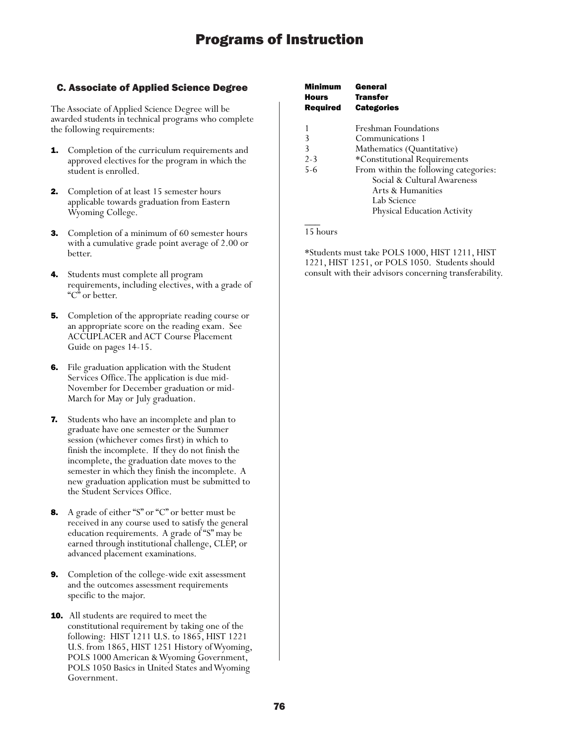## C. Associate of Applied Science Degree

The Associate of Applied Science Degree will be awarded students in technical programs who complete the following requirements:

- **1.** Completion of the curriculum requirements and approved electives for the program in which the student is enrolled.
- 2. Completion of at least 15 semester hours applicable towards graduation from Eastern Wyoming College.
- 3. Completion of a minimum of 60 semester hours with a cumulative grade point average of 2.00 or better.
- 4. Students must complete all program requirements, including electives, with a grade of "C" or better.
- **5.** Completion of the appropriate reading course or an appropriate score on the reading exam. See ACCUPLACER and ACT Course Placement Guide on pages 14-15.
- 6. File graduation application with the Student Services Office. The application is due mid-November for December graduation or mid-March for May or July graduation.
- 7. Students who have an incomplete and plan to graduate have one semester or the Summer session (whichever comes first) in which to finish the incomplete. If they do not finish the incomplete, the graduation date moves to the semester in which they finish the incomplete. A new graduation application must be submitted to the Student Services Office.
- 8. A grade of either "S" or "C" or better must be received in any course used to satisfy the general education requirements. A grade of "S" may be earned through institutional challenge, CLEP, or advanced placement examinations.
- 9. Completion of the college-wide exit assessment and the outcomes assessment requirements specific to the major.
- **10.** All students are required to meet the constitutional requirement by taking one of the following: HIST 1211 U.S. to 1865, HIST 1221 U.S. from 1865, HIST 1251 History of Wyoming, POLS 1000 American & Wyoming Government, POLS 1050 Basics in United States and Wyoming Government.

| Minimum<br>Hours<br><b>Required</b> | General<br><b>Transfer</b><br><b>Categories</b> |
|-------------------------------------|-------------------------------------------------|
|                                     | Freshman Foundations                            |
| 3                                   | Communications 1                                |
| 3                                   | Mathematics (Quantitative)                      |
| $2 - 3$                             | *Constitutional Requirements                    |
| $5 - 6$                             | From within the following categories:           |
|                                     | Social & Cultural Awareness                     |
|                                     | Arts & Humanities                               |
|                                     | Lab Science                                     |
|                                     | <b>Physical Education Activity</b>              |
|                                     |                                                 |

## 15 hours

\*Students must take POLS 1000, HIST 1211, HIST 1221, HIST 1251, or POLS 1050. Students should consult with their advisors concerning transferability.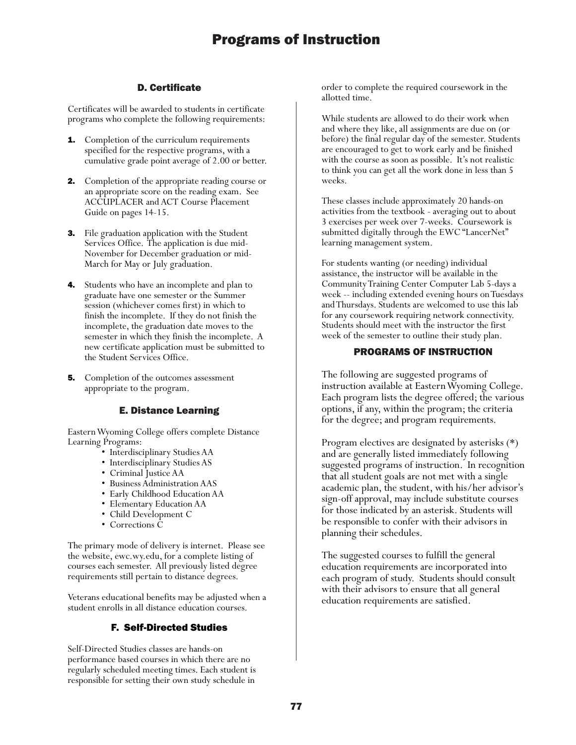## D. Certificate

Certificates will be awarded to students in certificate programs who complete the following requirements:

- **1.** Completion of the curriculum requirements specified for the respective programs, with a cumulative grade point average of 2.00 or better.
- 2. Completion of the appropriate reading course or an appropriate score on the reading exam. See ACCUPLACER and ACT Course Placement Guide on pages 14-15.
- 3. File graduation application with the Student Services Office. The application is due mid-November for December graduation or mid-March for May or July graduation.
- **4.** Students who have an incomplete and plan to graduate have one semester or the Summer session (whichever comes first) in which to finish the incomplete. If they do not finish the incomplete, the graduation date moves to the semester in which they finish the incomplete. A new certificate application must be submitted to the Student Services Office.
- **5.** Completion of the outcomes assessment appropriate to the program.

## E. Distance Learning

Eastern Wyoming College offers complete Distance Learning Programs:

- Interdisciplinary Studies AA
- Interdisciplinary Studies AS
- Criminal Justice AA
- Business Administration AAS
- Early Childhood Education AA
- Elementary Education AA
- Child Development C
- Corrections C

The primary mode of delivery is internet. Please see the website, ewc.wy.edu, for a complete listing of courses each semester. All previously listed degree requirements still pertain to distance degrees.

Veterans educational benefits may be adjusted when a student enrolls in all distance education courses.

## F. Self-Directed Studies

Self-Directed Studies classes are hands-on performance based courses in which there are no regularly scheduled meeting times. Each student is responsible for setting their own study schedule in

order to complete the required coursework in the allotted time.

While students are allowed to do their work when and where they like, all assignments are due on (or before) the final regular day of the semester. Students are encouraged to get to work early and be finished with the course as soon as possible. It's not realistic to think you can get all the work done in less than 5 weeks.

These classes include approximately 20 hands-on activities from the textbook - averaging out to about 3 exercises per week over 7-weeks. Coursework is submitted digitally through the EWC "LancerNet" learning management system.

For students wanting (or needing) individual assistance, the instructor will be available in the Community Training Center Computer Lab 5-days a week -- including extended evening hours on Tuesdays and Thursdays. Students are welcomed to use this lab for any coursework requiring network connectivity. Students should meet with the instructor the first week of the semester to outline their study plan.

## PROGRAMS OF INSTRUCTION

The following are suggested programs of instruction available at Eastern Wyoming College. Each program lists the degree offered; the various options, if any, within the program; the criteria for the degree; and program requirements.

Program electives are designated by asterisks (\*) and are generally listed immediately following suggested programs of instruction. In recognition that all student goals are not met with a single academic plan, the student, with his/her advisor's sign-off approval, may include substitute courses for those indicated by an asterisk. Students will be responsible to confer with their advisors in planning their schedules.

The suggested courses to fulfill the general education requirements are incorporated into each program of study. Students should consult with their advisors to ensure that all general education requirements are satisfied.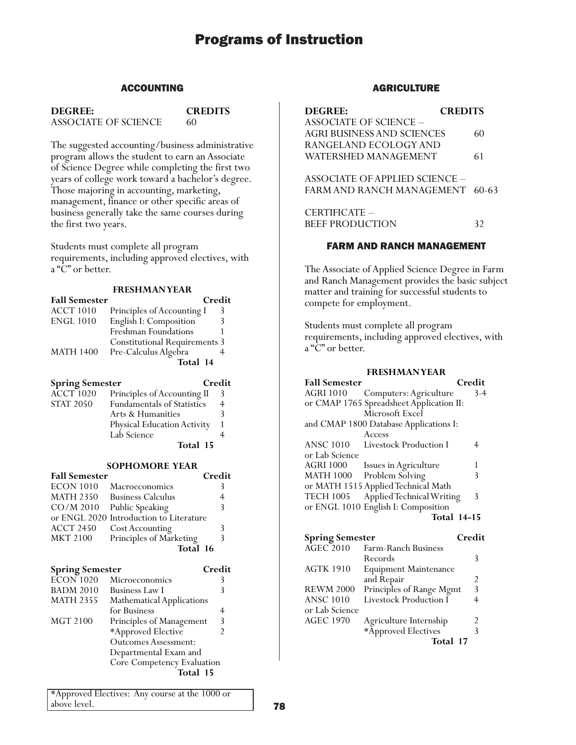## ACCOUNTING

**DEGREE: CREDITS**

ASSOCIATE OF SCIENCE 60

The suggested accounting/business administrative program allows the student to earn an Associate of Science Degree while completing the first two years of college work toward a bachelor's degree. Those majoring in accounting, marketing, management, finance or other specific areas of business generally take the same courses during the first two years.

Students must complete all program requirements, including approved electives, with a "C" or better.

#### **FRESHMAN YEAR**

| <b>Fall Semester</b> |                                      | Credit |
|----------------------|--------------------------------------|--------|
| <b>ACCT 1010</b>     | Principles of Accounting I           | 3      |
| <b>ENGL 1010</b>     | English I: Composition               | 3      |
|                      | Freshman Foundations                 |        |
|                      | <b>Constitutional Requirements 3</b> |        |
| <b>MATH 1400</b>     | Pre-Calculus Algebra                 |        |
|                      | Total 14                             |        |

| <b>Spring Semester</b> |                                    | Credit |
|------------------------|------------------------------------|--------|
| <b>ACCT 1020</b>       | Principles of Accounting II        | 3      |
| <b>STAT 2050</b>       | Fundamentals of Statistics         | 4      |
|                        | Arts & Humanities                  |        |
|                        | <b>Physical Education Activity</b> |        |
|                        | Lab Science                        |        |
|                        | Total 15                           |        |

#### **SOPHOMORE YEAR**

| <b>Fall Semester</b> |                                         | Credit |
|----------------------|-----------------------------------------|--------|
| <b>ECON 1010</b>     | Macroeconomics                          |        |
| <b>MATH 2350</b>     | <b>Business Calculus</b>                |        |
| $CO/M$ 2010          | Public Speaking                         | 3      |
|                      | or ENGL 2020 Introduction to Literature |        |
| <b>ACCT 2450</b>     | Cost Accounting                         |        |
| <b>MKT 2100</b>      | Principles of Marketing                 | 3      |
|                      | Total 16                                |        |

| <b>Spring Semester</b> |                             | Credit |
|------------------------|-----------------------------|--------|
| <b>ECON 1020</b>       | Microeconomics              |        |
| <b>BADM 2010</b>       | <b>Business Law I</b>       |        |
| <b>MATH 2355</b>       | Mathematical Applications   |        |
|                        | for Business                |        |
| MGT 2100               | Principles of Management    | 3      |
|                        | *Approved Elective          |        |
|                        | <b>Outcomes Assessment:</b> |        |
|                        | Departmental Exam and       |        |
|                        | Core Competency Evaluation  |        |
|                        | Total 15                    |        |
|                        |                             |        |

\*Approved Electives: Any course at the 1000 or above level.

## AGRICULTURE

| <b>CREDITS</b><br><b>DEGREE:</b>  |    |
|-----------------------------------|----|
| ASSOCIATE OF SCIENCE –            |    |
| <b>AGRI BUSINESS AND SCIENCES</b> | 60 |
| RANGELAND ECOLOGY AND             |    |
| WATERSHED MANAGEMENT              | 61 |
|                                   |    |
| ASSOCIATE OF APPLIED SCIENCE –    |    |
| FARM AND RANCH MANAGEMENT 60-63   |    |
|                                   |    |
| CERTIFICATE -                     |    |
| BEEF PRODUCTION                   | 32 |
|                                   |    |

### FARM AND RANCH MANAGEMENT

The Associate of Applied Science Degree in Farm and Ranch Management provides the basic subject matter and training for successful students to compete for employment.

Students must complete all program requirements, including approved electives, with a "C" or better.

#### **FRESHMAN YEAR**

| <b>Fall Semester</b> |                                          | Credit             |  |
|----------------------|------------------------------------------|--------------------|--|
| AGRI 1010            | Computers: Agriculture                   | $3-4$              |  |
|                      | or CMAP 1765 Spreadsheet Application II: |                    |  |
|                      | Microsoft Excel                          |                    |  |
|                      | and CMAP 1800 Database Applications I:   |                    |  |
|                      | Access                                   |                    |  |
| <b>ANSC 1010</b>     | Livestock Production I                   |                    |  |
| or Lab Science       |                                          |                    |  |
| <b>AGRI 1000</b>     | Issues in Agriculture                    |                    |  |
| <b>MATH 1000</b>     | Problem Solving                          | 3                  |  |
|                      | or MATH 1515 Applied Technical Math      |                    |  |
| <b>TECH 1005</b>     | Applied Technical Writing                | 3                  |  |
|                      | or ENGL 1010 English I: Composition      |                    |  |
|                      |                                          | <b>Total 14-15</b> |  |
|                      |                                          |                    |  |

| <b>Spring Semester</b> |                              | Credit         |
|------------------------|------------------------------|----------------|
| $AGEC$ 2010            | Farm-Ranch Business          |                |
|                        | Records                      |                |
| <b>AGTK 1910</b>       | <b>Equipment Maintenance</b> |                |
|                        | and Repair                   | $\mathfrak{D}$ |
| <b>REWM 2000</b>       | Principles of Range Mgmt     | 3              |
| <b>ANSC 1010</b>       | Livestock Production I       |                |
| or Lab Science         |                              |                |
| <b>AGEC 1970</b>       | Agriculture Internship       |                |
|                        | *Approved Electives          | 3              |
|                        | Total 17                     |                |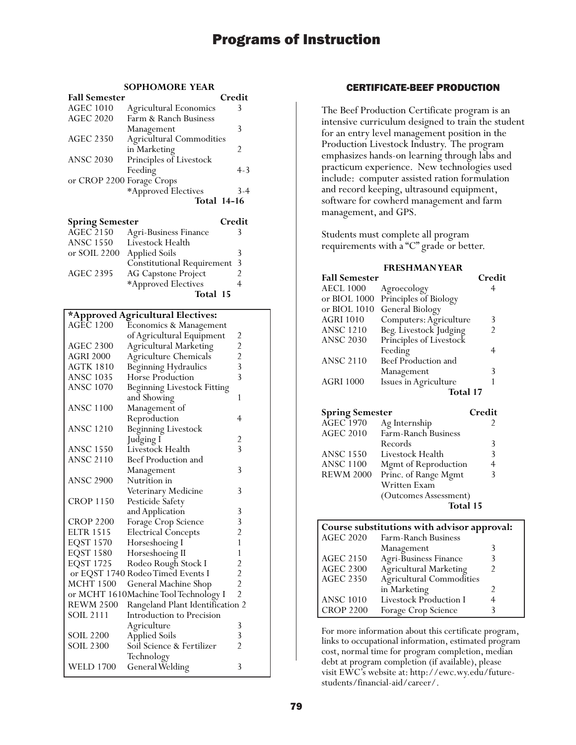### **SOPHOMORE YEAR**

| <b>Fall Semester</b>      |                                 | Credit             |
|---------------------------|---------------------------------|--------------------|
| <b>AGEC 1010</b>          | <b>Agricultural Economics</b>   | 3                  |
| <b>AGEC 2020</b>          | Farm & Ranch Business           |                    |
|                           | Management                      | 3                  |
| <b>AGEC 2350</b>          | <b>Agricultural Commodities</b> |                    |
|                           | in Marketing                    | 2                  |
| <b>ANSC 2030</b>          | Principles of Livestock         |                    |
|                           | Feeding                         | $4-3$              |
| or CROP 2200 Forage Crops |                                 |                    |
|                           | *Approved Electives             | $3 - 4$            |
|                           |                                 | <b>Total 14-16</b> |
|                           |                                 |                    |

| <b>Spring Semester</b> |                                     | Credit |
|------------------------|-------------------------------------|--------|
| <b>AGEC 2150</b>       | <b>Agri-Business Finance</b>        | 3      |
| <b>ANSC 1550</b>       | Livestock Health                    |        |
| or SOIL 2200           | <b>Applied Soils</b>                |        |
|                        | <b>Constitutional Requirement 3</b> |        |
| <b>AGEC 2395</b>       | AG Capstone Project                 |        |
|                        | *Approved Electives                 |        |
|                        | Total 15                            |        |

## **\*Approved Agricultural Electives:**

| <b>AGEC 1200</b> | Economics & Management                |                                                   |
|------------------|---------------------------------------|---------------------------------------------------|
|                  | of Agricultural Equipment             | $\overline{\mathbf{c}}$                           |
| <b>AGEC 2300</b> | Agricultural Marketing                |                                                   |
| <b>AGRI 2000</b> | Agriculture Chemicals                 |                                                   |
| <b>AGTK 1810</b> | Beginning Hydraulics                  | $\begin{array}{c}\n2 \\ 2 \\ 3 \\ 3\n\end{array}$ |
| <b>ANSC 1035</b> | Horse Production                      |                                                   |
| <b>ANSC 1070</b> | Beginning Livestock Fitting           |                                                   |
|                  | and Showing                           | 1                                                 |
| <b>ANSC 1100</b> | Management of                         |                                                   |
|                  | Reproduction                          | 4                                                 |
| <b>ANSC 1210</b> | <b>Beginning Livestock</b>            |                                                   |
|                  | Judging I                             | $\overline{\mathbf{c}}$                           |
| <b>ANSC 1550</b> | Livestock Health                      | $\overline{3}$                                    |
| <b>ANSC 2110</b> | Beef Production and                   |                                                   |
|                  | Management                            | 3                                                 |
| <b>ANSC 2900</b> | Nutrition in                          |                                                   |
|                  | Veterinary Medicine                   | 3                                                 |
| <b>CROP 1150</b> | Pesticide Safety                      |                                                   |
|                  | and Application                       |                                                   |
| <b>CROP 2200</b> | Forage Crop Science                   |                                                   |
| <b>ELTR 1515</b> | <b>Electrical Concepts</b>            | 3<br>3<br>2<br>1                                  |
| <b>EQST 1570</b> | Horseshoeing I                        |                                                   |
| <b>EQST 1580</b> | Horseshoeing II                       | $\mathbf{1}$                                      |
| <b>EQST 1725</b> | Rodeo Rough Stock I                   |                                                   |
|                  | or EQST 1740 Rodeo Timed Events I     |                                                   |
| <b>MCHT 1500</b> | General Machine Shop                  | $\begin{array}{c} 2 \\ 2 \\ 2 \end{array}$        |
|                  | or MCHT 1610Machine Tool Technology I |                                                   |
| <b>REWM 2500</b> | Rangeland Plant Identification 2      |                                                   |
| SOIL 2111        | Introduction to Precision             |                                                   |
|                  | Agriculture                           | 3                                                 |
| SOIL 2200        | <b>Applied Soils</b>                  | 3                                                 |
| <b>SOIL 2300</b> | Soil Science & Fertilizer             | $\overline{2}$                                    |
|                  | Technology                            |                                                   |
| <b>WELD 1700</b> | General Welding                       | 3                                                 |

## CERTIFICATE-BEEF PRODUCTION

The Beef Production Certificate program is an intensive curriculum designed to train the student for an entry level management position in the Production Livestock Industry. The program emphasizes hands-on learning through labs and practicum experience. New technologies used include: computer assisted ration formulation and record keeping, ultrasound equipment, software for cowherd management and farm management, and GPS.

Students must complete all program requirements with a "C" grade or better.

### **FRESHMAN YEAR**

|                         | Credit                                                                     |
|-------------------------|----------------------------------------------------------------------------|
|                         |                                                                            |
| Principles of Biology   |                                                                            |
| General Biology         |                                                                            |
| Computers: Agriculture  | 3                                                                          |
| Beg. Livestock Judging  |                                                                            |
| Principles of Livestock |                                                                            |
| Feeding                 | 4                                                                          |
| Beef Production and     |                                                                            |
|                         | 3                                                                          |
|                         |                                                                            |
| Total 17                |                                                                            |
|                         | <b>Fall Semester</b><br>Agroecology<br>Management<br>Issues in Agriculture |

| <b>Spring Semester</b> |                       | Credit |
|------------------------|-----------------------|--------|
| <b>AGEC</b> 1970       | Ag Internship         |        |
| <b>AGEC 2010</b>       | Farm-Ranch Business   |        |
|                        | Records               | 3      |
| <b>ANSC 1550</b>       | Livestock Health      | 3      |
| <b>ANSC 1100</b>       | Mgmt of Reproduction  |        |
| <b>REWM 2000</b>       | Princ. of Range Mgmt  | ξ      |
|                        | Written Exam          |        |
|                        | (Outcomes Assessment) |        |
|                        | Total 15              |        |

| Course substitutions with advisor approval: |                                 |                |
|---------------------------------------------|---------------------------------|----------------|
| <b>AGEC 2020</b>                            | Farm-Ranch Business             |                |
|                                             | Management                      |                |
| <b>AGEC 2150</b>                            | <b>Agri-Business Finance</b>    | 3              |
| <b>AGEC 2300</b>                            | <b>Agricultural Marketing</b>   | $\mathfrak{D}$ |
| <b>AGEC 2350</b>                            | <b>Agricultural Commodities</b> |                |
|                                             | in Marketing                    | 2              |
| <b>ANSC 1010</b>                            | <b>Livestock Production I</b>   | 4              |
| <b>CROP 2200</b>                            | Forage Crop Science             |                |

For more information about this certificate program, links to occupational information, estimated program cost, normal time for program completion, median debt at program completion (if available), please visit EWC's website at: http://ewc.wy.edu/futurestudents/financial-aid/career/.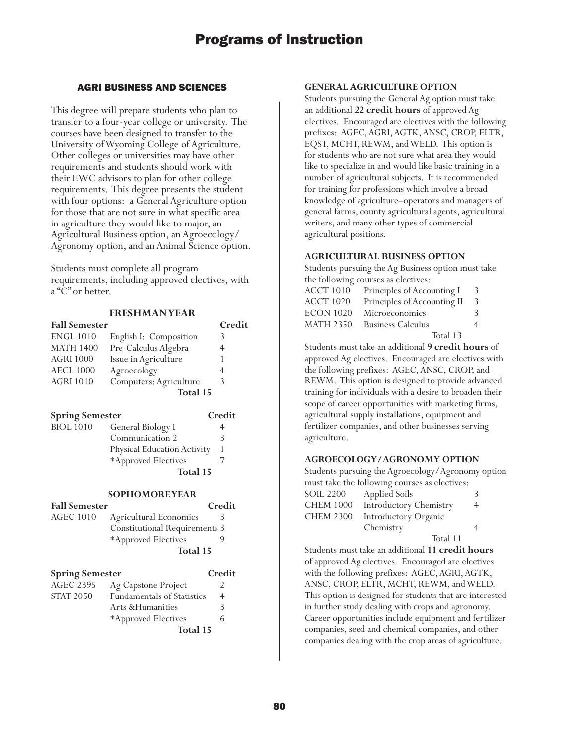## AGRI BUSINESS AND SCIENCES

This degree will prepare students who plan to transfer to a four-year college or university. The courses have been designed to transfer to the University of Wyoming College of Agriculture. Other colleges or universities may have other requirements and students should work with their EWC advisors to plan for other college requirements. This degree presents the student with four options: a General Agriculture option for those that are not sure in what specific area in agriculture they would like to major, an Agricultural Business option, an Agroecology/ Agronomy option, and an Animal Science option.

Students must complete all program requirements, including approved electives, with a "C" or better.

## **FRESHMAN YEAR Fall Semester Credit** ENGL 1010 English I: Composition 3 MATH 1400 Pre-Calculus Algebra 4 AGRI 1000 Issue in Agriculture 1 AECL 1000 Agroecology 4 AGRI 1010 Computers: Agriculture 3 **Total 15 Spring Semester Credit** BIOL 1010 General Biology I 4 Communication 2 3

| Communication 2             |  |
|-----------------------------|--|
| Physical Education Activity |  |
| *Approved Electives         |  |
| Total 15                    |  |

#### **SOPHOMORE YEAR**

| <b>Fall Semester</b> |                                      | Credit |
|----------------------|--------------------------------------|--------|
| AGEC 1010            | Agricultural Economics               |        |
|                      | <b>Constitutional Requirements 3</b> |        |
|                      | *Approved Electives                  |        |
|                      | Total 15                             |        |
|                      |                                      |        |

| <b>Spring Semester</b> |                                   | Credit |
|------------------------|-----------------------------------|--------|
| <b>AGEC 2395</b>       | Ag Capstone Project               |        |
| <b>STAT 2050</b>       | <b>Fundamentals of Statistics</b> | 4      |
|                        | Arts & Humanities                 | 3      |
|                        | *Approved Electives               | h      |
|                        | Total 15                          |        |

## **GENERAL AGRICULTURE OPTION**

Students pursuing the General Ag option must take an additional **22 credit hours** of approved Ag electives. Encouraged are electives with the following prefixes: AGEC, AGRI, AGTK, ANSC, CROP, ELTR, EQST, MCHT, REWM, and WELD. This option is for students who are not sure what area they would like to specialize in and would like basic training in a number of agricultural subjects. It is recommended for training for professions which involve a broad knowledge of agriculture–operators and managers of general farms, county agricultural agents, agricultural writers, and many other types of commercial agricultural positions.

## **AGRICULTURAL BUSINESS OPTION**

Students pursuing the Ag Business option must take the following courses as electives:

| ACCT 1010        | Principles of Accounting I  | 3 |
|------------------|-----------------------------|---|
| ACCT 1020        | Principles of Accounting II | 3 |
| <b>ECON 1020</b> | Microeconomics              | 3 |
| <b>MATH 2350</b> | <b>Business Calculus</b>    | 4 |
|                  | Total 13                    |   |

Students must take an additional **9 credit hours** of approved Ag electives. Encouraged are electives with the following prefixes: AGEC, ANSC, CROP, and REWM. This option is designed to provide advanced training for individuals with a desire to broaden their scope of career opportunities with marketing firms, agricultural supply installations, equipment and fertilizer companies, and other businesses serving agriculture.

## **AGROECOLOGY/AGRONOMY OPTION**

Students pursuing the Agroecology/Agronomy option must take the following courses as electives: SOIL 2200 Applied Soils 3 CHEM 1000 Introductory Chemistry 4 CHEM 2300 Introductory Organic Chemistry 4

Total 11

Students must take an additional **11 credit hours** of approved Ag electives. Encouraged are electives with the following prefixes: AGEC, AGRI, AGTK, ANSC, CROP, ELTR, MCHT, REWM, and WELD. This option is designed for students that are interested in further study dealing with crops and agronomy. Career opportunities include equipment and fertilizer companies, seed and chemical companies, and other companies dealing with the crop areas of agriculture.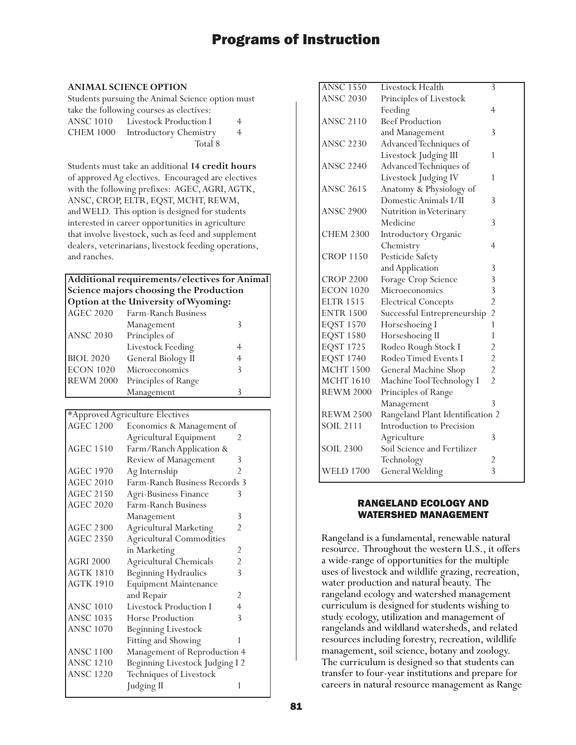### **ANIMAL SCIENCE OPTION**

Students pursuing the Animal Science option must take the following courses as electives: ANSC 1010 Livestock Production I 4 CHEM 1000 Introductory Chemistry 4 Total 8

Students must take an additional **14 credit hours** of approved Ag electives. Encouraged are electives with the following prefixes: AGEC, AGRI, AGTK, ANSC, CROP, ELTR, EQST, MCHT, REWM, and WELD. This option is designed for students interested in career opportunities in agriculture that involve livestock, such as feed and supplement dealers, veterinarians, livestock feeding operations, and ranches.

## **Additional requirements/electives for Animal Science majors choosing the Production Option at the University of Wyoming:**

| <b>AGEC 2020</b> | Farm-Ranch Business |   |
|------------------|---------------------|---|
|                  | Management          |   |
| <b>ANSC 2030</b> | Principles of       |   |
|                  | Livestock Feeding   |   |
| <b>BIOL 2020</b> | General Biology II  | 4 |
| <b>ECON 1020</b> | Microeconomics      | 3 |
| <b>REWM 2000</b> | Principles of Range |   |
|                  | Management          |   |

\*Approved Agriculture Electives

| O                |                                 |                |
|------------------|---------------------------------|----------------|
| <b>AGEC 1200</b> | Economics & Management of       |                |
|                  | Agricultural Equipment          | 2              |
| <b>AGEC 1510</b> | Farm/Ranch Application &        |                |
|                  | Review of Management            | 3              |
| <b>AGEC 1970</b> | Ag Internship                   | $\overline{2}$ |
| <b>AGEC 2010</b> | Farm-Ranch Business Records 3   |                |
| <b>AGEC 2150</b> | Agri-Business Finance           | 3              |
| <b>AGEC 2020</b> | Farm-Ranch Business             |                |
|                  | Management                      | 3              |
| <b>AGEC 2300</b> | <b>Agricultural Marketing</b>   | $\overline{2}$ |
| <b>AGEC 2350</b> | <b>Agricultural Commodities</b> |                |
|                  | in Marketing                    | 2              |
| <b>AGRI 2000</b> | <b>Agricultural Chemicals</b>   | $\overline{2}$ |
| <b>AGTK 1810</b> | <b>Beginning Hydraulics</b>     | 3              |
| <b>AGTK 1910</b> | <b>Equipment Maintenance</b>    |                |
|                  | and Repair                      | $\overline{c}$ |
| <b>ANSC 1010</b> | <b>Livestock Production I</b>   | $\overline{4}$ |
| <b>ANSC 1035</b> | Horse Production                | 3              |
| <b>ANSC 1070</b> | <b>Beginning Livestock</b>      |                |
|                  | Fitting and Showing             | 1              |
| <b>ANSC 1100</b> | Management of Reproduction 4    |                |
| <b>ANSC 1210</b> | Beginning Livestock Judging I 2 |                |
| <b>ANSC 1220</b> | Techniques of Livestock         |                |
|                  | Judging II                      | 1              |
|                  |                                 |                |

| <b>ANSC 1550</b> | Livestock Health                 | 3              |
|------------------|----------------------------------|----------------|
| <b>ANSC 2030</b> | Principles of Livestock          |                |
|                  | Feeding                          | 4              |
| <b>ANSC 2110</b> | <b>Beef Production</b>           |                |
|                  | and Management                   | 3              |
| <b>ANSC 2230</b> | Advanced Techniques of           |                |
|                  | Livestock Judging III            | 1              |
| <b>ANSC 2240</b> | Advanced Techniques of           |                |
|                  | Livestock Judging IV             | 1              |
| <b>ANSC 2615</b> | Anatomy & Physiology of          |                |
|                  | Domestic Animals I/II            | 3              |
| <b>ANSC 2900</b> | Nutrition in Veterinary          |                |
|                  | Medicine                         | 3              |
| <b>CHEM 2300</b> | <b>Introductory Organic</b>      |                |
|                  | Chemistry                        | 4              |
| <b>CROP 1150</b> | Pesticide Safety                 |                |
|                  | and Application                  | 3              |
| <b>CROP 2200</b> | Forage Crop Science              | 3              |
| <b>ECON 1020</b> | Microeconomics                   | 3              |
| <b>ELTR 1515</b> | <b>Electrical Concepts</b>       | $\overline{2}$ |
| <b>ENTR 1500</b> | Successful Entrepreneurship      | $\overline{c}$ |
| <b>EQST 1570</b> | Horseshoeing I                   | $\mathbf{1}$   |
| <b>EQST 1580</b> | Horseshoeing II                  | 1              |
| <b>EQST 1725</b> | Rodeo Rough Stock I              | $\overline{c}$ |
| <b>EQST 1740</b> | Rodeo Timed Events I             | $\overline{2}$ |
| <b>MCHT 1500</b> | General Machine Shop             | $\overline{2}$ |
| <b>MCHT 1610</b> | Machine Tool Technology I        | $\overline{2}$ |
| <b>REWM 2000</b> | Principles of Range              |                |
|                  | Management                       | 3              |
| <b>REWM 2500</b> | Rangeland Plant Identification 2 |                |
| SOIL 2111        | Introduction to Precision        |                |
|                  | Agriculture                      | 3              |
| <b>SOIL 2300</b> | Soil Science and Fertilizer      |                |
|                  | Technology                       | $\overline{c}$ |
| <b>WELD 1700</b> | <b>General Welding</b>           | 3              |
|                  |                                  |                |

## RANGELAND ECOLOGY AND WATERSHED MANAGEMENT

Rangeland is a fundamental, renewable natural resource. Throughout the western U.S., it offers a wide-range of opportunities for the multiple uses of livestock and wildlife grazing, recreation, water production and natural beauty. The rangeland ecology and watershed management curriculum is designed for students wishing to study ecology, utilization and management of rangelands and wildland watersheds, and related resources including forestry, recreation, wildlife management, soil science, botany and zoology. The curriculum is designed so that students can transfer to four-year institutions and prepare for careers in natural resource management as Range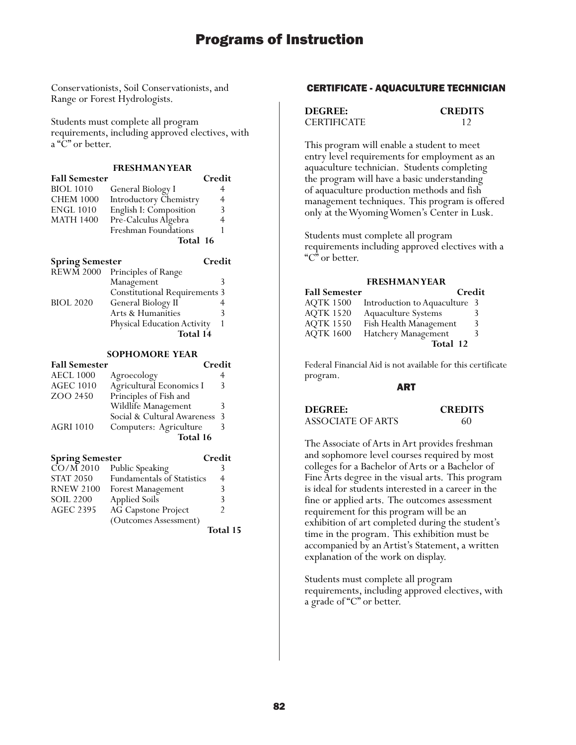Conservationists, Soil Conservationists, and Range or Forest Hydrologists.

Students must complete all program requirements, including approved electives, with a "C" or better.

#### **FRESHMAN YEAR**

| <b>Fall Semester</b> |                        | Credit         |
|----------------------|------------------------|----------------|
| <b>BIOL 1010</b>     | General Biology I      |                |
| <b>CHEM 1000</b>     | Introductory Chemistry | $\overline{4}$ |
| <b>ENGL 1010</b>     | English I: Composition | 3              |
| <b>MATH 1400</b>     | Pre-Calculus Algebra   |                |
|                      | Freshman Foundations   |                |
|                      | Total 16               |                |
|                      |                        |                |

| <b>Spring Semester</b> |                                      | Credit |
|------------------------|--------------------------------------|--------|
| <b>REWM 2000</b>       | Principles of Range                  |        |
|                        | Management                           |        |
|                        | <b>Constitutional Requirements 3</b> |        |
| <b>BIOL 2020</b>       | General Biology II                   |        |
|                        | Arts & Humanities                    |        |
|                        | <b>Physical Education Activity</b>   |        |
|                        | Total 14                             |        |

#### **SOPHOMORE YEAR**

| <b>Fall Semester</b> | Credit                      |   |
|----------------------|-----------------------------|---|
| <b>AECL 1000</b>     | Agroecology                 |   |
| <b>AGEC 1010</b>     | Agricultural Economics I    | 3 |
| ZOO 2450             | Principles of Fish and      |   |
|                      | Wildlife Management         |   |
|                      | Social & Cultural Awareness | 3 |
| <b>AGRI 1010</b>     | Computers: Agriculture      |   |
|                      | Total 16                    |   |
|                      |                             |   |

| <b>Spring Semester</b> |                            | Credit       |
|------------------------|----------------------------|--------------|
| $\overline{CO/M}$ 2010 | Public Speaking            |              |
| <b>STAT 2050</b>       | Fundamentals of Statistics | 4            |
| <b>RNEW 2100</b>       | Forest Management          | 3            |
| <b>SOIL 2200</b>       | Applied Soils              | 3            |
| <b>AGEC 2395</b>       | AG Capstone Project        | 2            |
|                        | (Outcomes Assessment)      |              |
|                        |                            | $T_{04a}$ 11 |

**Total 15**

#### CERTIFICATE - AQUACULTURE TECHNICIAN

| <b>DEGREE:</b>     | <b>CREDITS</b> |
|--------------------|----------------|
| <b>CERTIFICATE</b> |                |

This program will enable a student to meet entry level requirements for employment as an aquaculture technician. Students completing the program will have a basic understanding of aquaculture production methods and fish management techniques. This program is offered only at the Wyoming Women's Center in Lusk.

Students must complete all program requirements including approved electives with a "C" or better.

#### **FRESHMAN YEAR**

| <b>Fall Semester</b> | Credit                        |   |
|----------------------|-------------------------------|---|
| AOTK 1500            | Introduction to Aquaculture 3 |   |
| <b>AQTK 1520</b>     | Aquaculture Systems           | 3 |
| <b>AQTK 1550</b>     | Fish Health Management        | 3 |
| <b>AQTK 1600</b>     | Hatchery Management           | 3 |
|                      | Total 12                      |   |

Federal Financial Aid is not available for this certificate program.

#### ART

**DEGREE: CREDITS** ASSOCIATE OF ARTS 60

The Associate of Arts in Art provides freshman and sophomore level courses required by most colleges for a Bachelor of Arts or a Bachelor of Fine Arts degree in the visual arts. This program is ideal for students interested in a career in the fine or applied arts. The outcomes assessment requirement for this program will be an exhibition of art completed during the student's time in the program. This exhibition must be accompanied by an Artist's Statement, a written explanation of the work on display.

Students must complete all program requirements, including approved electives, with a grade of "C" or better.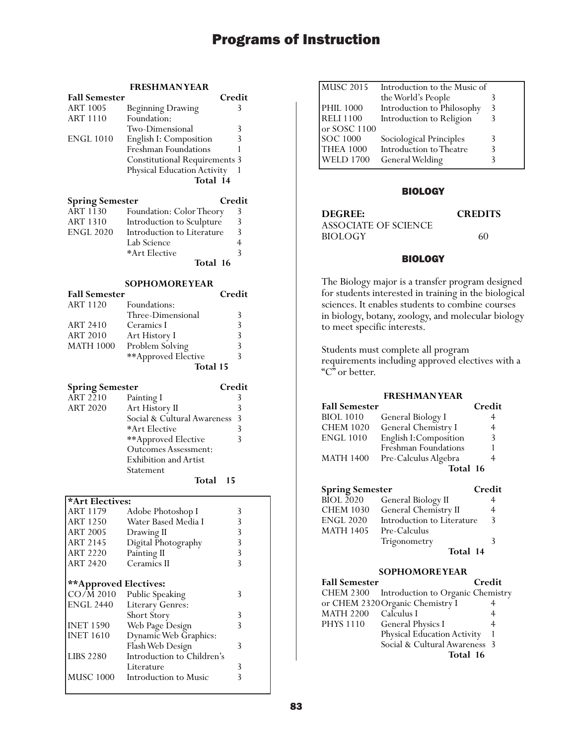## **FRESHMAN YEAR**

| <b>Fall Semester</b>                 |                                          | Credit                  |
|--------------------------------------|------------------------------------------|-------------------------|
| <b>ART 1005</b>                      | <b>Beginning Drawing</b>                 | 3                       |
| <b>ART 1110</b>                      | Foundation:                              |                         |
|                                      | Two-Dimensional                          | 3                       |
| <b>ENGL 1010</b>                     | English I: Composition                   | 3                       |
|                                      | Freshman Foundations                     | 1                       |
|                                      | <b>Constitutional Requirements</b>       | 3                       |
|                                      | Physical Education Activity              | 1                       |
|                                      | Total 14                                 |                         |
|                                      |                                          |                         |
| <b>Spring Semester</b>               |                                          | Credit                  |
| <b>ART 1130</b>                      | Foundation: Color Theory                 | 3                       |
| <b>ART 1310</b>                      | Introduction to Sculpture                | 3                       |
| <b>ENGL 2020</b>                     | Introduction to Literature               | 3                       |
|                                      | Lab Science                              | $\overline{4}$          |
|                                      | *Art Elective                            | $\overline{\mathbf{3}}$ |
|                                      | Total 16                                 |                         |
|                                      |                                          |                         |
|                                      | <b>SOPHOMOREYEAR</b>                     |                         |
| <b>Fall Semester</b>                 |                                          | Credit                  |
| ART 1120                             | Foundations:                             |                         |
|                                      | Three-Dimensional                        | 3                       |
| <b>ART 2410</b>                      | Ceramics I                               | 3                       |
| <b>ART 2010</b>                      | Art History I                            | $\overline{3}$          |
| <b>MATH 1000</b>                     | Problem Solving                          | $\overline{3}$          |
|                                      | **Approved Elective                      | $\overline{3}$          |
|                                      | <b>Total 15</b>                          |                         |
|                                      |                                          |                         |
|                                      |                                          |                         |
|                                      |                                          |                         |
| <b>Spring Semester</b>               |                                          | Credit                  |
| $\widehat{ART}$ 2210                 | Painting I                               | 3                       |
| <b>ART 2020</b>                      | Art History II                           | 3                       |
|                                      | Social & Cultural Awareness              | 3                       |
|                                      | *Art Elective                            | 3                       |
|                                      | **Approved Elective                      | 3                       |
|                                      | <b>Outcomes Assessment:</b>              |                         |
|                                      | Exhibition and Artist                    |                         |
|                                      | Statement                                |                         |
|                                      | Total<br>15                              |                         |
|                                      |                                          |                         |
| *Art Electives:                      |                                          |                         |
| ART 1179                             | Adobe Photoshop I                        | 3                       |
| ART 1250                             | Water Based Media I                      | 3                       |
| <b>ART 2005</b>                      | Drawing II                               | $\overline{3}$          |
| <b>ART 2145</b>                      | Digital Photography                      | $\overline{\mathbf{3}}$ |
| <b>ART 2220</b>                      | Painting II                              | 3                       |
| ART 2420                             | Ceramics II                              | 3                       |
|                                      |                                          |                         |
| **Approved Electives:                |                                          |                         |
| $CO/\bar{M}$ 2010                    | Public Speaking                          | 3                       |
| <b>ENGL 2440</b>                     | Literary Genres:                         |                         |
|                                      | Short Story                              | 3                       |
| <b>INET 1590</b><br><b>INET 1610</b> | Web Page Design<br>Dynamic Web Graphics: | 3                       |

Flash Web Design 3

Literature 3<br>Introduction to Music 3

LIBS 2280 Introduction to Children's

MUSC 1000 Introduction to Music

| Introduction to the Music of |                         |
|------------------------------|-------------------------|
| the World's People           |                         |
| Introduction to Philosophy   |                         |
| Introduction to Religion     |                         |
| or SOSC 1100                 |                         |
|                              |                         |
| Introduction to Theatre      |                         |
| General Welding              |                         |
|                              | Sociological Principles |

### BIOLOGY

| DEGREE:              | <b>CREDITS</b> |
|----------------------|----------------|
| ASSOCIATE OF SCIENCE |                |
| <b>BIOLOGY</b>       | 60             |

## **BIOLOGY**

The Biology major is a transfer program designed for students interested in training in the biological sciences. It enables students to combine courses in biology, botany, zoology, and molecular biology to meet specific interests.

Students must complete all program requirements including approved electives with a "C" or better.

## **FRESHMAN YEAR**

| <b>Fall Semester</b> |                        | Credit |
|----------------------|------------------------|--------|
| <b>BIOL 1010</b>     | General Biology I      | 4      |
| <b>CHEM 1020</b>     | General Chemistry I    | 4      |
| <b>ENGL 1010</b>     | English I: Composition | 3      |
|                      | Freshman Foundations   |        |
| <b>MATH 1400</b>     | Pre-Calculus Algebra   |        |
|                      | Total 16               |        |

| <b>Spring Semester</b> |                            | Credit |
|------------------------|----------------------------|--------|
| BIOL 2020              | General Biology II         | 4      |
| <b>CHEM 1030</b>       | General Chemistry II       | 4      |
| <b>ENGL 2020</b>       | Introduction to Literature | 3      |
| <b>MATH 1405</b>       | Pre-Calculus               |        |
|                        | Trigonometry               | 3      |
|                        | Total 14                   |        |

## **SOPHOMORE YEAR**

| <b>Fall Semester</b> |                                             | Credit |
|----------------------|---------------------------------------------|--------|
|                      | CHEM 2300 Introduction to Organic Chemistry |        |
|                      | or CHEM 2320 Organic Chemistry I            |        |
| MATH 2200            | Calculus I                                  |        |
| <b>PHYS 1110</b>     | <b>General Physics I</b>                    |        |
|                      | Physical Education Activity                 |        |
|                      | Social & Cultural Awareness 3               |        |
|                      | Total 16                                    |        |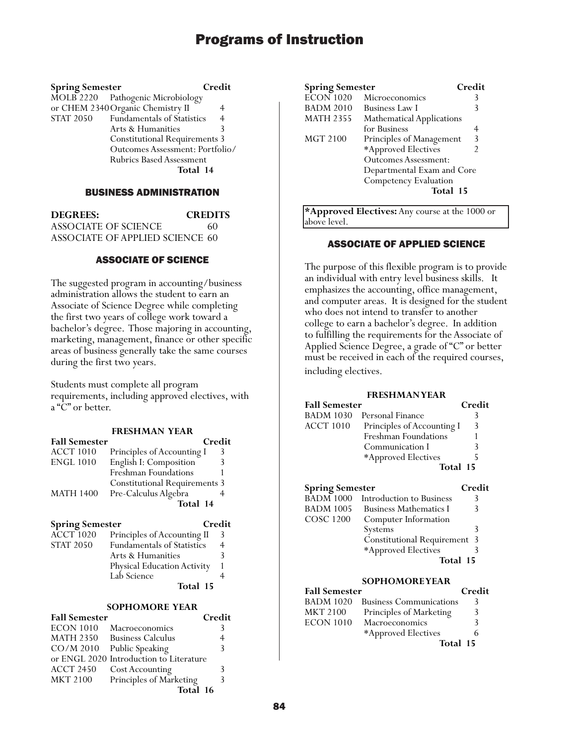| <b>Spring Semester</b> |                                      | Credit         |
|------------------------|--------------------------------------|----------------|
|                        | MOLB 2220 Pathogenic Microbiology    |                |
|                        | or CHEM 2340 Organic Chemistry II    | 4              |
| <b>STAT 2050</b>       | <b>Fundamentals of Statistics</b>    | $\overline{4}$ |
|                        | Arts & Humanities                    | 3              |
|                        | <b>Constitutional Requirements 3</b> |                |
|                        | Outcomes Assessment: Portfolio/      |                |
|                        | <b>Rubrics Based Assessment</b>      |                |
|                        | Total 14                             |                |

### BUSINESS ADMINISTRATION

| <b>DEGREES:</b>                 | <b>CREDITS</b> |
|---------------------------------|----------------|
| ASSOCIATE OF SCIENCE            | 60             |
| ASSOCIATE OF APPLIED SCIENCE_60 |                |

## ASSOCIATE OF SCIENCE

The suggested program in accounting/business administration allows the student to earn an Associate of Science Degree while completing the first two years of college work toward a bachelor's degree. Those majoring in accounting, marketing, management, finance or other specific areas of business generally take the same courses during the first two years.

Students must complete all program requirements, including approved electives, with a "C" or better.

| <b>FRESHMAN YEAR</b> |
|----------------------|
|----------------------|

| <b>Fall Semester</b> | Credit                               |   |
|----------------------|--------------------------------------|---|
| <b>ACCT 1010</b>     | Principles of Accounting I           | 3 |
| <b>ENGL 1010</b>     | English I: Composition               | 3 |
|                      | Freshman Foundations                 |   |
|                      | <b>Constitutional Requirements 3</b> |   |
| <b>MATH 1400</b>     | Pre-Calculus Algebra                 |   |
|                      | Total 14                             |   |

## **Spring Semester Credit**

|                  | Total 15                          |   |
|------------------|-----------------------------------|---|
|                  | Lab Science                       |   |
|                  | Physical Education Activity       |   |
|                  | Arts & Humanities                 |   |
| STAT 2050        | <b>Fundamentals of Statistics</b> | 4 |
| <b>ACCT 1020</b> | Principles of Accounting II       | 3 |

## **SOPHOMORE YEAR**

| <b>Fall Semester</b> |                                         | Credit |
|----------------------|-----------------------------------------|--------|
| <b>ECON 1010</b>     | Macroeconomics                          | 3      |
| <b>MATH 2350</b>     | <b>Business Calculus</b>                |        |
| CO/M 2010            | Public Speaking                         | 3      |
|                      | or ENGL 2020 Introduction to Literature |        |
| <b>ACCT 2450</b>     | Cost Accounting                         |        |
| <b>MKT 2100</b>      | Principles of Marketing                 | 3      |
|                      | Total 16                                |        |

| <b>Spring Semester</b> |                                  | Credit |
|------------------------|----------------------------------|--------|
| <b>ECON 1020</b>       | Microeconomics                   |        |
| <b>BADM 2010</b>       | Business Law I                   | 3      |
| <b>MATH 2355</b>       | <b>Mathematical Applications</b> |        |
|                        | for Business                     |        |
| MGT 2100               | Principles of Management         | 3      |
|                        | *Approved Electives              |        |
|                        | <b>Outcomes Assessment:</b>      |        |
|                        | Departmental Exam and Core       |        |
|                        | <b>Competency Evaluation</b>     |        |
|                        | Total 15                         |        |
|                        |                                  |        |

**\*Approved Electives:** Any course at the 1000 or above level.

### ASSOCIATE OF APPLIED SCIENCE

The purpose of this flexible program is to provide an individual with entry level business skills. It emphasizes the accounting, office management, and computer areas. It is designed for the student who does not intend to transfer to another college to earn a bachelor's degree. In addition to fulfilling the requirements for the Associate of Applied Science Degree, a grade of "C" or better must be received in each of the required courses, including electives.

#### **FRESHMAN YEAR**

| <b>Fall Semester</b>             |                               | Credit |
|----------------------------------|-------------------------------|--------|
| <b>BADM 1030</b>                 | Personal Finance              | 3      |
| ACCT 1010                        | Principles of Accounting I    | 3      |
|                                  | Freshman Foundations          |        |
|                                  | Communication I               | 3      |
|                                  | *Approved Electives           | 5      |
|                                  | Total 15                      |        |
| Credit<br><b>Spring Semester</b> |                               |        |
| <b>BADM 1000</b>                 | Introduction to Business      | 3      |
| BADM 1005                        | <b>Business Mathematics I</b> |        |
|                                  |                               |        |

| COSC 1200 | Computer Information         |  |
|-----------|------------------------------|--|
|           | Systems                      |  |
|           | Constitutional Requirement 3 |  |
|           | *Approved Electives          |  |
|           | Total 15                     |  |

#### **SOPHOMORE YEAR**

| <b>Fall Semester</b> |                                | Credit |
|----------------------|--------------------------------|--------|
| <b>BADM 1020</b>     | <b>Business Communications</b> | 3      |
| <b>MKT 2100</b>      | Principles of Marketing        | 3      |
| <b>ECON 1010</b>     | Macroeconomics                 | 3      |
|                      | *Approved Electives            | 6      |
|                      | Total 15                       |        |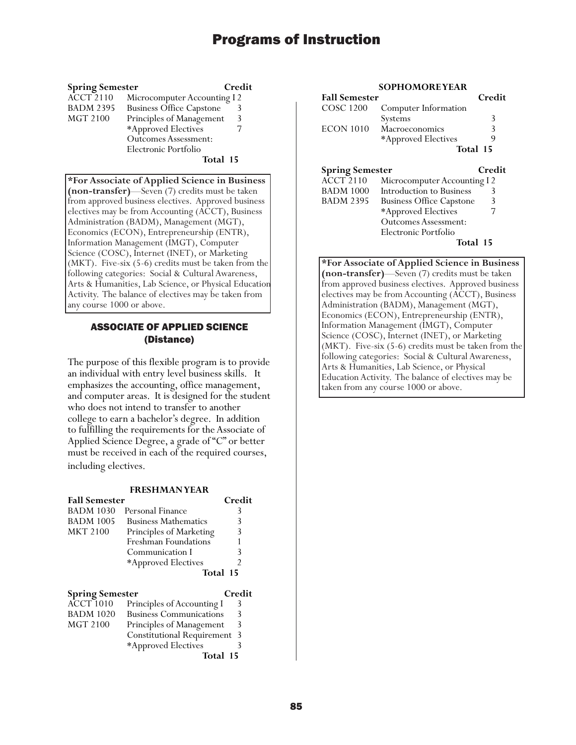### **Spring Semester Credit**

| <b>ACCT 2110</b> | Microcomputer Accounting I 2    |   |
|------------------|---------------------------------|---|
| <b>BADM 2395</b> | <b>Business Office Capstone</b> | 3 |
| MGT 2100         | Principles of Management        | 3 |
|                  | *Approved Electives             |   |
|                  | <b>Outcomes Assessment:</b>     |   |
|                  | Electronic Portfolio            |   |

 **Total 15**

**\*For Associate of Applied Science in Business (non-transfer)**—Seven (7) credits must be taken from approved business electives. Approved business electives may be from Accounting (ACCT), Business Administration (BADM), Management (MGT), Economics (ECON), Entrepreneurship (ENTR), Information Management (IMGT), Computer Science (COSC), Internet (INET), or Marketing (MKT). Five-six (5-6) credits must be taken from the following categories: Social & Cultural Awareness, Arts & Humanities, Lab Science, or Physical Education Activity. The balance of electives may be taken from any course 1000 or above.

## ASSOCIATE OF APPLIED SCIENCE (Distance)

The purpose of this flexible program is to provide an individual with entry level business skills. It emphasizes the accounting, office management, and computer areas. It is designed for the student who does not intend to transfer to another college to earn a bachelor's degree. In addition to fulfilling the requirements for the Associate of Applied Science Degree, a grade of "C" or better must be received in each of the required courses, including electives.

#### **FRESHMAN YEAR**

| <b>Fall Semester</b>   |                                | Credit |
|------------------------|--------------------------------|--------|
| <b>BADM 1030</b>       | Personal Finance               | 3      |
| <b>BADM 1005</b>       | <b>Business Mathematics</b>    | 3      |
| <b>MKT 2100</b>        | Principles of Marketing        | 3      |
|                        | Freshman Foundations           |        |
|                        | Communication I                | 3      |
|                        | *Approved Electives            | 2      |
|                        | Total 15                       |        |
| <b>Spring Semester</b> |                                | Credit |
| ACCT 1010              | Principles of Accounting I     | 3      |
| <b>BADM 1020</b>       | <b>Business Communications</b> |        |

|                  | Total 15                            |   |
|------------------|-------------------------------------|---|
|                  | *Approved Electives                 |   |
|                  | <b>Constitutional Requirement 3</b> |   |
| MGT 2100         | Principles of Management            | 3 |
| <b>BADM 1020</b> | <b>Business Communications</b>      | 3 |
|                  |                                     |   |

## **SOPHOMORE YEAR**

| <b>Fall Semester</b>   |                      | Credit        |
|------------------------|----------------------|---------------|
| COSC 1200              | Computer Information |               |
|                        | Systems              | 3             |
| <b>ECON 1010</b>       | Macroeconomics       | 3             |
|                        | *Approved Electives  | 9             |
| Total 15               |                      |               |
| <b>Spring Semester</b> |                      | <b>Credit</b> |

| ACCT 2110 | Microcomputer Accounting I2     |   |
|-----------|---------------------------------|---|
| BADM 1000 | Introduction to Business        |   |
| BADM 2395 | <b>Business Office Capstone</b> | 3 |
|           | *Approved Electives             |   |
|           | <b>Outcomes Assessment:</b>     |   |
|           | Electronic Portfolio            |   |

 **Total 15**

**\*For Associate of Applied Science in Business (non-transfer)**—Seven (7) credits must be taken from approved business electives. Approved business electives may be from Accounting (ACCT), Business Administration (BADM), Management (MGT), Economics (ECON), Entrepreneurship (ENTR), Information Management (IMGT), Computer Science (COSC), Internet (INET), or Marketing (MKT). Five-six (5-6) credits must be taken from the following categories: Social & Cultural Awareness, Arts & Humanities, Lab Science, or Physical Education Activity. The balance of electives may be taken from any course 1000 or above.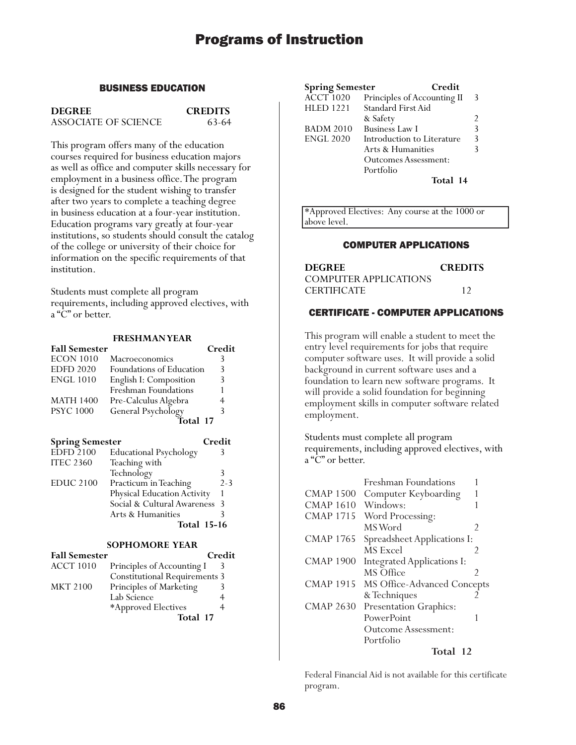## BUSINESS EDUCATION

**DEGREE CREDITS**

ASSOCIATE OF SCIENCE 63-64

This program offers many of the education courses required for business education majors as well as office and computer skills necessary for employment in a business office. The program is designed for the student wishing to transfer after two years to complete a teaching degree in business education at a four-year institution. Education programs vary greatly at four-year institutions, so students should consult the catalog of the college or university of their choice for information on the specific requirements of that institution.

Students must complete all program requirements, including approved electives, with a "C" or better.

#### **FRESHMAN YEAR Fall Semester Credit**

| .                |                          | .             |
|------------------|--------------------------|---------------|
| <b>ECON 1010</b> | Macroeconomics           |               |
| <b>EDFD 2020</b> | Foundations of Education | $\mathcal{R}$ |
| <b>ENGL 1010</b> | English I: Composition   | 3             |
|                  | Freshman Foundations     |               |
| <b>MATH 1400</b> | Pre-Calculus Algebra     |               |
| <b>PSYC</b> 1000 | General Psychology       | 3             |
|                  | Total 17                 |               |
|                  |                          |               |

| <b>Spring Semester</b> |                               | Credit        |
|------------------------|-------------------------------|---------------|
| <b>EDFD 2100</b>       | <b>Educational Psychology</b> |               |
| <b>ITEC 2360</b>       | Teaching with                 |               |
|                        | Technology                    |               |
| <b>EDUC 2100</b>       | Practicum in Teaching         | $2 - 3$       |
|                        | Physical Education Activity   |               |
|                        | Social & Cultural Awareness   | $\mathcal{E}$ |
|                        | Arts & Humanities             |               |
|                        | <b>Total 15-16</b>            |               |

#### **SOPHOMORE YEAR Fall Semester Credit**

| ган эешеѕtег     |                                      | стени |
|------------------|--------------------------------------|-------|
| <b>ACCT 1010</b> | Principles of Accounting I           |       |
|                  | <b>Constitutional Requirements 3</b> |       |
| <b>MKT 2100</b>  | Principles of Marketing              |       |
|                  | Lab Science                          |       |
|                  | *Approved Electives                  |       |
|                  | Total 17                             |       |
|                  |                                      |       |

| <b>Spring Semester</b> | Credit                      |   |
|------------------------|-----------------------------|---|
| <b>ACCT 1020</b>       | Principles of Accounting II | 3 |
| <b>HLED 1221</b>       | <b>Standard First Aid</b>   |   |
|                        | & Safety                    |   |
| <b>BADM 2010</b>       | <b>Business Law I</b>       | 3 |
| <b>ENGL 2020</b>       | Introduction to Literature  | 3 |
|                        | Arts & Humanities           |   |
|                        | Outcomes Assessment:        |   |
|                        | Portfolio                   |   |
|                        | Total 14                    |   |

\*Approved Electives: Any course at the 1000 or above level.

## COMPUTER APPLICATIONS

| <b>DEGREE</b>         | <b>CREDITS</b> |
|-----------------------|----------------|
| COMPUTER APPLICATIONS |                |
| <b>CERTIFICATE</b>    | 12             |

## CERTIFICATE - COMPUTER APPLICATIONS

This program will enable a student to meet the entry level requirements for jobs that require computer software uses. It will provide a solid background in current software uses and a foundation to learn new software programs. It will provide a solid foundation for beginning employment skills in computer software related employment.

Students must complete all program requirements, including approved electives, with a "C" or better.

|                  | Freshman Foundations        |   |
|------------------|-----------------------------|---|
| <b>CMAP 1500</b> | Computer Keyboarding        |   |
| <b>CMAP 1610</b> | Windows:                    |   |
| <b>CMAP 1715</b> | Word Processing:            |   |
|                  | MS Word                     | 2 |
| <b>CMAP 1765</b> | Spreadsheet Applications I: |   |
|                  | MS Excel                    | 2 |
| <b>CMAP 1900</b> | Integrated Applications I:  |   |
|                  | MS Office                   | 2 |
| <b>CMAP 1915</b> | MS Office-Advanced Concepts |   |
|                  | & Techniques                |   |
| <b>CMAP 2630</b> | Presentation Graphics:      |   |
|                  | PowerPoint                  | 1 |
|                  | <b>Outcome Assessment:</b>  |   |
|                  | Portfolio                   |   |
|                  | Total 12                    |   |

Federal Financial Aid is not available for this certificate program.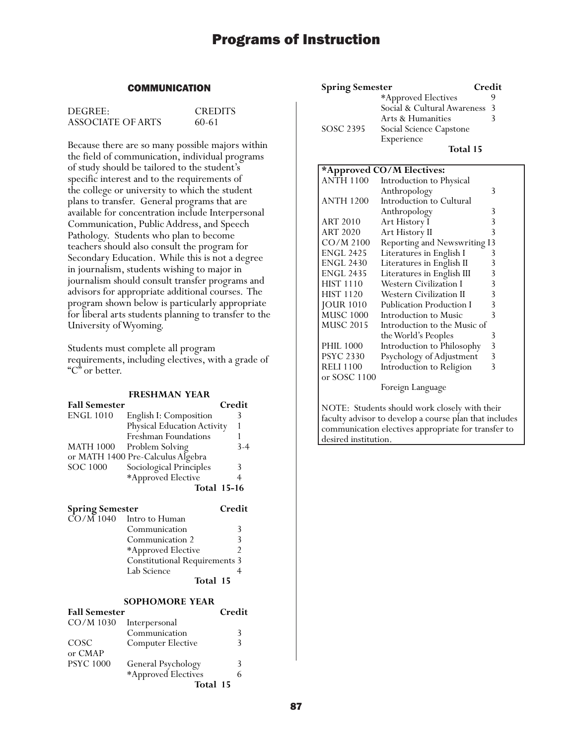## **COMMUNICATION**

| DEGREE:           | <b>CREDITS</b> |
|-------------------|----------------|
| ASSOCIATE OF ARTS | 60-61          |

Because there are so many possible majors within the field of communication, individual programs of study should be tailored to the student's specific interest and to the requirements of the college or university to which the student plans to transfer. General programs that are available for concentration include Interpersonal Communication, Public Address, and Speech Pathology. Students who plan to become teachers should also consult the program for Secondary Education. While this is not a degree in journalism, students wishing to major in journalism should consult transfer programs and advisors for appropriate additional courses. The program shown below is particularly appropriate for liberal arts students planning to transfer to the University of Wyoming.

Students must complete all program requirements, including electives, with a grade of "C" or better.

#### **FRESHMAN YEAR**

| <b>Fall Semester</b>   |                                      | Credit             |
|------------------------|--------------------------------------|--------------------|
| <b>ENGL 1010</b>       | English I: Composition               | 3                  |
|                        | Physical Education Activity          |                    |
|                        | Freshman Foundations                 |                    |
| <b>MATH 1000</b>       | Problem Solving                      | $3-4$              |
|                        | or MATH 1400 Pre-Calculus Algebra    |                    |
| <b>SOC 1000</b>        | Sociological Principles              | 3                  |
|                        | *Approved Elective                   | 4                  |
|                        |                                      | <b>Total 15-16</b> |
| <b>Spring Semester</b> |                                      | Credit             |
| CO/M 1040              | Intro to Human                       |                    |
|                        | Communication                        | 3                  |
|                        | Communication 2                      | 3                  |
|                        | *Approved Elective                   | $\overline{2}$     |
|                        | <b>Constitutional Requirements 3</b> |                    |

## **SOPHOMORE YEAR**

**Total 15**

| <b>Fall Semester</b> |                          | Credit |
|----------------------|--------------------------|--------|
| CO/M 1030            | Interpersonal            |        |
|                      | Communication            | 3      |
| COSC                 | <b>Computer Elective</b> | 3      |
| or CMAP              |                          |        |
| <b>PSYC 1000</b>     | General Psychology       | 3      |
|                      | *Approved Electives      |        |
|                      | Total 15                 |        |

Lab Science

| <b>Spring Semester</b> |                             | Credit |
|------------------------|-----------------------------|--------|
|                        | *Approved Electives         |        |
|                        | Social & Cultural Awareness | -3     |
|                        | Arts & Humanities           |        |
| SOSC 2395              | Social Science Capstone     |        |
|                        | Experience                  |        |
|                        | Total 15                    |        |

### **\*Approved CO/M Electives:** Introduction to Physical Anthropology 3 ANTH 1200 Introduction to Cultural Anthropology 3<br>Art History I 3 ART 2010 Art History I 3<br>ART 2020 Art History II 3 Art History II CO/M 2100 Reporting and Newswriting I3 ENGL 2425 Literatures in English I 3<br>ENGL 2430 Literatures in English II 3 Literatures in English II ENGL 2435 Literatures in English III 3<br>HIST 1110 Western Civilization I 3 HIST 1110 Western Civilization I 3<br>HIST 1120 Western Civilization II 3 Western Civilization II JOUR 1010 Publication Production I 3 MUSC 1000 Introduction to Music 3<br>MUSC 2015 Introduction to the Music of Introduction to the Music of the World's Peoples 3 PHIL 1000 Introduction to Philosophy 3<br>PSYC 2330 Psychology of Adjustment 3 Psychology of Adjustment RELI 1100 Introduction to Religion 3 or SOSC 1100 Foreign Language

NOTE: Students should work closely with their faculty advisor to develop a course plan that includes communication electives appropriate for transfer to desired institution.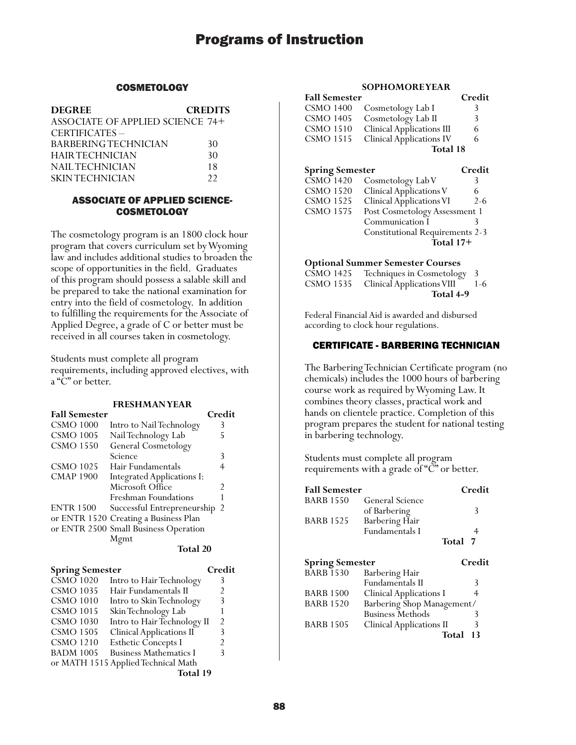## **COSMETOLOGY**

| <b>DEGREE</b>                           | <b>CREDITS</b> |
|-----------------------------------------|----------------|
| <b>ASSOCIATE OF APPLIED SCIENCE 74+</b> |                |
| CERTIFICATES-                           |                |
| <b>BARBERING TECHNICIAN</b>             | 30             |
| <b>HAIR TECHNICIAN</b>                  | 30             |
| NAIL TECHNICIAN                         | 18             |
| <b>SKINTECHNICIAN</b>                   | 22             |

## ASSOCIATE OF APPLIED SCIENCE-**COSMETOLOGY**

The cosmetology program is an 1800 clock hour program that covers curriculum set by Wyoming law and includes additional studies to broaden the scope of opportunities in the field. Graduates of this program should possess a salable skill and be prepared to take the national examination for entry into the field of cosmetology. In addition to fulfilling the requirements for the Associate of Applied Degree, a grade of C or better must be received in all courses taken in cosmetology.

Students must complete all program requirements, including approved electives, with a "C" or better.

## **FRESHMAN YEAR**

| <b>Fall Semester</b> |                                       | Credit |
|----------------------|---------------------------------------|--------|
| <b>CSMO 1000</b>     | Intro to Nail Technology              | 3      |
| <b>CSMO 1005</b>     | Nail Technology Lab                   | 5      |
| <b>CSMO 1550</b>     | General Cosmetology                   |        |
|                      | Science                               | 3      |
| <b>CSMO 1025</b>     | Hair Fundamentals                     | 4      |
| <b>CMAP 1900</b>     | <b>Integrated Applications I:</b>     |        |
|                      | Microsoft Office                      | 2      |
|                      | Freshman Foundations                  |        |
| <b>ENTR 1500</b>     | Successful Entrepreneurship           | -2     |
|                      | or ENTR 1520 Creating a Business Plan |        |
|                      | or ENTR 2500 Small Business Operation |        |
|                      | Mgmt                                  |        |

## **Total 20**

| <b>Spring Semester</b> |                                     | Credit         |
|------------------------|-------------------------------------|----------------|
| <b>CSMO 1020</b>       | Intro to Hair Technology            | 3              |
| <b>CSMO 1035</b>       | Hair Fundamentals II                | 2              |
| <b>CSMO 1010</b>       | Intro to Skin Technology            | 3              |
| <b>CSMO 1015</b>       | Skin Technology Lab                 |                |
| <b>CSMO 1030</b>       | Intro to Hair Technology II         | $\mathfrak{D}$ |
| <b>CSMO 1505</b>       | <b>Clinical Applications II</b>     | 3              |
| <b>CSMO 1210</b>       | <b>Esthetic Concepts I</b>          |                |
| <b>BADM 1005</b>       | <b>Business Mathematics I</b>       | 3              |
|                        | or MATH 1515 Applied Technical Math |                |
|                        | Total 19                            |                |

#### **SOPHOMORE YEAR**

| <b>Fall Semester</b>   |                                                                     | Credit  |
|------------------------|---------------------------------------------------------------------|---------|
| <b>CSMO 1400</b>       | Cosmetology Lab I                                                   | 3       |
| <b>CSMO 1405</b>       | Cosmetology Lab II                                                  | 3       |
| <b>CSMO 1510</b>       | <b>Clinical Applications III</b>                                    | 6       |
| <b>CSMO 1515</b>       | <b>Clinical Applications IV</b>                                     | 6       |
|                        | Total 18                                                            |         |
| <b>Spring Semester</b> |                                                                     | Credit  |
| <b>CSMO 1420</b>       | Cosmetology Lab V                                                   | 3       |
| <b>CSMO 1520</b>       | Clinical Applications V                                             | 6       |
| <b>CSMO 1525</b>       | <b>Clinical Applications VI</b>                                     | $2 - 6$ |
| CCMO 1E7E              | $D_{n-k}$ $C_{n-m}$ and $L_{n}$ and $\Lambda$ are account on $k$ 1. |         |

CSMO 1575 Post Cosmetology Assessment 1 Communication I 3 Constitutional Requirements 2-3 **Total 17+**

## **Optional Summer Semester Courses**

| CSMO 1425 Techniques in Cosmetology 3<br>CSMO 1535 Clinical Applications VIII 1-6 |  |
|-----------------------------------------------------------------------------------|--|
| Total 4-9                                                                         |  |

Federal Financial Aid is awarded and disbursed according to clock hour regulations.

### CERTIFICATE - BARBERING TECHNICIAN

The Barbering Technician Certificate program (no chemicals) includes the 1000 hours of barbering course work as required by Wyoming Law. It combines theory classes, practical work and hands on clientele practice. Completion of this program prepares the student for national testing in barbering technology.

Students must complete all program requirements with a grade of " $\check{C}$ " or better.

| <b>Fall Semester</b>   |                                                       | Credit      |
|------------------------|-------------------------------------------------------|-------------|
| <b>BARB 1550</b>       | General Science                                       |             |
|                        | of Barbering                                          | 3           |
| <b>BARB 1525</b>       | Barbering Hair                                        |             |
|                        | <b>Fundamentals I</b>                                 |             |
|                        |                                                       | Total<br>-7 |
| <b>Spring Semester</b> |                                                       | Credit      |
| <b>BARB 1530</b>       | Barbering Hair                                        |             |
|                        | <b>Fundamentals II</b>                                | 3           |
| <b>BARB 1500</b>       | <b>Clinical Applications I</b>                        | 4           |
|                        |                                                       |             |
| <b>BARB 1520</b>       |                                                       |             |
|                        | Barbering Shop Management/<br><b>Business Methods</b> | 3           |
| <b>BARB 1505</b>       | <b>Clinical Applications II</b>                       | 3           |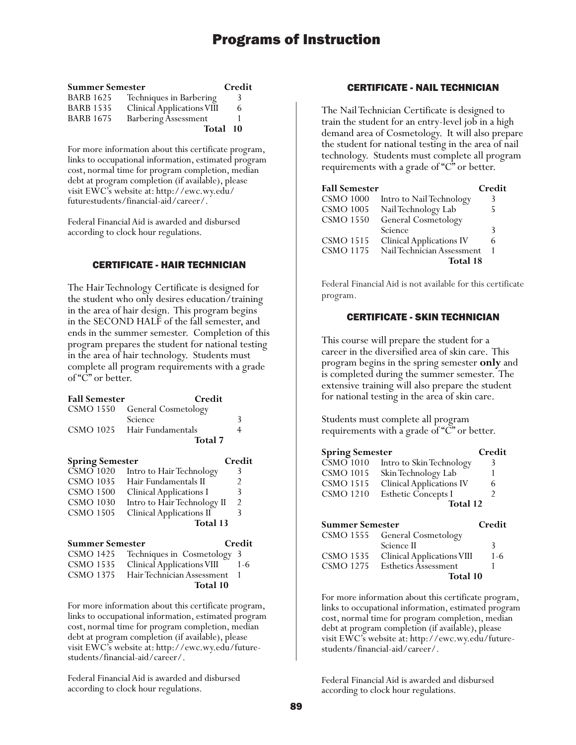| <b>Summer Semester</b> |                                   | Credit   |
|------------------------|-----------------------------------|----------|
| <b>BARB 1625</b>       | Techniques in Barbering           |          |
| <b>BARB 1535</b>       | <b>Clinical Applications VIII</b> | 6        |
| <b>BARB 1675</b>       | <b>Barbering Assessment</b>       |          |
|                        |                                   | Total 10 |

For more information about this certificate program, links to occupational information, estimated program cost, normal time for program completion, median debt at program completion (if available), please visit EWC's website at: http://ewc.wy.edu/ futurestudents/financial-aid/career/.

Federal Financial Aid is awarded and disbursed according to clock hour regulations.

## CERTIFICATE - HAIR TECHNICIAN

The Hair Technology Certificate is designed for the student who only desires education/training in the area of hair design. This program begins in the SECOND HALF of the fall semester, and ends in the summer semester. Completion of this program prepares the student for national testing in the area of hair technology. Students must complete all program requirements with a grade of "C" or better.

| <b>Fall Semester</b>   | Credit                            |        |
|------------------------|-----------------------------------|--------|
| CSMO 1550              | General Cosmetology               |        |
|                        | Science                           | 3      |
| CSMO 1025              | Hair Fundamentals                 | 4      |
|                        | <b>Total</b> 7                    |        |
| <b>Spring Semester</b> |                                   | Credit |
| <b>CSMO 1020</b>       | Intro to Hair Technology          | 3      |
| <b>CSMO 1035</b>       | Hair Fundamentals II              | 2      |
| CSMO 1500              | <b>Clinical Applications I</b>    | 3      |
| <b>CSMO 1030</b>       | Intro to Hair Technology II       | 2      |
| <b>CSMO 1505</b>       | <b>Clinical Applications II</b>   | 3      |
|                        | Total 13                          |        |
| Summer Semester        |                                   | Credit |
| CSMO 1425              | Techniques in Cosmetology         | 3      |
| CSMO 1535              | <b>Clinical Applications VIII</b> | 1-6    |
| <b>CSMO 1375</b>       | Hair Technician Assessment        | 1      |
|                        | <b>Total 10</b>                   |        |

For more information about this certificate program, links to occupational information, estimated program cost, normal time for program completion, median debt at program completion (if available), please visit EWC's website at: http://ewc.wy.edu/futurestudents/financial-aid/career/.

Federal Financial Aid is awarded and disbursed according to clock hour regulations.

## CERTIFICATE - NAIL TECHNICIAN

The Nail Technician Certificate is designed to train the student for an entry-level job in a high demand area of Cosmetology. It will also prepare the student for national testing in the area of nail technology. Students must complete all program requirements with a grade of "C" or better.

| <b>Fall Semester</b> |                                 | Credit |
|----------------------|---------------------------------|--------|
| <b>CSMO 1000</b>     | Intro to Nail Technology        | 3      |
| <b>CSMO 1005</b>     | Nail Technology Lab             | 5      |
| <b>CSMO 1550</b>     | General Cosmetology             |        |
|                      | Science                         | 3      |
| <b>CSMO 1515</b>     | <b>Clinical Applications IV</b> | 6      |
| <b>CSMO 1175</b>     | Nail Technician Assessment      |        |
|                      | Total 18                        |        |

Federal Financial Aid is not available for this certificate program.

## CERTIFICATE - SKIN TECHNICIAN

This course will prepare the student for a career in the diversified area of skin care. This program begins in the spring semester **only** and is completed during the summer semester. The extensive training will also prepare the student for national testing in the area of skin care.

Students must complete all program requirements with a grade of "C" or better.

| <b>Spring Semester</b>        |                                 | Credit |
|-------------------------------|---------------------------------|--------|
| $\overline{\text{CSMO}}$ 1010 | Intro to Skin Technology        |        |
| <b>CSMO 1015</b>              | Skin Technology Lab             |        |
| <b>CSMO 1515</b>              | <b>Clinical Applications IV</b> | 6      |
| <b>CSMO 1210</b>              | <b>Esthetic Concepts I</b>      |        |
|                               | Total 12                        |        |
|                               |                                 |        |

| <b>Summer Semester</b> |                                   | Credit  |
|------------------------|-----------------------------------|---------|
|                        | CSMO 1555 General Cosmetology     |         |
|                        | Science II                        | 3       |
| <b>CSMO 1535</b>       | <b>Clinical Applications VIII</b> | $1 - 6$ |
| <b>CSMO 1275</b>       | Esthetics Assessment              |         |
|                        | Total 10                          |         |

For more information about this certificate program, links to occupational information, estimated program cost, normal time for program completion, median debt at program completion (if available), please visit EWC's website at: http://ewc.wy.edu/futurestudents/financial-aid/career/.

Federal Financial Aid is awarded and disbursed according to clock hour regulations.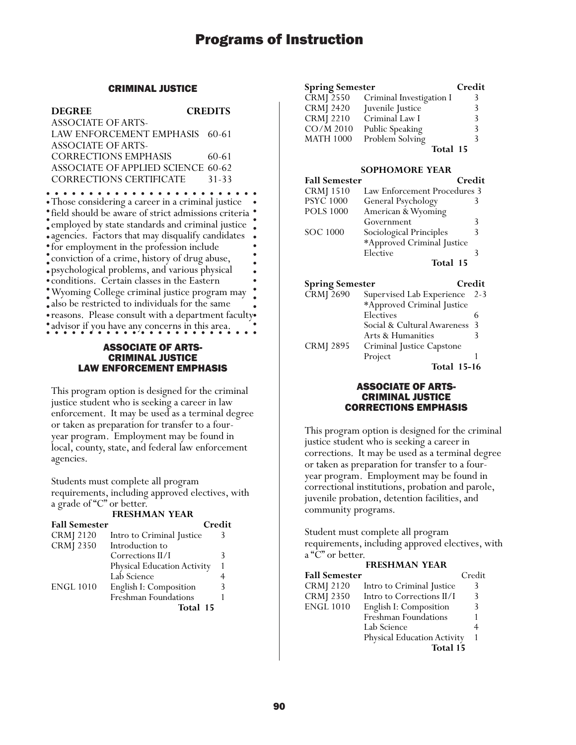## CRIMINAL JUSTICE

| <b>DEGREE</b>                                       | <b>CREDITS</b> |
|-----------------------------------------------------|----------------|
| <b>ASSOCIATE OF ARTS-</b>                           |                |
| LAW ENFORCEMENT EMPHASIS 60-61                      |                |
| <b>ASSOCIATE OF ARTS-</b>                           |                |
| <b>CORRECTIONS EMPHASIS</b>                         | 60-61          |
| <b>ASSOCIATE OF APPLIED SCIENCE 60-62</b>           |                |
| <b>CORRECTIONS CERTIFICATE</b>                      | 31-33          |
|                                                     |                |
| Those considering a career in a criminal justice    |                |
| field should be aware of strict admissions criteria |                |
| employed by state standards and criminal justice    |                |
| agencies. Factors that may disqualify candidates    |                |

for employment in the profession include conviction of a crime, history of drug abuse, psychological problems, and various physical conditions. Certain classes in the Eastern Wyoming College criminal justice program may also be restricted to individuals for the same reasons. Please consult with a department faculty advisor if you have any concerns in this area.

## ASSOCIATE OF ARTS-CRIMINAL JUSTICE LAW ENFORCEMENT EMPHASIS

This program option is designed for the criminal justice student who is seeking a career in law enforcement. It may be used as a terminal degree or taken as preparation for transfer to a fouryear program. Employment may be found in local, county, state, and federal law enforcement agencies.

Students must complete all program requirements, including approved electives, with a grade of "C" or better.

**FRESHMAN YEAR**

| <b>Fall Semester</b> |                                    | Credit |
|----------------------|------------------------------------|--------|
| <b>CRMJ</b> 2120     | Intro to Criminal Justice          | 3      |
| <b>CRMJ 2350</b>     | Introduction to                    |        |
|                      | Corrections II/I                   | 3      |
|                      | <b>Physical Education Activity</b> |        |
|                      | Lab Science                        |        |
| <b>ENGL 1010</b>     | English I: Composition             | 3      |
|                      | <b>Freshman Foundations</b>        |        |
|                      | Total 15                           |        |

| <b>Spring Semester</b> |                          | Credit |
|------------------------|--------------------------|--------|
| $CRM$ J $2550$         | Criminal Investigation I | 3      |
| <b>CRMJ 2420</b>       | Juvenile Justice         | 3      |
| <b>CRMJ</b> 2210       | Criminal Law I           | ζ      |
| CO/M 2010              | Public Speaking          | ζ      |
| <b>MATH 1000</b>       | Problem Solving          |        |
|                        | Total 15                 |        |

#### **SOPHOMORE YEAR**

| <b>Fall Semester</b> | Credit                       |   |
|----------------------|------------------------------|---|
| <b>CRMJ</b> 1510     | Law Enforcement Procedures 3 |   |
| <b>PSYC 1000</b>     | General Psychology           |   |
| <b>POLS 1000</b>     | American & Wyoming           |   |
|                      | Government                   | 3 |
| <b>SOC 1000</b>      | Sociological Principles      | 3 |
|                      | *Approved Criminal Justice   |   |
|                      | Elective                     |   |
|                      | Total 15                     |   |

| <b>Spring Semester</b> |                             | Credit  |
|------------------------|-----------------------------|---------|
| <b>CRMJ</b> 2690       | Supervised Lab Experience   | $2 - 3$ |
|                        | *Approved Criminal Justice  |         |
|                        | Electives                   |         |
|                        | Social & Cultural Awareness | -3      |
|                        | Arts & Humanities           | 3       |
| <b>CRMJ 2895</b>       | Criminal Justice Capstone   |         |
|                        | Project                     |         |
|                        | <b>Total 15-16</b>          |         |

## ASSOCIATE OF ARTS-CRIMINAL JUSTICE CORRECTIONS EMPHASIS

This program option is designed for the criminal justice student who is seeking a career in corrections. It may be used as a terminal degree or taken as preparation for transfer to a fouryear program. Employment may be found in correctional institutions, probation and parole, juvenile probation, detention facilities, and community programs.

Student must complete all program requirements, including approved electives, with a "C" or better.

| <b>FRESHMAN YEAR</b> |                             |        |
|----------------------|-----------------------------|--------|
| <b>Fall Semester</b> |                             | Credit |
| <b>CRMJ</b> 2120     | Intro to Criminal Justice   | 3      |
| <b>CRMJ 2350</b>     | Intro to Corrections II/I   | 3      |
| <b>ENGL 1010</b>     | English I: Composition      | 3      |
|                      | Freshman Foundations        |        |
|                      | Lab Science                 |        |
|                      | Physical Education Activity |        |
|                      | Total 15                    |        |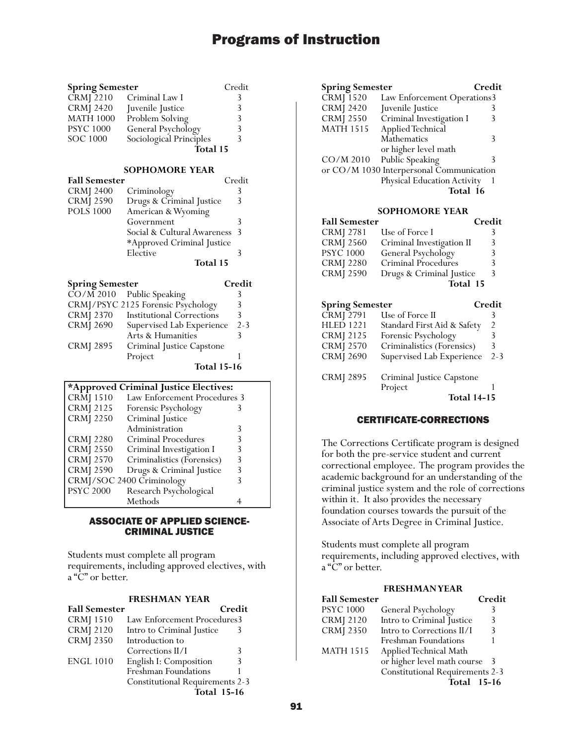| <b>Spring Semester</b> |                         | Credit |
|------------------------|-------------------------|--------|
| $CRM\overline{)2210}$  | Criminal Law I          | 3      |
| <b>CRMJ 2420</b>       | Juvenile Justice        | 3      |
| <b>MATH 1000</b>       | Problem Solving         | 3      |
| <b>PSYC 1000</b>       | General Psychology      | 3      |
| <b>SOC 1000</b>        | Sociological Principles | 3      |
|                        | Total 15                |        |

#### **SOPHOMORE YEAR**

| <b>Fall Semester</b> |                             | Credit |
|----------------------|-----------------------------|--------|
| <b>CRMJ 2400</b>     | Criminology                 | 3      |
| <b>CRMJ 2590</b>     | Drugs & Criminal Justice    | 3      |
| <b>POLS 1000</b>     | American & Wyoming          |        |
|                      | Government                  | 3      |
|                      | Social & Cultural Awareness | -3     |
|                      | *Approved Criminal Justice  |        |
|                      | Elective                    | 3      |
|                      | Total 15                    |        |

| <b>Spring Semester</b> |                                        | Credit  |
|------------------------|----------------------------------------|---------|
|                        | $\overline{CO/M}$ 2010 Public Speaking |         |
|                        | CRMJ/PSYC 2125 Forensic Psychology     |         |
| <b>CRMJ 2370</b>       | <b>Institutional Corrections</b>       | 3       |
| <b>CRMJ 2690</b>       | Supervised Lab Experience              | $2 - 3$ |
|                        | Arts & Humanities                      |         |
| <b>CRMJ 2895</b>       | Criminal Justice Capstone              |         |
|                        | Project                                |         |

**Total 15-16**

| *Approved Criminal Justice Electives: |                              |   |
|---------------------------------------|------------------------------|---|
| CRM 1510                              | Law Enforcement Procedures 3 |   |
| <b>CRMJ 2125</b>                      | Forensic Psychology          |   |
| <b>CRMJ 2250</b>                      | Criminal Justice             |   |
|                                       | Administration               | 3 |
| <b>CRMJ 2280</b>                      | <b>Criminal Procedures</b>   | 3 |
| <b>CRMJ 2550</b>                      | Criminal Investigation I     | 3 |
| <b>CRMJ 2570</b>                      | Criminalistics (Forensics)   | 3 |
| <b>CRMJ 2590</b>                      | Drugs & Criminal Justice     | 3 |
|                                       | CRMJ/SOC 2400 Criminology    |   |
| <b>PSYC 2000</b>                      | Research Psychological       |   |
|                                       | Methods                      |   |

## ASSOCIATE OF APPLIED SCIENCE-CRIMINAL JUSTICE

Students must complete all program requirements, including approved electives, with a "C" or better.

#### **FRESHMAN YEAR**

| <b>Fall Semester</b> |                                        | Credit             |
|----------------------|----------------------------------------|--------------------|
| <b>CRMJ</b> 1510     | Law Enforcement Procedures3            |                    |
| <b>CRMJ</b> 2120     | Intro to Criminal Justice              |                    |
| <b>CRMJ 2350</b>     | Introduction to                        |                    |
|                      | Corrections II/I                       | 3                  |
| <b>ENGL 1010</b>     | English I: Composition                 | 3                  |
|                      | Freshman Foundations                   |                    |
|                      | <b>Constitutional Requirements 2-3</b> |                    |
|                      |                                        | <b>Total 15-16</b> |

| <b>Spring Semester</b>                   |                             | Credit |
|------------------------------------------|-----------------------------|--------|
| CRMJ 1520                                | Law Enforcement Operations3 |        |
| <b>CRMJ 2420</b>                         | Juvenile Justice            |        |
| <b>CRMJ 2550</b>                         | Criminal Investigation I    | 3      |
| <b>MATH 1515</b>                         | Applied Technical           |        |
|                                          | Mathematics                 | 3      |
|                                          | or higher level math        |        |
| $CO/M$ 2010                              | Public Speaking             | 3      |
| or CO/M 1030 Interpersonal Communication |                             |        |
|                                          | Physical Education Activity |        |
|                                          | Total 16                    |        |

### **SOPHOMORE YEAR**

| <b>Fall Semester</b>   |                                | Credit |
|------------------------|--------------------------------|--------|
| <b>CRMJ 2781</b>       | Use of Force I                 | 3      |
| <b>CRMJ 2560</b>       | Criminal Investigation II      | 3      |
| <b>PSYC 1000</b>       | General Psychology             | 3      |
| <b>CRMJ</b> 2280       | Criminal Procedures            | 3      |
| <b>CRMJ 2590</b>       | Drugs & Criminal Justice       | 3      |
|                        | Total 15                       |        |
| <b>Spring Semester</b> |                                | Credit |
|                        | $CRM$ [ $2791$ Use of Force II |        |

|                  | <b>Total 14-15</b>          |         |
|------------------|-----------------------------|---------|
|                  | Project                     |         |
| <b>CRMJ 2895</b> | Criminal Justice Capstone   |         |
| <b>CRMJ 2690</b> | Supervised Lab Experience   | $2 - 3$ |
| <b>CRMJ 2570</b> | Criminalistics (Forensics)  | 3       |
| <b>CRMJ 2125</b> | Forensic Psychology         | 3       |
| <b>HLED 1221</b> | Standard First Aid & Safety | 2       |
| CIVII 4121       | ase of Force in             |         |

## CERTIFICATE-CORRECTIONS

The Corrections Certificate program is designed for both the pre-service student and current correctional employee. The program provides the academic background for an understanding of the criminal justice system and the role of corrections within it. It also provides the necessary foundation courses towards the pursuit of the Associate of Arts Degree in Criminal Justice.

Students must complete all program requirements, including approved electives, with a "C" or better.

#### **FRESHMAN YEAR**

| <b>Fall Semester</b> |                                        | Credit |
|----------------------|----------------------------------------|--------|
| <b>PSYC 1000</b>     | General Psychology                     |        |
| <b>CRMJ</b> 2120     | Intro to Criminal Justice              | 3      |
| <b>CRMJ 2350</b>     | Intro to Corrections II/I              | 3      |
|                      | Freshman Foundations                   |        |
| <b>MATH 1515</b>     | Applied Technical Math                 |        |
|                      | or higher level math course            | - 3    |
|                      | <b>Constitutional Requirements 2-3</b> |        |
|                      | <b>Total</b> 15-16                     |        |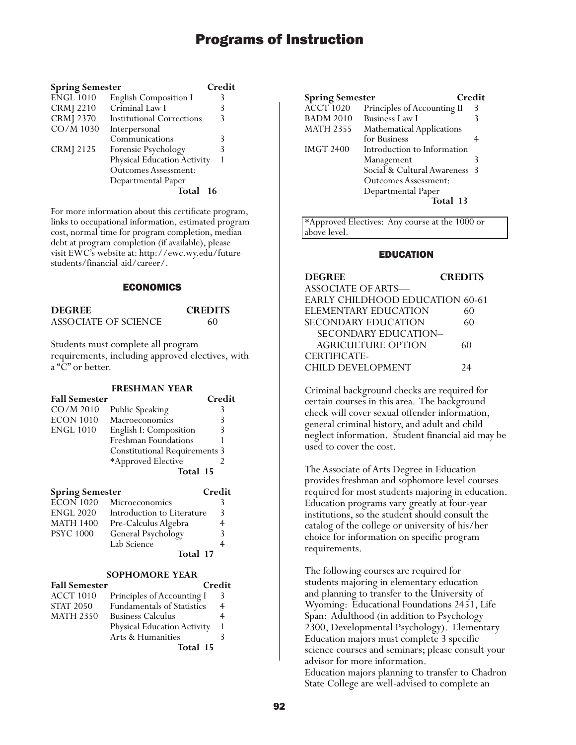| <b>Spring Semester</b> |                                    | Credit |
|------------------------|------------------------------------|--------|
| <b>ENGL 1010</b>       | English Composition I              | 3      |
| <b>CRMJ</b> 2210       | Criminal Law I                     | 3      |
| <b>CRMJ 2370</b>       | <b>Institutional Corrections</b>   | 3      |
| CO/M 1030              | Interpersonal                      |        |
|                        | Communications                     | 3      |
| <b>CRMJ</b> 2125       | Forensic Psychology                | 3      |
|                        | <b>Physical Education Activity</b> |        |
|                        | <b>Outcomes Assessment:</b>        |        |
|                        | Departmental Paper                 |        |
|                        | Total                              | $-16$  |

For more information about this certificate program, links to occupational information, estimated program cost, normal time for program completion, median debt at program completion (if available), please visit EWC's website at: http://ewc.wy.edu/futurestudents/financial-aid/career/.

### ECONOMICS

**DEGREE CREDITS** ASSOCIATE OF SCIENCE 60

Students must complete all program requirements, including approved electives, with a "C" or better.

#### **FRESHMAN YEAR**

| <b>Fall Semester</b> |                                      | Credit |
|----------------------|--------------------------------------|--------|
| CO/M 2010            | Public Speaking                      | 3      |
| ECON 1010            | Macroeconomics                       | 3      |
| ENGL 1010            | English I: Composition               | 3      |
|                      | Freshman Foundations                 |        |
|                      | <b>Constitutional Requirements 3</b> |        |
|                      | *Approved Elective                   |        |
|                      | Total 15                             |        |

| <b>Spring Semester</b> |                            | Credit |
|------------------------|----------------------------|--------|
| $E\overline{CON}$ 1020 | Microeconomics             |        |
| <b>ENGL 2020</b>       | Introduction to Literature | ξ      |
| <b>MATH 1400</b>       | Pre-Calculus Algebra       |        |
| <b>PSYC 1000</b>       | General Psychology         | २      |
|                        | Lab Science                |        |
|                        | Total 17                   |        |

## **SOPHOMORE YEAR**

| <b>Fall Semester</b> | Credit                      |   |
|----------------------|-----------------------------|---|
| <b>ACCT 1010</b>     | Principles of Accounting I  | 3 |
| <b>STAT 2050</b>     | Fundamentals of Statistics  | 4 |
| <b>MATH 2350</b>     | <b>Business Calculus</b>    |   |
|                      | Physical Education Activity |   |
|                      | Arts & Humanities           |   |
|                      | Total 15                    |   |

| <b>Spring Semester</b> |                                  | Credit |
|------------------------|----------------------------------|--------|
| <b>ACCT 1020</b>       | Principles of Accounting II      | 3      |
| <b>BADM 2010</b>       | <b>Business Law I</b>            | 3      |
| <b>MATH 2355</b>       | <b>Mathematical Applications</b> |        |
|                        | for Business                     |        |
| <b>IMGT 2400</b>       | Introduction to Information      |        |
|                        | Management                       | 3      |
|                        | Social & Cultural Awareness      | - 3    |
|                        | Outcomes Assessment:             |        |
|                        | Departmental Paper               |        |
|                        | Total 13                         |        |

\*Approved Electives: Any course at the 1000 or above level.

#### EDUCATION

## **DEGREE CREDITS** ASSOCIATE OF ARTS— EARLY CHILDHOOD EDUCATION 60-61 ELEMENTARY EDUCATION 60 SECONDARY EDUCATION 60 SECONDARY EDUCATION– AGRICULTURE OPTION 60 CERTIFICATE-CHILD DEVELOPMENT 24

Criminal background checks are required for certain courses in this area. The background check will cover sexual offender information, general criminal history, and adult and child neglect information. Student financial aid may be used to cover the cost.

The Associate of Arts Degree in Education provides freshman and sophomore level courses required for most students majoring in education. Education programs vary greatly at four-year institutions, so the student should consult the catalog of the college or university of his/her choice for information on specific program requirements.

The following courses are required for students majoring in elementary education and planning to transfer to the University of Wyoming: Educational Foundations 2451, Life Span: Adulthood (in addition to Psychology 2300, Developmental Psychology). Elementary Education majors must complete 3 specific science courses and seminars; please consult your advisor for more information. Education majors planning to transfer to Chadron State College are well-advised to complete an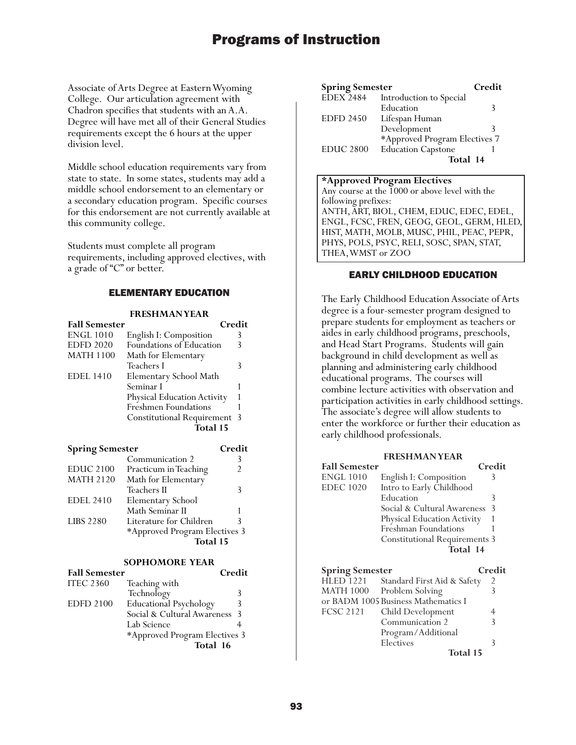Associate of Arts Degree at Eastern Wyoming College. Our articulation agreement with Chadron specifies that students with an A.A. Degree will have met all of their General Studies requirements except the 6 hours at the upper division level.

Middle school education requirements vary from state to state. In some states, students may add a middle school endorsement to an elementary or a secondary education program. Specific courses for this endorsement are not currently available at this community college.

Students must complete all program requirements, including approved electives, with a grade of "C" or better.

### ELEMENTARY EDUCATION

## **FRESHMAN YEAR**

| <b>Fall Semester</b>   |                                   | Credit |
|------------------------|-----------------------------------|--------|
| <b>ENGL 1010</b>       | English I: Composition            | 3      |
| <b>EDFD 2020</b>       | Foundations of Education          | 3      |
| <b>MATH 1100</b>       | Math for Elementary               |        |
|                        | Teachers I                        | 3      |
| <b>EDEL 1410</b>       | Elementary School Math            |        |
|                        | Seminar I                         | 1      |
|                        | Physical Education Activity       | 1      |
|                        | Freshmen Foundations              | 1      |
|                        | <b>Constitutional Requirement</b> | 3      |
|                        | Total 15                          |        |
|                        |                                   |        |
| <b>Spring Semester</b> |                                   | Credit |
|                        | Communication 2                   | 3      |
| <b>EDUC 2100</b>       | Practicum in Teaching             | 2      |
| <b>MATH 2120</b>       | Math for Elementary               |        |
|                        | Teachers II                       | 3      |
| <b>EDEL 2410</b>       | Elementary School                 |        |
|                        | Math Seminar II                   | 1      |
| <b>LIBS 2280</b>       | Literature for Children           | 3      |
|                        | *Approved Program Electives 3     |        |
|                        |                                   |        |

#### **SOPHOMORE YEAR**

| <b>Fall Semester</b> |                               | Credit        |
|----------------------|-------------------------------|---------------|
| <b>ITEC 2360</b>     | Teaching with                 |               |
|                      | Technology                    | 3             |
| <b>EDFD 2100</b>     | <b>Educational Psychology</b> | 3             |
|                      | Social & Cultural Awareness   | $\mathcal{R}$ |
|                      | Lab Science                   |               |
|                      | *Approved Program Electives 3 |               |
|                      | Total 16                      |               |

| <b>Spring Semester</b> |                               | Credit |
|------------------------|-------------------------------|--------|
| <b>EDEX 2484</b>       | Introduction to Special       |        |
|                        | Education                     | 3      |
| <b>EDFD 2450</b>       | Lifespan Human                |        |
|                        | Development                   | 3      |
|                        | *Approved Program Electives 7 |        |
| <b>EDUC 2800</b>       | <b>Education Capstone</b>     |        |
|                        | Total 14                      |        |

#### **\*Approved Program Electives**

Any course at the 1000 or above level with the following prefixes: ANTH, ART, BIOL, CHEM, EDUC, EDEC, EDEL, ENGL, FCSC, FREN, GEOG, GEOL, GERM, HLED, HIST, MATH, MOLB, MUSC, PHIL, PEAC, PEPR, PHYS, POLS, PSYC, RELI, SOSC, SPAN, STAT, THEA, WMST or ZOO

## EARLY CHILDHOOD EDUCATION

The Early Childhood Education Associate of Arts degree is a four-semester program designed to prepare students for employment as teachers or aides in early childhood programs, preschools, and Head Start Programs. Students will gain background in child development as well as planning and administering early childhood educational programs. The courses will combine lecture activities with observation and participation activities in early childhood settings. The associate's degree will allow students to enter the workforce or further their education as early childhood professionals.

#### **FRESHMAN YEAR**

| <b>Fall Semester</b>                       |                                                        | Credit         |
|--------------------------------------------|--------------------------------------------------------|----------------|
| <b>ENGL 1010</b>                           | English I: Composition                                 | 3              |
| <b>EDEC</b> 1020                           | Intro to Early Childhood                               |                |
|                                            | Education                                              | 3              |
|                                            | Social & Cultural Awareness                            | 3              |
|                                            | Physical Education Activity                            | 1              |
|                                            | Freshman Foundations                                   | 1              |
|                                            | <b>Constitutional Requirements 3</b>                   |                |
|                                            | Total 14                                               |                |
|                                            |                                                        |                |
|                                            |                                                        |                |
|                                            |                                                        | Credit         |
| <b>Spring Semester</b><br><b>HLED 1221</b> | Standard First Aid & Safety                            | $\overline{2}$ |
| MATH 1000                                  |                                                        | 3              |
|                                            | Problem Solving<br>or BADM 1005 Business Mathematics I |                |
| <b>FCSC 2121</b>                           |                                                        | 4              |
|                                            | Child Development<br>Communication 2                   | 3              |
|                                            |                                                        |                |
|                                            | Program/Additional<br>Electives                        | 3              |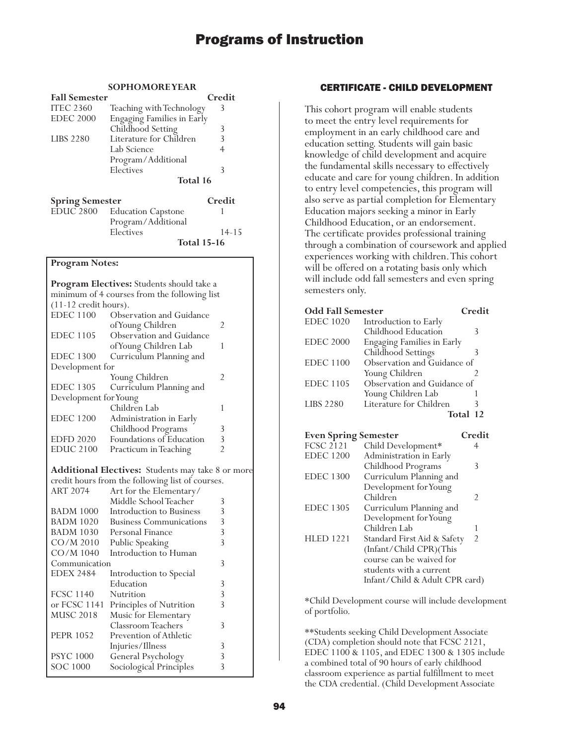### **SOPHOMORE YEAR**

| <b>Fall Semester</b>   |                                   | Credit    |
|------------------------|-----------------------------------|-----------|
| <b>ITEC 2360</b>       | Teaching with Technology          | 3         |
| <b>EDEC 2000</b>       | <b>Engaging Families in Early</b> |           |
|                        | Childhood Setting                 | 3         |
| <b>LIBS 2280</b>       | Literature for Children           | 3         |
|                        | Lab Science                       | 4         |
|                        | Program/Additional                |           |
|                        | Electives                         | 3         |
|                        | Total 16                          |           |
| <b>Spring Semester</b> |                                   | Credit    |
| <b>EDUC 2800</b>       | <b>Education Capstone</b>         | 1         |
|                        | Program/Additional                |           |
|                        | Electives                         | $14 - 15$ |
|                        | <b>Total 15-16</b>                |           |

#### **Program Notes:**

| Program Electives: Students should take a    |                                                          |                |  |
|----------------------------------------------|----------------------------------------------------------|----------------|--|
| minimum of 4 courses from the following list |                                                          |                |  |
| $(11-12 \text{ credit hours}).$              |                                                          |                |  |
| <b>EDEC 1100</b>                             | Observation and Guidance                                 |                |  |
|                                              | of Young Children                                        | $\overline{2}$ |  |
| <b>EDEC 1105</b>                             | Observation and Guidance                                 |                |  |
|                                              | of Young Children Lab                                    | 1              |  |
| <b>EDEC 1300</b>                             | Curriculum Planning and                                  |                |  |
| Development for                              |                                                          |                |  |
|                                              | Young Children                                           | $\overline{2}$ |  |
| <b>EDEC 1305</b>                             | Curriculum Planning and                                  |                |  |
| Development for Young                        |                                                          |                |  |
|                                              | Children Lab                                             | 1              |  |
| <b>EDEC 1200</b>                             | Administration in Early                                  |                |  |
|                                              | Childhood Programs                                       | 3              |  |
| <b>EDFD 2020</b>                             | Foundations of Education                                 | 3              |  |
| <b>EDUC 2100</b>                             | Practicum in Teaching                                    | $\mathfrak{D}$ |  |
|                                              |                                                          |                |  |
|                                              | <b>Additional Electives:</b> Students may take 8 or more |                |  |
| <b>ART 2074</b>                              | credit hours from the following list of courses.         |                |  |
|                                              | Art for the Elementary/<br>Middle School Teacher         | 3              |  |
| <b>BADM 1000</b>                             | Introduction to Business                                 | 3              |  |
| <b>BADM 1020</b>                             | <b>Business Communications</b>                           | 3              |  |
| <b>BADM 1030</b>                             | Personal Finance                                         | 3              |  |
| $CO/M$ 2010                                  |                                                          | $\overline{3}$ |  |
|                                              | Public Speaking<br>Introduction to Human                 |                |  |
| CO/M 1040                                    |                                                          | 3              |  |
| Communication                                |                                                          |                |  |
| <b>EDEX 2484</b>                             | Introduction to Special                                  |                |  |
|                                              | Education                                                | 3              |  |
| <b>FCSC 1140</b>                             | Nutrition                                                | 3              |  |
| or FCSC 1141                                 | Principles of Nutrition                                  | 3              |  |
| <b>MUSC 2018</b>                             | Music for Elementary                                     |                |  |
|                                              | Classroom Teachers                                       | 3              |  |
| <b>PEPR 1052</b>                             | Prevention of Athletic                                   |                |  |
|                                              | Injuries/Illness                                         | 3              |  |
| <b>PSYC 1000</b>                             | General Psychology                                       | 3              |  |
| <b>SOC 1000</b>                              | Sociological Principles                                  | 3              |  |

### CERTIFICATE - CHILD DEVELOPMENT

This cohort program will enable students to meet the entry level requirements for employment in an early childhood care and education setting. Students will gain basic knowledge of child development and acquire the fundamental skills necessary to effectively educate and care for young children. In addition to entry level competencies, this program will also serve as partial completion for Elementary Education majors seeking a minor in Early Childhood Education, or an endorsement. The certificate provides professional training through a combination of coursework and applied experiences working with children. This cohort will be offered on a rotating basis only which will include odd fall semesters and even spring semesters only.

| <b>Odd Fall Semester</b>    |                                   | Credit         |
|-----------------------------|-----------------------------------|----------------|
| <b>EDEC 1020</b>            | Introduction to Early             |                |
|                             | Childhood Education               | 3              |
| <b>EDEC 2000</b>            | <b>Engaging Families in Early</b> |                |
|                             | Childhood Settings                | 3              |
| <b>EDEC</b> 1100            | Observation and Guidance of       |                |
|                             | Young Children                    | 2              |
| <b>EDEC 1105</b>            | Observation and Guidance of       |                |
|                             | Young Children Lab                | 1              |
| <b>LIBS 2280</b>            | Literature for Children           | 3              |
|                             |                                   | Total<br>12    |
|                             |                                   |                |
| <b>Even Spring Semester</b> |                                   | Credit         |
| <b>FCSC 2121</b>            | Child Development*                | 4              |
| <b>EDEC 1200</b>            | Administration in Early           |                |
|                             | Childhood Programs                | 3              |
| <b>EDEC 1300</b>            | Curriculum Planning and           |                |
|                             | Development for Young             |                |
|                             | Children                          | $\mathfrak{D}$ |
| <b>EDEC 1305</b>            | Curriculum Planning and           |                |
|                             | Development for Young             |                |
|                             | Children Lab                      | 1              |
| <b>HLED 1221</b>            | Standard First Aid & Safety       | $\overline{2}$ |
|                             | (Infant/Child CPR)(This           |                |
|                             | course can be waived for          |                |
|                             | students with a current           |                |
|                             | Infant/Child & Adult CPR card)    |                |
|                             |                                   |                |

\*Child Development course will include development of portfolio.

\*\*Students seeking Child Development Associate (CDA) completion should note that FCSC 2121, EDEC 1100 & 1105, and EDEC 1300 & 1305 include a combined total of 90 hours of early childhood classroom experience as partial fulfillment to meet the CDA credential. (Child Development Associate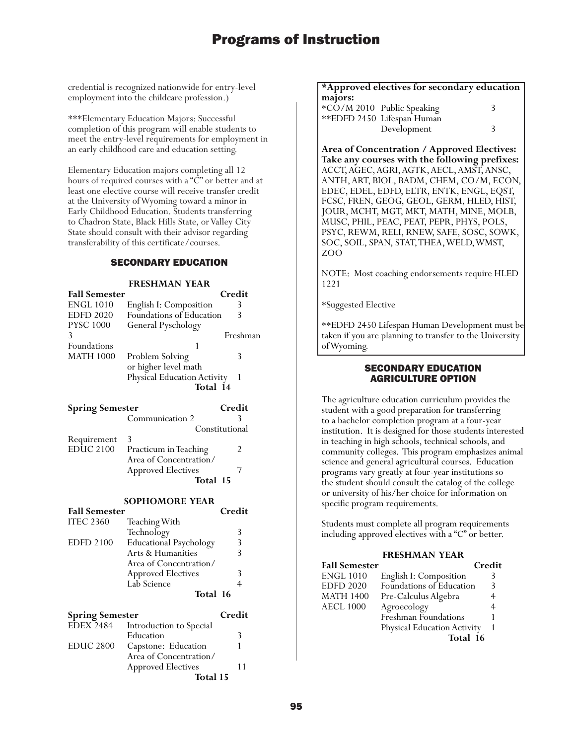credential is recognized nationwide for entry-level employment into the childcare profession.)

\*\*\*Elementary Education Majors: Successful completion of this program will enable students to meet the entry-level requirements for employment in an early childhood care and education setting.

Elementary Education majors completing all 12 hours of required courses with a "C" or better and at least one elective course will receive transfer credit at the University of Wyoming toward a minor in Early Childhood Education. Students transferring to Chadron State, Black Hills State, or Valley City State should consult with their advisor regarding transferability of this certificate/courses.

### SECONDARY EDUCATION

#### **FRESHMAN YEAR**

| <b>Fall Semester</b> |                                    | Credit   |
|----------------------|------------------------------------|----------|
| <b>ENGL 1010</b>     | English I: Composition             | 3        |
| <b>EDFD 2020</b>     | Foundations of Education           | 3        |
| <b>PYSC 1000</b>     | General Pyschology                 |          |
| 3                    |                                    | Freshman |
| Foundations          |                                    |          |
| <b>MATH 1000</b>     | Problem Solving                    | 3        |
|                      | or higher level math               |          |
|                      | <b>Physical Education Activity</b> |          |
|                      | Total 14                           |          |

| <b>Spring Semester</b> |                           | Credit         |
|------------------------|---------------------------|----------------|
|                        | Communication 2           |                |
|                        |                           | Constitutional |
| Requirement            | -3                        |                |
| EDUC 2100              | Practicum in Teaching     | $\mathcal{P}$  |
|                        | Area of Concentration/    |                |
|                        | <b>Approved Electives</b> |                |
|                        | Total 15                  |                |

#### **SOPHOMORE YEAR**

| <b>Fall Semester</b> |                               | Credit |
|----------------------|-------------------------------|--------|
| <b>ITEC 2360</b>     | Teaching With                 |        |
|                      | Technology                    | 3      |
| <b>EDFD 2100</b>     | <b>Educational Psychology</b> | 3      |
|                      | Arts & Humanities             | 3      |
|                      | Area of Concentration/        |        |
|                      | <b>Approved Electives</b>     | 3      |
|                      | Lab Science                   | 4      |
|                      | Total 16                      |        |

| <b>Spring Semester</b> |                           | Credit |
|------------------------|---------------------------|--------|
| $EDEX$ <sub>2484</sub> | Introduction to Special   |        |
|                        | Education                 |        |
| <b>EDUC 2800</b>       | Capstone: Education       |        |
|                        | Area of Concentration/    |        |
|                        | <b>Approved Electives</b> | 11     |
|                        | Total 15                  |        |

#### **\*Approved electives for secondary education majors:**

| *CO/M 2010 Public Speaking<br>**EDFD 2450 Lifespan Human |  |
|----------------------------------------------------------|--|
| Development                                              |  |

**Area of Concentration / Approved Electives: Take any courses with the following prefixes:** ACCT, AGEC, AGRI, AGTK, AECL, AMST, ANSC, ANTH, ART, BIOL, BADM, CHEM, CO/M, ECON, EDEC, EDEL, EDFD, ELTR, ENTK, ENGL, EQST, FCSC, FREN, GEOG, GEOL, GERM, HLED, HIST, JOUR, MCHT, MGT, MKT, MATH, MINE, MOLB, MUSC, PHIL, PEAC, PEAT, PEPR, PHYS, POLS, PSYC, REWM, RELI, RNEW, SAFE, SOSC, SOWK, SOC, SOIL, SPAN, STAT, THEA, WELD, WMST, ZOO

NOTE: Most coaching endorsements require HLED 1221

\*Suggested Elective

\*\*EDFD 2450 Lifespan Human Development must be taken if you are planning to transfer to the University of Wyoming.

### SECONDARY EDUCATION AGRICULTURE OPTION

The agriculture education curriculum provides the student with a good preparation for transferring to a bachelor completion program at a four-year institution. It is designed for those students interested in teaching in high schools, technical schools, and community colleges. This program emphasizes animal science and general agricultural courses. Education programs vary greatly at four-year institutions so the student should consult the catalog of the college or university of his/her choice for information on specific program requirements.

Students must complete all program requirements including approved electives with a "C" or better.

#### **FRESHMAN YEAR**

| <b>Fall Semester</b> |                             | Credit |
|----------------------|-----------------------------|--------|
| <b>ENGL 1010</b>     | English I: Composition      |        |
| <b>EDFD 2020</b>     | Foundations of Education    | 3      |
| <b>MATH 1400</b>     | Pre-Calculus Algebra        |        |
| <b>AECL 1000</b>     | Agroecology                 |        |
|                      | Freshman Foundations        |        |
|                      | Physical Education Activity |        |
|                      | Total 16                    |        |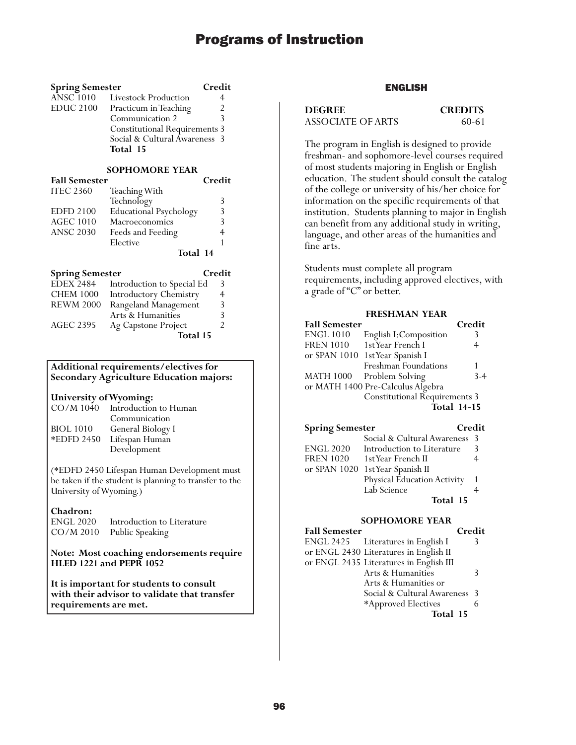| <b>Spring Semester</b> |                                      | Credit |
|------------------------|--------------------------------------|--------|
|                        | ANSC 1010 Livestock Production       |        |
| EDUC 2100              | Practicum in Teaching                | 2      |
|                        | Communication 2                      | 3      |
|                        | <b>Constitutional Requirements 3</b> |        |
|                        | Social & Cultural Awareness 3        |        |
|                        | Total 15                             |        |

### **SOPHOMORE YEAR**

| <b>Fall Semester</b> |                               | Credit |
|----------------------|-------------------------------|--------|
| <b>ITEC 2360</b>     | Teaching With                 |        |
|                      | Technology                    | 3      |
| <b>EDFD 2100</b>     | <b>Educational Psychology</b> | 3      |
| <b>AGEC 1010</b>     | Macroeconomics                | 3      |
| <b>ANSC 2030</b>     | Feeds and Feeding             |        |
|                      | Elective                      |        |
|                      | Total 14                      |        |

| <b>Spring Semester</b> |                               | Credit |
|------------------------|-------------------------------|--------|
| <b>EDEX 2484</b>       | Introduction to Special Ed    |        |
| <b>CHEM 1000</b>       | <b>Introductory Chemistry</b> | 4      |
| <b>REWM 2000</b>       | Rangeland Management          | 3      |
|                        | Arts & Humanities             | ξ      |
| <b>AGEC 2395</b>       | Ag Capstone Project           | 7      |
|                        | Total 15                      |        |

#### **Additional requirements/electives for Secondary Agriculture Education majors:**

#### **University of Wyoming:**

| $CO/M$ 1040      | Introduction to Human |
|------------------|-----------------------|
|                  | Communication         |
| <b>BIOL</b> 1010 | General Biology I     |
| *EDFD 2450       | Lifespan Human        |
|                  | Development           |

(\*EDFD 2450 Lifespan Human Development must be taken if the student is planning to transfer to the University of Wyoming.)

#### **Chadron:**

| ENGL 2020 | Introduction to Literature |
|-----------|----------------------------|
| CO/M 2010 | Public Speaking            |

#### **Note: Most coaching endorsements require HLED 1221 and PEPR 1052**

**It is important for students to consult with their advisor to validate that transfer requirements are met.**

## ENGLISH

**DEGREE CREDITS** ASSOCIATE OF ARTS 60-61

The program in English is designed to provide freshman- and sophomore-level courses required of most students majoring in English or English education. The student should consult the catalog of the college or university of his/her choice for information on the specific requirements of that institution. Students planning to major in English can benefit from any additional study in writing, language, and other areas of the humanities and fine arts.

Students must complete all program requirements, including approved electives, with a grade of "C" or better.

#### **FRESHMAN YEAR**

| <b>Fall Semester</b> |                                   | Credit             |
|----------------------|-----------------------------------|--------------------|
| <b>ENGL 1010</b>     | English I: Composition            | 3                  |
| <b>FREN 1010</b>     | 1st Year French I                 | 4                  |
| or SPAN 1010         | 1st Year Spanish I                |                    |
|                      | Freshman Foundations              |                    |
| <b>MATH 1000</b>     | Problem Solving                   | $3 - 4$            |
|                      | or MATH 1400 Pre-Calculus Algebra |                    |
|                      | Constitutional Requirements 3     |                    |
|                      |                                   | <b>Total 14-15</b> |

## **Spring Semester Credit**

|                  | Social & Cultural Awareness 3    |               |
|------------------|----------------------------------|---------------|
| <b>ENGL 2020</b> | Introduction to Literature       | $\mathcal{R}$ |
| <b>FREN 1020</b> | 1st Year French II               |               |
|                  | or SPAN 1020 1st Year Spanish II |               |
|                  | Physical Education Activity      |               |
|                  | Lab Science                      |               |
|                  | Total 15                         |               |

#### **SOPHOMORE YEAR**

**Fall Semester** Credit<br>ENGL 2425 Literatures in English I 3 Literatures in English I or ENGL 2430 Literatures in English II or ENGL 2435 Literatures in English III Arts & Humanities 3 Arts & Humanities or Social & Cultural Awareness 3 \*Approved Electives 6 **Total 15**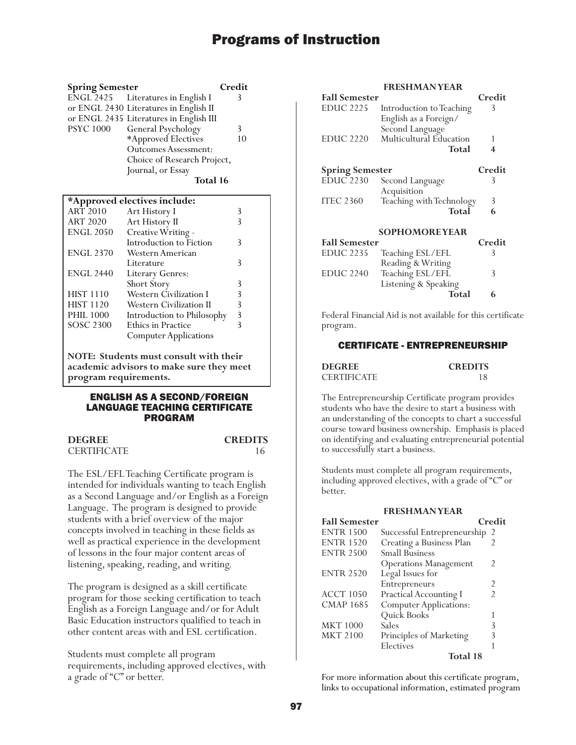| <b>Spring Semester</b> |                                         | Credit |
|------------------------|-----------------------------------------|--------|
|                        | ENGL 2425 Literatures in English I      | 3      |
|                        | or ENGL 2430 Literatures in English II  |        |
|                        | or ENGL 2435 Literatures in English III |        |
| <b>PSYC 1000</b>       | General Psychology                      | 3      |
|                        | *Approved Electives                     | 10     |
|                        | <b>Outcomes Assessment:</b>             |        |
|                        | Choice of Research Project,             |        |
|                        | Journal, or Essay                       |        |
|                        | Total 16                                |        |

#### **\*Approved electives include:**

| "Approved electives include: |   |
|------------------------------|---|
| Art History I                | 3 |
| Art History II               |   |
| Creative Writing -           |   |
| Introduction to Fiction      | 3 |
| Western American             |   |
| Literature                   | 3 |
| Literary Genres:             |   |
| Short Story                  | 3 |
| Western Civilization I       | 3 |
| Western Civilization II      | 3 |
| Introduction to Philosophy   | 3 |
| <b>Ethics in Practice</b>    |   |
| <b>Computer Applications</b> |   |
|                              |   |

**NOTE: Students must consult with their academic advisors to make sure they meet program requirements.**

#### ENGLISH AS A SECOND/FOREIGN LANGUAGE TEACHING CERTIFICATE PROGRAM

**CREDITS** 

| <b>DEGREE</b>      | <b>CREDITS</b> |
|--------------------|----------------|
| <b>CERTIFICATE</b> |                |

The ESL/EFL Teaching Certificate program is intended for individuals wanting to teach English as a Second Language and/or English as a Foreign Language. The program is designed to provide students with a brief overview of the major concepts involved in teaching in these fields as well as practical experience in the development of lessons in the four major content areas of listening, speaking, reading, and writing.

The program is designed as a skill certificate program for those seeking certification to teach English as a Foreign Language and/or for Adult Basic Education instructors qualified to teach in other content areas with and ESL certification.

Students must complete all program requirements, including approved electives, with a grade of "C" or better.

### **EDECHMAN VEAD**

|                        | ноглинан неми            |        |
|------------------------|--------------------------|--------|
| <b>Fall Semester</b>   |                          | Credit |
| <b>EDUC 2225</b>       | Introduction to Teaching | 3      |
|                        | English as a Foreign/    |        |
|                        | Second Language          |        |
| <b>EDUC 2220</b>       | Multicultural Education  |        |
|                        | Total                    | 4      |
| <b>Spring Semester</b> |                          | Credit |
| <b>EDUC 2230</b>       | Second Language          | 3      |
|                        | Acquisition              |        |
| <b>ITEC 2360</b>       | Teaching with Technology | 3      |
|                        | Total                    | 6      |
| <b>SOPHOMOREYEAR</b>   |                          |        |
| <b>Fall Semester</b>   |                          | Credit |
| <b>EDUC 2235</b>       | Teaching ESL/EFL         | 3      |
|                        | Reading & Writing        |        |
| EDUC 2240              | Teaching ESL/EFL         | 3      |
|                        | Listening & Speaking     |        |

Federal Financial Aid is not available for this certificate program.

### CERTIFICATE - ENTREPRENEURSHIP

| <b>DEGREE</b>      | <b>CREDITS</b> |
|--------------------|----------------|
| <b>CERTIFICATE</b> |                |

**Total 6** 

The Entrepreneurship Certificate program provides students who have the desire to start a business with an understanding of the concepts to chart a successful course toward business ownership. Emphasis is placed on identifying and evaluating entrepreneurial potential to successfully start a business.

Students must complete all program requirements, including approved electives, with a grade of "C" or better.

## **FRESHMAN YEAR Fall Semester Credit** ENTR 1500 Successful Entrepreneurship 2<br>ENTR 1520 Creating a Business Plan  $C$ reating a Business

|                  | Total 18                      |   |
|------------------|-------------------------------|---|
|                  | Electives                     |   |
| <b>MKT 2100</b>  | Principles of Marketing       | 3 |
| <b>MKT 1000</b>  | Sales                         | 3 |
|                  | Quick Books                   |   |
| <b>CMAP 1685</b> | <b>Computer Applications:</b> |   |
| <b>ACCT 1050</b> | <b>Practical Accounting I</b> | 2 |
|                  | Entrepreneurs                 | 2 |
| <b>ENTR 2520</b> | Legal Issues for              |   |
|                  | <b>Operations Management</b>  | 2 |
| <b>ENTR 2500</b> | <b>Small Business</b>         |   |
| EIN I IN 1520    | Creating a Business Pian      |   |

For more information about this certificate program, links to occupational information, estimated program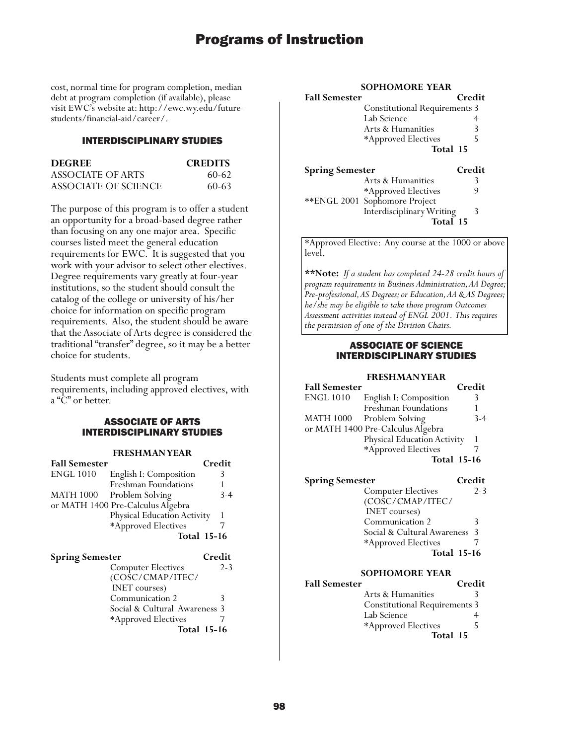cost, normal time for program completion, median debt at program completion (if available), please visit EWC's website at: http://ewc.wy.edu/futurestudents/financial-aid/career/.

## INTERDISCIPLINARY STUDIES

| <b>DEGREE</b>        | <b>CREDITS</b> |
|----------------------|----------------|
| ASSOCIATE OF ARTS    | $60-62$        |
| ASSOCIATE OF SCIENCE | $60 - 63$      |

The purpose of this program is to offer a student an opportunity for a broad-based degree rather than focusing on any one major area. Specific courses listed meet the general education requirements for EWC. It is suggested that you work with your advisor to select other electives. Degree requirements vary greatly at four-year institutions, so the student should consult the catalog of the college or university of his/her choice for information on specific program requirements. Also, the student should be aware that the Associate of Arts degree is considered the traditional "transfer" degree, so it may be a better choice for students.

Students must complete all program requirements, including approved electives, with a "C" or better.

## ASSOCIATE OF ARTS INTERDISCIPLINARY STUDIES

#### **FRESHMAN YEAR**

| <b>Fall Semester</b> |                                   | Credit |
|----------------------|-----------------------------------|--------|
| <b>ENGL 1010</b>     | English I: Composition            | 3      |
|                      | Freshman Foundations              |        |
| <b>MATH 1000</b>     | Problem Solving                   | $3-4$  |
|                      | or MATH 1400 Pre-Calculus Algebra |        |
|                      | Physical Education Activity       |        |
|                      | *Approved Electives               |        |
|                      | <b>Total 15-16</b>                |        |
|                      |                                   |        |

| <b>Spring Semester</b>        | Credit  |
|-------------------------------|---------|
| <b>Computer Electives</b>     | $2 - 3$ |
| (COSC/CMAP/ITEC/              |         |
| <b>INET</b> courses)          |         |
| Communication 2               |         |
| Social & Cultural Awareness 3 |         |
| *Approved Electives           |         |
| <b>Total 15-16</b>            |         |

#### **SOPHOMORE YEAR**

| <b>Fall Semester</b> |                                      | Credit |
|----------------------|--------------------------------------|--------|
|                      | <b>Constitutional Requirements 3</b> |        |
|                      | Lab Science                          |        |
|                      | Arts & Humanities                    | 3      |
|                      | *Approved Electives                  | Ь      |
|                      | Total 15                             |        |

| <b>Spring Semester</b> |                                | Credit |
|------------------------|--------------------------------|--------|
|                        | Arts & Humanities              |        |
|                        | *Approved Electives            | g      |
|                        | ** ENGL 2001 Sophomore Project |        |
|                        | Interdisciplinary Writing      | Κ      |
|                        | Total 15                       |        |

\*Approved Elective: Any course at the 1000 or above level.

**\*\*Note:** *If a student has completed 24-28 credit hours of program requirements in Business Administration, AA Degree; Pre-professional, AS Degrees; or Education, AA & AS Degrees; he/she may be eligible to take those program Outcomes Assessment activities instead of ENGL 2001. This requires the permission of one of the Division Chairs.*

#### ASSOCIATE OF SCIENCE INTERDISCIPLINARY STUDIES

#### **FRESHMAN YEAR**

| <b>Fall Semester</b> |                                   | Credit |
|----------------------|-----------------------------------|--------|
| <b>ENGL 1010</b>     | English I: Composition            |        |
|                      | Freshman Foundations              |        |
| <b>MATH 1000</b>     | Problem Solving                   | $3-4$  |
|                      | or MATH 1400 Pre-Calculus Algebra |        |
|                      | Physical Education Activity       |        |
|                      | *Approved Electives               |        |
|                      | <b>Total 15-16</b>                |        |

| <b>Spring Semester</b>        | Credit             |
|-------------------------------|--------------------|
| <b>Computer Electives</b>     | $2 - 3$            |
| (COSC/CMAP/ITEC/              |                    |
| <b>INET</b> courses)          |                    |
| Communication 2               | 3                  |
| Social & Cultural Awareness 3 |                    |
| *Approved Electives           |                    |
|                               | <b>Total 15-16</b> |
|                               |                    |

#### **SOPHOMORE YEAR**

| <b>Fall Semester</b> |                                      | Credit |
|----------------------|--------------------------------------|--------|
|                      | Arts & Humanities                    |        |
|                      | <b>Constitutional Requirements 3</b> |        |
|                      | Lab Science                          |        |
|                      | *Approved Electives                  | ↖      |
|                      | Total 15                             |        |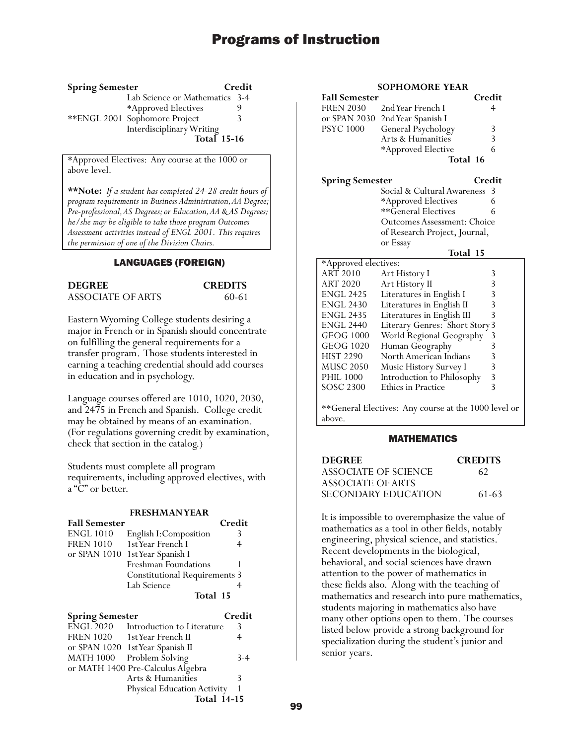#### **Spring Semester Credit**

Lab Science or Mathematics 3-4<br>\*Approved Flectives 9 \*Approved Electives 9 \*\*ENGL 2001 Sophomore Project 3 Interdisciplinary Writing **Total 15-16**

\*Approved Electives: Any course at the 1000 or above level.

**\*\*Note:** *If a student has completed 24-28 credit hours of program requirements in Business Administration, AA Degree; Pre-professional, AS Degrees; or Education, AA & AS Degrees; he/she may be eligible to take those program Outcomes Assessment activities instead of ENGL 2001. This requires the permission of one of the Division Chairs.*

### LANGUAGES (FOREIGN)

| <b>DEGREE</b>     | <b>CREDITS</b> |
|-------------------|----------------|
| ASSOCIATE OF ARTS | 60-61          |

Eastern Wyoming College students desiring a major in French or in Spanish should concentrate on fulfilling the general requirements for a transfer program. Those students interested in earning a teaching credential should add courses in education and in psychology.

Language courses offered are 1010, 1020, 2030, and 2475 in French and Spanish. College credit may be obtained by means of an examination. (For regulations governing credit by examination, check that section in the catalog.)

Students must complete all program requirements, including approved electives, with a "C" or better.

#### **FRESHMAN YEAR**

| <b>Fall Semester</b>   |                                      | Credit  |
|------------------------|--------------------------------------|---------|
| <b>ENGL 1010</b>       | English I: Composition               | 3       |
| <b>FREN 1010</b>       | 1st Year French I                    | 4       |
| or $SPAN$ 1010         | 1st Year Spanish I                   |         |
|                        | Freshman Foundations                 |         |
|                        | <b>Constitutional Requirements 3</b> |         |
|                        | Lab Science                          | 4       |
|                        | Total 15                             |         |
| <b>Spring Semester</b> |                                      | Credit  |
| <b>ENGL 2020</b>       | Introduction to Literature           | 3       |
| <b>FREN 1020</b>       | 1st Year French II                   | 4       |
| or $SPAN$ 1020         | 1st Year Spanish II                  |         |
| <b>MATH 1000</b>       | Problem Solving                      | $3 - 4$ |
|                        | or MATH 1400 Pre-Calculus Algebra    |         |

Arts & Humanities 3 Physical Education Activity 1

**Total 14-15**

### **SOPHOMORE YEAR**

| <b>Fall Semester</b> |                                 | Credit |
|----------------------|---------------------------------|--------|
|                      | FREN 2030 2nd Year French I     |        |
|                      | or SPAN 2030 2nd Year Spanish I |        |
| <b>PSYC 1000</b>     | General Psychology              | 3      |
|                      | Arts & Humanities               | ζ      |
|                      | *Approved Elective              | 6      |
|                      | Total 16                        |        |

**Spring Semester Credit**

Social & Cultural Awareness 3 \*Approved Electives 6 \*\*General Electives 6 Outcomes Assessment: Choice of Research Project, Journal, or Essay

#### **Total 15**

| *Approved electives:                                 |                                |   |
|------------------------------------------------------|--------------------------------|---|
| <b>ART 2010</b>                                      | Art History I                  | 3 |
| <b>ART 2020</b>                                      | Art History II                 | 3 |
| <b>ENGL 2425</b>                                     | Literatures in English I       | 3 |
| <b>ENGL 2430</b>                                     | Literatures in English II      | 3 |
| <b>ENGL 2435</b>                                     | Literatures in English III     | 3 |
| <b>ENGL 2440</b>                                     | Literary Genres: Short Story 3 |   |
| <b>GEOG 1000</b>                                     | World Regional Geography       | 3 |
| <b>GEOG 1020</b>                                     | Human Geography                | 3 |
| <b>HIST 2290</b>                                     | North American Indians         | 3 |
| <b>MUSC 2050</b>                                     | Music History Survey I         | 3 |
| <b>PHIL 1000</b>                                     | Introduction to Philosophy     | 3 |
| SOSC 2300                                            | Ethics in Practice             | 3 |
|                                                      |                                |   |
| **General Electives: Any course at the 1000 level or |                                |   |

above.

#### MATHEMATICS

| <b>DEGREE</b>        | <b>CREDITS</b> |
|----------------------|----------------|
| ASSOCIATE OF SCIENCE | 62             |
| ASSOCIATE OF ARTS—   |                |
| SECONDARY EDUCATION  | 61-63          |

It is impossible to overemphasize the value of mathematics as a tool in other fields, notably engineering, physical science, and statistics. Recent developments in the biological, behavioral, and social sciences have drawn attention to the power of mathematics in these fields also. Along with the teaching of mathematics and research into pure mathematics, students majoring in mathematics also have many other options open to them. The courses listed below provide a strong background for specialization during the student's junior and senior years.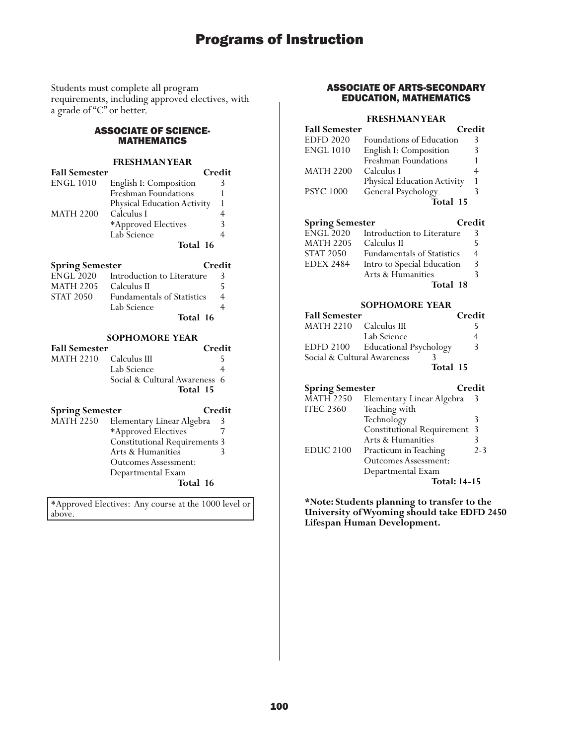Students must complete all program requirements, including approved electives, with a grade of "C" or better.

## ASSOCIATE OF SCIENCE-MATHEMATICS

### **FRESHMAN YEAR**

| <b>Fall Semester</b> |                                    | Credit |
|----------------------|------------------------------------|--------|
| <b>ENGL 1010</b>     | English I: Composition             |        |
|                      | Freshman Foundations               |        |
|                      | <b>Physical Education Activity</b> |        |
| <b>MATH 2200</b>     | Calculus I                         |        |
|                      | *Approved Electives                |        |
|                      | Lab Science                        |        |
|                      | Total 16                           |        |

| <b>Spring Semester</b> |  | Credit |
|------------------------|--|--------|
| --- <i>--</i> ---      |  |        |

|                  | Total 16                          |    |
|------------------|-----------------------------------|----|
|                  | Lab Science                       |    |
| <b>STAT 2050</b> | <b>Fundamentals of Statistics</b> |    |
| <b>MATH 2205</b> | Calculus II                       |    |
| <b>ENGL 2020</b> | Introduction to Literature        | 3. |

#### **SOPHOMORE YEAR**

| <b>Fall Semester</b>   |                               | Credit |
|------------------------|-------------------------------|--------|
| MATH 2210 Calculus III |                               |        |
|                        | Lab Science                   |        |
|                        | Social & Cultural Awareness 6 |        |
|                        | Total 15                      |        |

# **Spring Semester Credit**

MATH 2250 Elementary Linear Algebra 3<br>\*Approved Electives 7 \*Approved Electives Constitutional Requirements 3 Arts & Humanities 3 Outcomes Assessment: Departmental Exam **Total 16**

\*Approved Electives: Any course at the 1000 level or above.

## ASSOCIATE OF ARTS-SECONDARY EDUCATION, MATHEMATICS

#### **FRESHMAN YEAR**

| <b>Fall Semester</b>     |                                       |
|--------------------------|---------------------------------------|
| Foundations of Education | 3                                     |
| English I: Composition   | 3                                     |
| Freshman Foundations     |                                       |
| Calculus I               |                                       |
|                          |                                       |
| General Psychology       |                                       |
| Total 15                 |                                       |
|                          | Credit<br>Physical Education Activity |

| <b>Spring Semester</b> |                                   | Credit |
|------------------------|-----------------------------------|--------|
| <b>ENGL 2020</b>       | Introduction to Literature        | 3      |
| <b>MATH 2205</b>       | Calculus II                       |        |
| <b>STAT 2050</b>       | <b>Fundamentals of Statistics</b> | 4      |
| <b>EDEX 2484</b>       | Intro to Special Education        | 3      |
|                        | Arts & Humanities                 |        |
|                        | Total 18                          |        |

#### **SOPHOMORE YEAR**

| <b>Fall Semester</b>        |                                  | Credit |
|-----------------------------|----------------------------------|--------|
| MATH 2210 Calculus III      |                                  |        |
|                             | Lab Science                      |        |
|                             | EDFD 2100 Educational Psychology | 3      |
| Social & Cultural Awareness |                                  |        |
|                             | Total 15                         |        |

| <b>Spring Semester</b> |                                   | Credit  |
|------------------------|-----------------------------------|---------|
| <b>MATH 2250</b>       | Elementary Linear Algebra         | 3       |
| <b>ITEC 2360</b>       | Teaching with                     |         |
|                        | Technology                        | 3       |
|                        | <b>Constitutional Requirement</b> | -3      |
|                        | Arts & Humanities                 |         |
| <b>EDUC 2100</b>       | Practicum in Teaching             | $2 - 3$ |
|                        | <b>Outcomes Assessment:</b>       |         |
|                        | Departmental Exam                 |         |
|                        | <b>Total: 14-15</b>               |         |

**\*Note: Students planning to transfer to the University of Wyoming should take EDFD 2450 Lifespan Human Development.**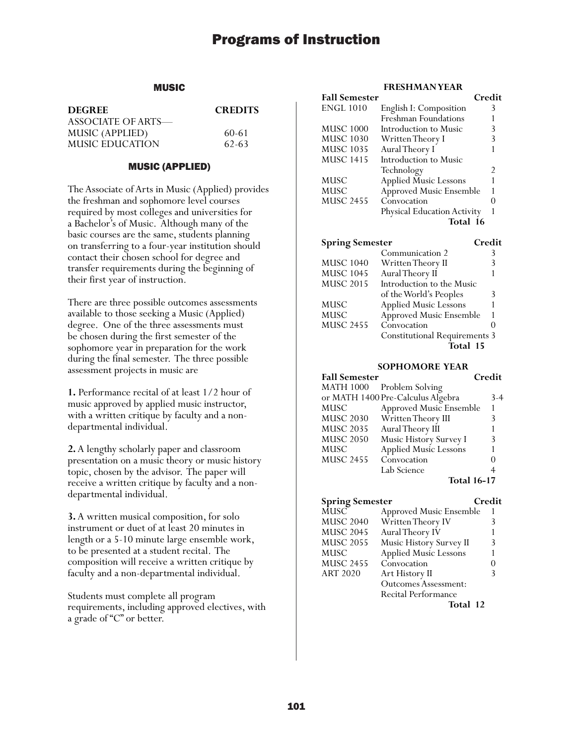## MUSIC

| <b>DEGREE</b>      | <b>CREDITS</b> |
|--------------------|----------------|
| ASSOCIATE OF ARTS— |                |
| MUSIC (APPLIED)    | 60-61          |
| MUSIC EDUCATION    | 62-63          |

#### MUSIC (APPLIED)

The Associate of Arts in Music (Applied) provides the freshman and sophomore level courses required by most colleges and universities for a Bachelor's of Music. Although many of the basic courses are the same, students planning on transferring to a four-year institution should contact their chosen school for degree and transfer requirements during the beginning of their first year of instruction.

There are three possible outcomes assessments available to those seeking a Music (Applied) degree. One of the three assessments must be chosen during the first semester of the sophomore year in preparation for the work during the final semester. The three possible assessment projects in music are

**1.** Performance recital of at least 1/2 hour of music approved by applied music instructor, with a written critique by faculty and a nondepartmental individual.

**2.** A lengthy scholarly paper and classroom presentation on a music theory or music history topic, chosen by the advisor. The paper will receive a written critique by faculty and a nondepartmental individual.

**3.** A written musical composition, for solo instrument or duet of at least 20 minutes in length or a 5-10 minute large ensemble work, to be presented at a student recital. The composition will receive a written critique by faculty and a non-departmental individual.

Students must complete all program requirements, including approved electives, with a grade of "C" or better.

### **FRESHMAN YEAR**

| <b>Fall Semester</b> |                                    | Credit |
|----------------------|------------------------------------|--------|
| <b>ENGL 1010</b>     | English I: Composition             | 3      |
|                      | Freshman Foundations               |        |
| <b>MUSC 1000</b>     | Introduction to Music              | 3      |
| <b>MUSC 1030</b>     | Written Theory I                   | 3      |
| <b>MUSC 1035</b>     | Aural Theory I                     |        |
| <b>MUSC 1415</b>     | Introduction to Music              |        |
|                      | Technology                         | 2      |
| MUSC                 | <b>Applied Music Lessons</b>       |        |
| <b>MUSC</b>          | <b>Approved Music Ensemble</b>     |        |
| <b>MUSC 2455</b>     | Convocation                        |        |
|                      | <b>Physical Education Activity</b> |        |
|                      | Total 16                           |        |

## **Spring Semester Credit**

|                  | Communication 2                      |   |
|------------------|--------------------------------------|---|
| <b>MUSC 1040</b> | Written Theory II                    | 3 |
| <b>MUSC 1045</b> | Aural Theory II                      |   |
| <b>MUSC 2015</b> | Introduction to the Music            |   |
|                  | of the World's Peoples               | 3 |
| MUSC             | <b>Applied Music Lessons</b>         | 1 |
| <b>MUSC</b>      | Approved Music Ensemble              | 1 |
| <b>MUSC 2455</b> | Convocation                          |   |
|                  | <b>Constitutional Requirements 3</b> |   |
|                  | Total 15                             |   |

## **SOPHOMORE YEAR**

| <b>Fall Semester</b> |                                   | Credit  |
|----------------------|-----------------------------------|---------|
|                      | MATH 1000 Problem Solving         |         |
|                      | or MATH 1400 Pre-Calculus Algebra | $3 - 4$ |
| MUSC                 | Approved Music Ensemble           |         |
| <b>MUSC 2030</b>     | Written Theory III                | 3       |
| <b>MUSC 2035</b>     | Aural Theory III                  |         |
| <b>MUSC 2050</b>     | Music History Survey I            | 3       |
| MUSC                 | <b>Applied Music Lessons</b>      |         |
| <b>MUSC 2455</b>     | Convocation                       |         |
|                      | Lab Science                       |         |

## **Total 16-17**

| <b>Spring Semester</b> |                              | Credit |
|------------------------|------------------------------|--------|
| MUSC                   | Approved Music Ensemble      |        |
| <b>MUSC 2040</b>       | Written Theory IV            |        |
| <b>MUSC 2045</b>       | Aural Theory IV              |        |
| <b>MUSC 2055</b>       | Music History Survey II      |        |
| MUSC                   | <b>Applied Music Lessons</b> |        |
| <b>MUSC 2455</b>       | Convocation                  |        |
| <b>ART 2020</b>        | Art History II               |        |
|                        | <b>Outcomes Assessment:</b>  |        |
|                        | Recital Performance          |        |
|                        |                              |        |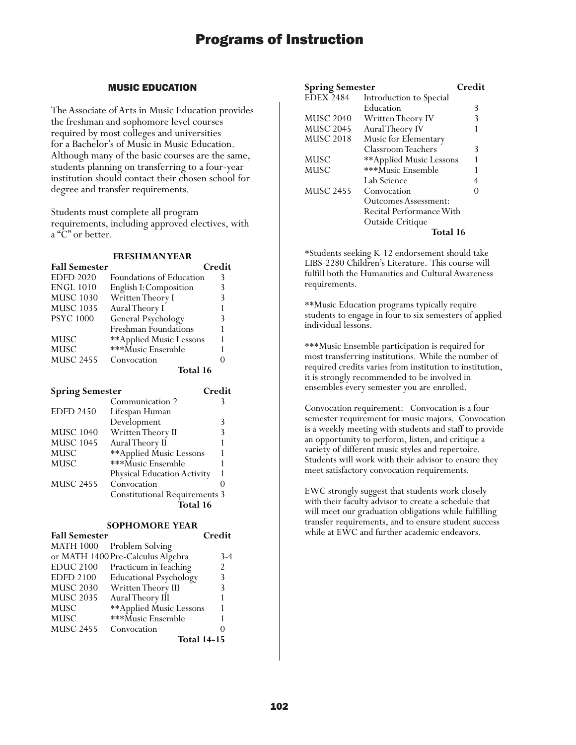## MUSIC EDUCATION

The Associate of Arts in Music Education provides the freshman and sophomore level courses required by most colleges and universities for a Bachelor's of Music in Music Education. Although many of the basic courses are the same, students planning on transferring to a four-year institution should contact their chosen school for degree and transfer requirements.

Students must complete all program requirements, including approved electives, with a "C" or better.

#### **FRESHMAN YEAR**

| <b>Fall Semester</b> |                          | Credit |
|----------------------|--------------------------|--------|
| <b>EDFD 2020</b>     | Foundations of Education | 3      |
| <b>ENGL 1010</b>     | English I: Composition   |        |
| <b>MUSC 1030</b>     | Written Theory I         | 3      |
| <b>MUSC 1035</b>     | Aural Theory I           |        |
| <b>PSYC 1000</b>     | General Psychology       | 3      |
|                      | Freshman Foundations     |        |
| <b>MUSC</b>          | **Applied Music Lessons  |        |
| <b>MUSC</b>          | ***Music Ensemble        |        |
| <b>MUSC 2455</b>     | Convocation              |        |
|                      | Total 16                 |        |

| <b>Spring Semester</b>               |                             | Credit |
|--------------------------------------|-----------------------------|--------|
|                                      | Communication 2             | 3      |
| <b>EDFD 2450</b>                     | Lifespan Human              |        |
|                                      | Development                 | 3      |
| <b>MUSC 1040</b>                     | Written Theory II           | 3      |
| <b>MUSC 1045</b>                     | Aural Theory II             |        |
| MUSC                                 | **Applied Music Lessons     |        |
| MUSC                                 | ***Music Ensemble           |        |
|                                      | Physical Education Activity |        |
| <b>MUSC 2455</b>                     | Convocation                 |        |
| <b>Constitutional Requirements 3</b> |                             |        |
| Total 16                             |                             |        |

### **SOPHOMORE YEAR**

| <b>Fall Semester</b> |                                   | Credit            |
|----------------------|-----------------------------------|-------------------|
| <b>MATH 1000</b>     | Problem Solving                   |                   |
|                      | or MATH 1400 Pre-Calculus Algebra | 3-4               |
| <b>EDUC 2100</b>     | Practicum in Teaching             | $\mathfrak{D}$    |
| <b>EDFD 2100</b>     | <b>Educational Psychology</b>     | 3                 |
| <b>MUSC 2030</b>     | Written Theory III                | 3                 |
| <b>MUSC 2035</b>     | Aural Theory III                  | 1                 |
| MUSC                 | ** Applied Music Lessons          | 1                 |
| <b>MUSC</b>          | ***Music Ensemble                 | 1                 |
| <b>MUSC 2455</b>     | Convocation                       | $\mathbf{\Omega}$ |
|                      | <b>Total 14-15</b>                |                   |

| <b>Spring Semester</b> |                             | Credit |
|------------------------|-----------------------------|--------|
| <b>EDEX 2484</b>       | Introduction to Special     |        |
|                        | Education                   | 3      |
| <b>MUSC 2040</b>       | Written Theory IV           | 3      |
| <b>MUSC 2045</b>       | Aural Theory IV             |        |
| <b>MUSC 2018</b>       | Music for Elementary        |        |
|                        | Classroom Teachers          | 3      |
| MUSC                   | **Applied Music Lessons     |        |
| MUSC                   | ***Music Ensemble           |        |
|                        | Lab Science                 |        |
| <b>MUSC 2455</b>       | Convocation                 |        |
|                        | <b>Outcomes Assessment:</b> |        |
|                        | Recital Performance With    |        |
|                        | Outside Critique            |        |
|                        | Total 16                    |        |

\*Students seeking K-12 endorsement should take LIBS-2280 Children's Literature. This course will fulfill both the Humanities and Cultural Awareness requirements.

\*\*Music Education programs typically require students to engage in four to six semesters of applied individual lessons.

\*\*\*Music Ensemble participation is required for most transferring institutions. While the number of required credits varies from institution to institution, it is strongly recommended to be involved in ensembles every semester you are enrolled.

Convocation requirement: Convocation is a foursemester requirement for music majors. Convocation is a weekly meeting with students and staff to provide an opportunity to perform, listen, and critique a variety of different music styles and repertoire. Students will work with their advisor to ensure they meet satisfactory convocation requirements.

EWC strongly suggest that students work closely with their faculty advisor to create a schedule that will meet our graduation obligations while fulfilling transfer requirements, and to ensure student success while at EWC and further academic endeavors.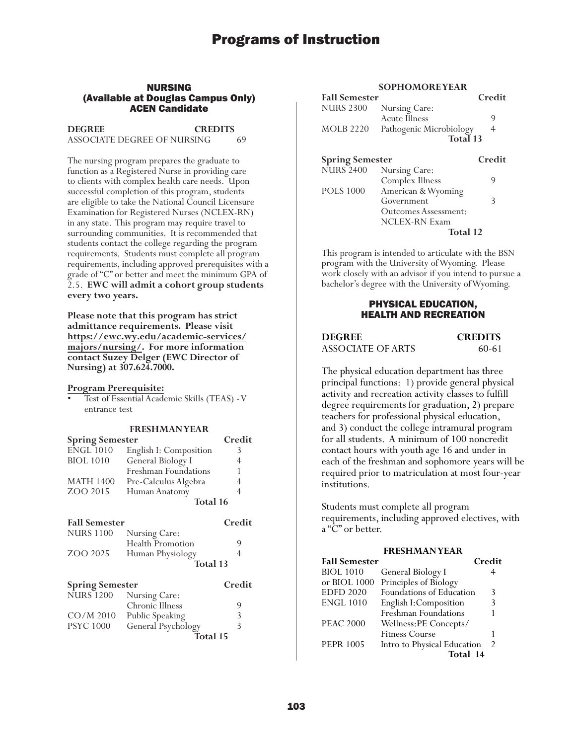#### NURSING (Available at Douglas Campus Only) ACEN Candidate

**DEGREE CREDITS** ASSOCIATE DEGREE OF NURSING 69

The nursing program prepares the graduate to function as a Registered Nurse in providing care to clients with complex health care needs. Upon successful completion of this program, students are eligible to take the National Council Licensure Examination for Registered Nurses (NCLEX-RN) in any state. This program may require travel to surrounding communities. It is recommended that students contact the college regarding the program requirements. Students must complete all program requirements, including approved prerequisites with a grade of "C" or better and meet the minimum GPA of 2.5. **EWC will admit a cohort group students every two years.**

**Please note that this program has strict admittance requirements. Please visit [https://ewc.wy.edu/academic-services/](https://ewc.wy.edu/academic-services/majors/nursing/) majors/nursing/. For more information contact Suzey Delger (EWC Director of Nursing) at 307.624.7000.** 

#### **Program Prerequisite:**

• Test of Essential Academic Skills (TEAS) - V entrance test

#### **FRESHMAN YEAR**

| <b>Spring Semester</b> |                        | Credit |
|------------------------|------------------------|--------|
| <b>ENGL 1010</b>       | English I: Composition |        |
| <b>BIOL 1010</b>       | General Biology I      |        |
|                        | Freshman Foundations   |        |
| <b>MATH 1400</b>       | Pre-Calculus Algebra   | 4      |
| ZOO 2015               | Human Anatomy          |        |
|                        | Total 16               |        |
| <b>Fall Semester</b>   |                        | Credit |

| <b>NURS 1100</b>       | Nursing Care:           |        |
|------------------------|-------------------------|--------|
|                        | <b>Health Promotion</b> | 9      |
| ZOO 2025               | Human Physiology        | 4      |
|                        | Total 13                |        |
| <b>Spring Semester</b> |                         | Credit |
| <b>NURS</b> 1200       | Nursing Care:           |        |
|                        | Chronic Illness         | 9      |
|                        |                         |        |
| $CO/M$ 2010            | Public Speaking         | 3      |

#### **SOPHOMORE YEAR**

| <b>Fall Semester</b>   |                         | Credit |
|------------------------|-------------------------|--------|
| <b>NURS 2300</b>       | Nursing Care:           |        |
|                        | Acute Illness           | 9      |
| MOLB 2220              | Pathogenic Microbiology | 4      |
|                        | Total 13                |        |
| <b>Spring Semester</b> |                         | Credit |
|                        | NURS 2400 Nursing Care: |        |
|                        | Complex Illness         | g      |

| POLS 1000 | American & Wyoming   |   |
|-----------|----------------------|---|
|           | Government           | 3 |
|           | Outcomes Assessment: |   |
|           | <b>NCLEX-RN Exam</b> |   |
|           | Total 12             |   |

This program is intended to articulate with the BSN program with the University of Wyoming. Please work closely with an advisor if you intend to pursue a bachelor's degree with the University of Wyoming.

### PHYSICAL EDUCATION, HEALTH AND RECREATION

| <b>DEGREE</b>     | <b>CREDITS</b> |
|-------------------|----------------|
| ASSOCIATE OF ARTS | 60-61          |

The physical education department has three principal functions: 1) provide general physical activity and recreation activity classes to fulfill degree requirements for graduation, 2) prepare teachers for professional physical education, and 3) conduct the college intramural program for all students. A minimum of 100 noncredit contact hours with youth age 16 and under in each of the freshman and sophomore years will be required prior to matriculation at most four-year institutions.

Students must complete all program requirements, including approved electives, with a "C" or better.

#### **FRESHMAN YEAR**

| <b>Fall Semester</b> |                             | Credit        |
|----------------------|-----------------------------|---------------|
| BIOL 1010            | General Biology I           | 4             |
| or BIOL 1000         | Principles of Biology       |               |
| <b>EDFD 2020</b>     | Foundations of Education    | 3             |
| <b>ENGL 1010</b>     | English I: Composition      | 3             |
|                      | Freshman Foundations        | 1             |
| <b>PEAC 2000</b>     | Wellness:PE Concepts/       |               |
|                      | <b>Fitness Course</b>       |               |
| <b>PEPR 1005</b>     | Intro to Physical Education | $\mathcal{P}$ |
|                      | Total 14                    |               |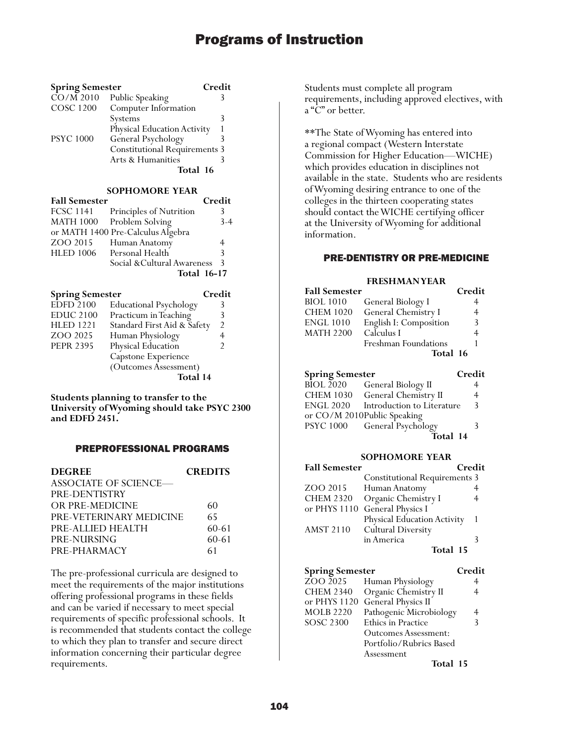| <b>Spring Semester</b> |                                      | Credit |
|------------------------|--------------------------------------|--------|
| $\overline{CO/M}$ 2010 | Public Speaking                      |        |
| <b>COSC 1200</b>       | Computer Information                 |        |
|                        | Systems                              | 3      |
|                        | Physical Education Activity          |        |
| <b>PSYC 1000</b>       | General Psychology                   |        |
|                        | <b>Constitutional Requirements 3</b> |        |
|                        | Arts & Humanities                    |        |
|                        | Total 16                             |        |
|                        |                                      |        |

#### **SOPHOMORE YEAR**

| <b>Fall Semester</b> |                                   | Credit |
|----------------------|-----------------------------------|--------|
|                      | FCSC 1141 Principles of Nutrition | 3      |
|                      | MATH 1000 Problem Solving         | $3-4$  |
|                      | or MATH 1400 Pre-Calculus Algebra |        |
| ZOO 2015             | Human Anatomy                     | 4      |
|                      | HLED 1006 Personal Health         | 3      |
|                      | Social & Cultural Awareness       | 3      |
|                      | <b>Total 16-17</b>                |        |

| <b>Spring Semester</b> |                               | Credit         |
|------------------------|-------------------------------|----------------|
| <b>EDFD 2100</b>       | <b>Educational Psychology</b> |                |
| <b>EDUC 2100</b>       | Practicum in Teaching         |                |
| <b>HLED 1221</b>       | Standard First Aid & Safety   | $\mathfrak{D}$ |
| ZOO 2025               | Human Physiology              |                |
| <b>PEPR 2395</b>       | Physical Education            |                |
|                        | Capstone Experience           |                |
|                        | (Outcomes Assessment)         |                |
|                        | Total 14                      |                |

**Students planning to transfer to the University of Wyoming should take PSYC 2300 and EDFD 2451.**

## PREPROFESSIONAL PROGRAMS

| <b>DEGREE</b>           | <b>CREDITS</b> |
|-------------------------|----------------|
| ASSOCIATE OF SCIENCE—   |                |
| PRE-DENTISTRY           |                |
| OR PRE-MEDICINE         | 60             |
| PRE-VETERINARY MEDICINE | 65             |
| PRE-ALLIED HEALTH       | 60-61          |
| PRE-NURSING             | $60 - 61$      |
| PRE-PHARMACY            | 61             |

The pre-professional curricula are designed to meet the requirements of the major institutions offering professional programs in these fields and can be varied if necessary to meet special requirements of specific professional schools. It is recommended that students contact the college to which they plan to transfer and secure direct information concerning their particular degree requirements.

Students must complete all program requirements, including approved electives, with a "C" or better.

\*\*The State of Wyoming has entered into a regional compact (Western Interstate Commission for Higher Education—WICHE) which provides education in disciplines not available in the state. Students who are residents of Wyoming desiring entrance to one of the colleges in the thirteen cooperating states should contact the WICHE certifying officer at the University of Wyoming for additional information.

### PRE-DENTISTRY OR PRE-MEDICINE

#### **FRESHMAN YEAR**

| <b>Fall Semester</b> |                        | Credit |
|----------------------|------------------------|--------|
| <b>BIOL 1010</b>     | General Biology I      | 4      |
| <b>CHEM 1020</b>     | General Chemistry I    | 4      |
| <b>ENGL 1010</b>     | English I: Composition | 3      |
| <b>MATH 2200</b>     | Calculus I             | 4      |
|                      | Freshman Foundations   |        |
|                      | Total 16               |        |

## **Spring Semester Credit** BÎOL 2020 General Biology II 4<br>CHEM 1030 General Chemistry II 4 CHEM 1030 General Chemistry II ENGL 2020 Introduction to Literature 3 or CO/M 2010Public Speaking<br>PSYC 1000 General Psychol PSYC 1000 General Psychology 3 **Total 14**

#### **SOPHOMORE YEAR**

| <b>Fall Semester</b> | Credit                               |  |
|----------------------|--------------------------------------|--|
|                      | <b>Constitutional Requirements 3</b> |  |
| ZOO 2015             | Human Anatomy                        |  |
| <b>CHEM 2320</b>     | Organic Chemistry I                  |  |
| or PHYS 1110         | General Physics I                    |  |
|                      | <b>Physical Education Activity</b>   |  |
| <b>AMST 2110</b>     | <b>Cultural Diversity</b>            |  |
|                      | in America                           |  |
|                      | Total 15                             |  |

| <b>Spring Semester</b>               |                           | Credit |
|--------------------------------------|---------------------------|--------|
| $\overline{2}$ OO $\overline{2}$ 025 | Human Physiology          |        |
| <b>CHEM 2340</b>                     | Organic Chemistry II      |        |
| or PHYS 1120                         | <b>General Physics II</b> |        |
| <b>MOLB 2220</b>                     | Pathogenic Microbiology   |        |
| <b>SOSC 2300</b>                     | Ethics in Practice        | 3      |
|                                      | Outcomes Assessment:      |        |
|                                      | Portfolio/Rubrics Based   |        |
|                                      | Assessment                |        |
|                                      | Total 15                  |        |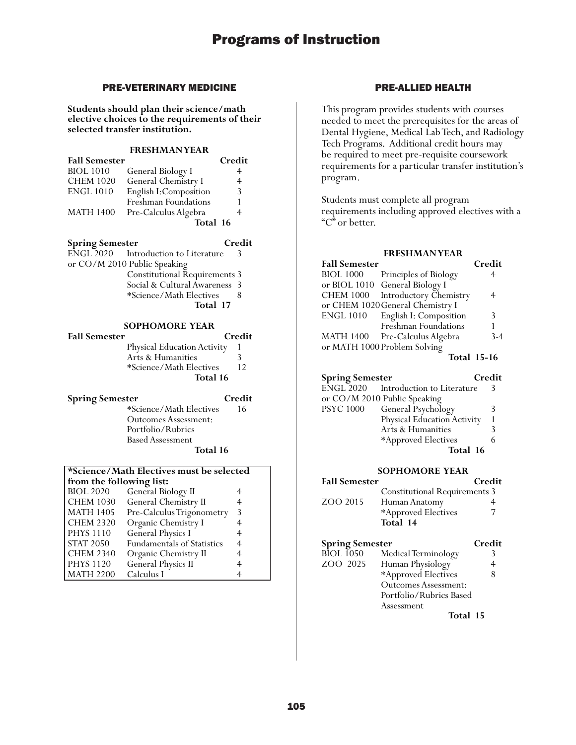## PRE-VETERINARY MEDICINE

**Students should plan their science/math elective choices to the requirements of their selected transfer institution.**

## **FRESHMAN YEAR**

| <b>Fall Semester</b> |                        | Credit |
|----------------------|------------------------|--------|
| <b>BIOL 1010</b>     | General Biology I      | 4      |
| <b>CHEM 1020</b>     | General Chemistry I    | 4      |
| <b>ENGL 1010</b>     | English I: Composition | 3      |
|                      | Freshman Foundations   |        |
| <b>MATH 1400</b>     | Pre-Calculus Algebra   |        |
|                      | Total 16               |        |

### **Spring Semester Credit**

|                              | ENGL 2020 Introduction to Literature | $\mathcal{R}$ |
|------------------------------|--------------------------------------|---------------|
| or CO/M 2010 Public Speaking |                                      |               |
|                              | <b>Constitutional Requirements 3</b> |               |
|                              | Social & Cultural Awareness 3        |               |
|                              | *Science/Math Electives              |               |
|                              | Total 17                             |               |

### **SOPHOMORE YEAR**

| <b>Fall Semester</b> |                                    | Credit |
|----------------------|------------------------------------|--------|
|                      | <b>Physical Education Activity</b> |        |
|                      | Arts & Humanities                  | 3      |
|                      | *Science/Math Electives            | 12     |
|                      | Total 16                           |        |

**Spring Semester Credit** \*Science/Math Electives 16 Outcomes Assessment: Portfolio/Rubrics Based Assessment **Total 16**

## **\*Science/Math Electives must be selected from the following list:**<br>BIOL 2020 General Bio General Biology II 4

| <b>CHEM 1030</b> | General Chemistry II              |                |
|------------------|-----------------------------------|----------------|
| <b>MATH 1405</b> | Pre-Calculus Trigonometry         | 3              |
| <b>CHEM 2320</b> | Organic Chemistry I               |                |
| <b>PHYS 1110</b> | General Physics I                 | 4              |
| <b>STAT 2050</b> | <b>Fundamentals of Statistics</b> | $\overline{4}$ |
| <b>CHEM 2340</b> | Organic Chemistry II              | 4              |
| <b>PHYS 1120</b> | General Physics II                | 4              |
| <b>MATH 2200</b> | Calculus I                        |                |

## PRE-ALLIED HEALTH

This program provides students with courses needed to meet the prerequisites for the areas of Dental Hygiene, Medical Lab Tech, and Radiology Tech Programs. Additional credit hours may be required to meet pre-requisite coursework requirements for a particular transfer institution's program.

Students must complete all program requirements including approved electives with a "C" or better.

## **FRESHMAN YEAR**

| <b>Fall Semester</b> |                                  | Credit  |
|----------------------|----------------------------------|---------|
| <b>BIOL 1000</b>     | Principles of Biology            |         |
|                      | or BIOL 1010 General Biology I   |         |
| <b>CHEM 1000</b>     | Introductory Chemistry           | 4       |
|                      | or CHEM 1020 General Chemistry I |         |
| <b>ENGL 1010</b>     | English I: Composition           | 3       |
|                      | Freshman Foundations             |         |
| <b>MATH 1400</b>     | Pre-Calculus Algebra             | $3 - 4$ |
|                      | or MATH 1000 Problem Solving     |         |
|                      |                                  |         |

**Total 15-16**

| <b>Spring Semester</b> |                                      | Credit |
|------------------------|--------------------------------------|--------|
|                        | ENGL 2020 Introduction to Literature |        |
|                        | or CO/M 2010 Public Speaking         |        |
| <b>PSYC 1000</b>       | General Psychology                   |        |
|                        | Physical Education Activity          |        |
|                        | Arts & Humanities                    |        |
|                        | *Approved Electives                  |        |
|                        | Total 16                             |        |

### **SOPHOMORE YEAR**

| <b>Fall Semester</b> |                                      | Credit |
|----------------------|--------------------------------------|--------|
|                      | <b>Constitutional Requirements 3</b> |        |
| ZOO 2015             | Human Anatomy                        |        |
|                      | *Approved Electives                  |        |
|                      | Total 14                             |        |

## **Spring Semester Credit**

| <b>BIOL</b> 1050 | Medical Terminology         |   |
|------------------|-----------------------------|---|
| ZOO 2025         | Human Physiology            |   |
|                  | *Approved Electives         | 8 |
|                  | <b>Outcomes Assessment:</b> |   |
|                  | Portfolio/Rubrics Based     |   |
|                  | Assessment                  |   |
|                  | Total 15                    |   |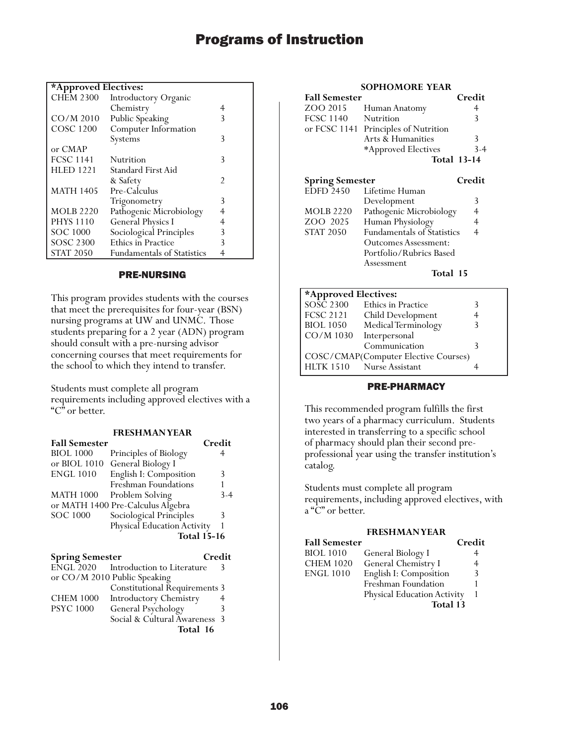| *Approved Electives: |  |
|----------------------|--|
|----------------------|--|

| <b>CHEM 2300</b> | Introductory Organic              |   |
|------------------|-----------------------------------|---|
|                  | Chemistry                         | 4 |
| $CO/M$ 2010      | Public Speaking                   | 3 |
| <b>COSC 1200</b> | Computer Information              |   |
|                  | Systems                           | 3 |
| or CMAP          |                                   |   |
| <b>FCSC 1141</b> | Nutrition                         | 3 |
| <b>HLED 1221</b> | Standard First Aid                |   |
|                  | & Safety                          | 2 |
| <b>MATH 1405</b> | Pre-Calculus                      |   |
|                  | Trigonometry                      | 3 |
| <b>MOLB 2220</b> | Pathogenic Microbiology           | 4 |
| <b>PHYS 1110</b> | <b>General Physics I</b>          | 4 |
| SOC 1000         | Sociological Principles           | 3 |
| <b>SOSC 2300</b> | <b>Ethics in Practice</b>         | 3 |
| <b>STAT 2050</b> | <b>Fundamentals of Statistics</b> | 4 |

### PRE-NURSING

This program provides students with the courses that meet the prerequisites for four-year (BSN) nursing programs at UW and UNMC. Those students preparing for a 2 year (ADN) program should consult with a pre-nursing advisor concerning courses that meet requirements for the school to which they intend to transfer.

Students must complete all program requirements including approved electives with a "C" or better.

| <b>FRESHMANYEAR</b> |
|---------------------|
|---------------------|

| <b>Fall Semester</b> |                                   | Credit |
|----------------------|-----------------------------------|--------|
| <b>BIOL 1000</b>     | Principles of Biology             |        |
| or BIOL 1010         | General Biology I                 |        |
| <b>ENGL 1010</b>     | English I: Composition            | 3      |
|                      | Freshman Foundations              |        |
| <b>MATH 1000</b>     | Problem Solving                   | $3-4$  |
|                      | or MATH 1400 Pre-Calculus Algebra |        |
| <b>SOC 1000</b>      | Sociological Principles           | 3      |
|                      | Physical Education Activity       |        |
| <b>Total 15-16</b>   |                                   |        |
|                      |                                   |        |

| <b>Spring Semester</b> |                                      | Credit |
|------------------------|--------------------------------------|--------|
|                        | ENGL 2020 Introduction to Literature | 3      |
|                        | or CO/M 2010 Public Speaking         |        |
|                        | <b>Constitutional Requirements 3</b> |        |
| <b>CHEM 1000</b>       | <b>Introductory Chemistry</b>        |        |
| <b>PSYC 1000</b>       | General Psychology                   | 3      |
|                        | Social & Cultural Awareness 3        |        |
|                        | Total 16                             |        |

#### **SOPHOMORE YEAR**

| <b>Fall Semester</b>   |                                      | Credit             |
|------------------------|--------------------------------------|--------------------|
| ZOO 2015               | Human Anatomy                        | 4                  |
| <b>FCSC 1140</b>       | Nutrition                            | 3                  |
|                        | or FCSC 1141 Principles of Nutrition |                    |
|                        | Arts & Humanities                    | 3                  |
|                        | *Approved Electives                  | $3 - 4$            |
|                        |                                      | <b>Total 13-14</b> |
| <b>Spring Semester</b> |                                      | Credit             |
| <b>EDFD 2450</b>       | Lifetime Human                       |                    |
|                        | Development                          | 3                  |
| <b>MOLB</b> 2220       | Pathogenic Microbiology              | 4                  |
| ZOO 2025               | Human Physiology                     | 4                  |
| <b>STAT 2050</b>       | <b>Fundamentals of Statistics</b>    | 4                  |
|                        | <b>Outcomes Assessment:</b>          |                    |

**\*Approved Electives:** SOSC 2300 Ethics in Practice 3<br>FCSC 2121 Child Development 4 FCSC 2121 Child Development 4<br>BIOL 1050 Medical Terminology 3 BIOL 1050 Medical Terminology<br>CO/M 1030 Interpersonal Interpersonal Communication 3 COSC/CMAP(Computer Elective Courses) HLTK 1510 Nurse Assistant 4

Portfolio/Rubrics Based Assessment **Total 15**

## PRE-PHARMACY

This recommended program fulfills the first two years of a pharmacy curriculum. Students interested in transferring to a specific school of pharmacy should plan their second preprofessional year using the transfer institution's catalog.

Students must complete all program requirements, including approved electives, with a "C" or better.

#### **FRESHMAN YEAR**

| <b>Fall Semester</b> |                                    | Credit |
|----------------------|------------------------------------|--------|
| <b>BIOL 1010</b>     | General Biology I                  |        |
| <b>CHEM 1020</b>     | General Chemistry I                | 4      |
| ENGL 1010            | English I: Composition             | 3      |
|                      | Freshman Foundation                |        |
|                      | <b>Physical Education Activity</b> |        |
|                      | Total 13                           |        |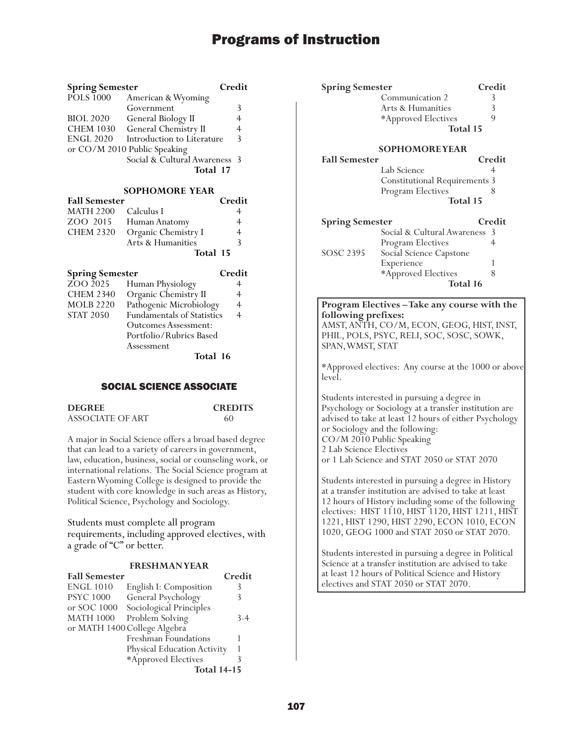| <b>Spring Semester</b> |                               | Credit        |
|------------------------|-------------------------------|---------------|
| <b>POLS</b> 1000       | American & Wyoming            |               |
|                        | Government                    | 3             |
| <b>BIOL 2020</b>       | General Biology II            |               |
| <b>CHEM 1030</b>       | General Chemistry II          | 4             |
| <b>ENGL 2020</b>       | Introduction to Literature    | $\mathcal{R}$ |
|                        | or CO/M 2010 Public Speaking  |               |
|                        | Social & Cultural Awareness 3 |               |
|                        | Total 17                      |               |

## **SOPHOMORE YEAR**

| <b>Fall Semester</b> |                        | Credit |
|----------------------|------------------------|--------|
| MATH 2200 Calculus I |                        | 4      |
|                      | ZOO 2015 Human Anatomy | 4      |
| <b>CHEM 2320</b>     | Organic Chemistry I    | 4      |
|                      | Arts & Humanities      | ζ      |
|                      | Total 15               |        |

| <b>Spring Semester</b> |                                   | Credit         |
|------------------------|-----------------------------------|----------------|
| ZOO 2025               | Human Physiology                  |                |
| <b>CHEM 2340</b>       | Organic Chemistry II              | 4              |
| <b>MOLB 2220</b>       | Pathogenic Microbiology           | $\overline{4}$ |
| <b>STAT 2050</b>       | <b>Fundamentals of Statistics</b> |                |
|                        | <b>Outcomes Assessment:</b>       |                |
|                        | Portfolio/Rubrics Based           |                |
|                        | Assessment                        |                |
|                        | Total 16                          |                |

#### SOCIAL SCIENCE ASSOCIATE

| <b>DEGREE</b>    | <b>CREDITS</b> |
|------------------|----------------|
| ASSOCIATE OF ART | 60             |

A major in Social Science offers a broad based degree that can lead to a variety of careers in government, law, education, business, social or counseling work, or international relations. The Social Science program at Eastern Wyoming College is designed to provide the student with core knowledge in such areas as History, Political Science, Psychology and Sociology.

Students must complete all program requirements, including approved electives, with a grade of "C" or better.

#### **FRESHMAN YEAR Fall Semester Credit**

| тан эсшемен      |                              | <b>U</b> cure |
|------------------|------------------------------|---------------|
| <b>ENGL 1010</b> | English I: Composition       | 3             |
| <b>PSYC 1000</b> | General Psychology           |               |
| or SOC 1000      | Sociological Principles      |               |
| <b>MATH 1000</b> | Problem Solving              | $3 - 4$       |
|                  | or MATH 1400 College Algebra |               |
|                  | Freshman Foundations         |               |
|                  | Physical Education Activity  |               |
|                  | *Approved Electives          |               |
|                  | <b>Total 14-15</b>           |               |
|                  |                              |               |

| <b>Spring Semester</b>                            |                                                                                                                                                                                                                                                                               | Credit          |
|---------------------------------------------------|-------------------------------------------------------------------------------------------------------------------------------------------------------------------------------------------------------------------------------------------------------------------------------|-----------------|
|                                                   | Communication 2                                                                                                                                                                                                                                                               | 3               |
|                                                   | Arts & Humanities                                                                                                                                                                                                                                                             | 3               |
|                                                   | *Approved Electives                                                                                                                                                                                                                                                           | 9               |
|                                                   |                                                                                                                                                                                                                                                                               | Total 15        |
|                                                   | <b>SOPHOMOREYEAR</b>                                                                                                                                                                                                                                                          |                 |
| <b>Fall Semester</b>                              |                                                                                                                                                                                                                                                                               | Credit          |
|                                                   | Lab Science                                                                                                                                                                                                                                                                   | 4               |
|                                                   | <b>Constitutional Requirements 3</b>                                                                                                                                                                                                                                          |                 |
|                                                   | Program Electives                                                                                                                                                                                                                                                             |                 |
|                                                   |                                                                                                                                                                                                                                                                               | <b>Total 15</b> |
| <b>Spring Semester</b>                            |                                                                                                                                                                                                                                                                               | Credit          |
|                                                   | Social & Cultural Awareness                                                                                                                                                                                                                                                   | 3               |
|                                                   | Program Electives                                                                                                                                                                                                                                                             | 4               |
| SOSC 2395                                         | Social Science Capstone                                                                                                                                                                                                                                                       |                 |
|                                                   | Experience                                                                                                                                                                                                                                                                    | 1               |
|                                                   | *Approved Electives                                                                                                                                                                                                                                                           | 8               |
|                                                   |                                                                                                                                                                                                                                                                               | Total 16        |
| following prefixes:<br>SPAN, WMST, STAT<br>level. | Program Electives-Take any course with the<br>AMST, ANTH, CO/M, ECON, GEOG, HIST, INST,<br>PHIL, POLS, PSYC, RELI, SOC, SOSC, SOWK,<br>*Approved electives: Any course at the 1000 or above                                                                                   |                 |
| 2 Lab Science Electives                           | Students interested in pursuing a degree in<br>Psychology or Sociology at a transfer institution are<br>advised to take at least 12 hours of either Psychology<br>or Sociology and the following:<br>CO/M 2010 Public Speaking<br>or 1 Lab Science and STAT 2050 or STAT 2070 |                 |
|                                                   | Students interested in pursuing a degree in History<br>at a transfer institution are advised to take at least<br>12 hours of History including some of the following<br>electives: HIST 1110, HIST 1120, HIST 1211, HIST                                                      |                 |

Students interested in pursuing a degree in Political Science at a transfer institution are advised to take at least 12 hours of Political Science and History electives and STAT 2050 or STAT 2070.

1221, HIST 1290, HIST 2290, ECON 1010, ECON 1020, GEOG 1000 and STAT 2050 or STAT 2070.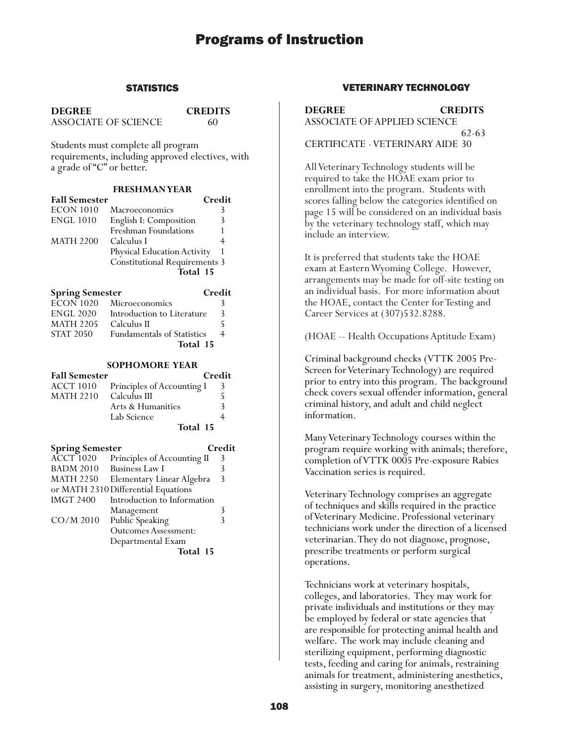### **STATISTICS**

**DEGREE CREDITS** ASSOCIATE OF SCIENCE 60

Students must complete all program requirements, including approved electives, with a grade of "C" or better.

#### **FRESHMAN YEAR**

| <b>Fall Semester</b> |                                      | Credit |
|----------------------|--------------------------------------|--------|
| ECON 1010            | Macroeconomics                       | 3      |
| <b>ENGL 1010</b>     | English I: Composition               |        |
|                      | Freshman Foundations                 |        |
| MATH 2200            | Calculus I                           |        |
|                      | <b>Physical Education Activity</b>   |        |
|                      | <b>Constitutional Requirements 3</b> |        |
|                      | Total 15                             |        |

| <b>Spring Semester</b> |                                   | Credit |
|------------------------|-----------------------------------|--------|
| $ECON$ 1020            | Microeconomics                    |        |
| <b>ENGL 2020</b>       | Introduction to Literature        | 3      |
| <b>MATH 2205</b>       | Calculus II                       |        |
| <b>STAT 2050</b>       | <b>Fundamentals of Statistics</b> | 4      |
|                        | Total 15                          |        |

### **SOPHOMORE YEAR**

| <b>Fall Semester</b>   |                            | Credit |   |
|------------------------|----------------------------|--------|---|
| ACCT 1010              | Principles of Accounting I |        | 3 |
| MATH 2210 Calculus III |                            |        |   |
|                        | Arts & Humanities          |        | 3 |
|                        | Lab Science                |        |   |
|                        | Total 15                   |        |   |

| <b>Spring Semester</b> |                                     | Credit |
|------------------------|-------------------------------------|--------|
| <b>ACCT 1020</b>       | Principles of Accounting II         | 3      |
| <b>BADM 2010</b>       | <b>Business Law I</b>               |        |
| <b>MATH 2250</b>       | Elementary Linear Algebra           | 3      |
|                        | or MATH 2310 Differential Equations |        |
| <b>IMGT 2400</b>       | Introduction to Information         |        |
|                        | Management                          | 3      |
| $CO/M$ 2010            | Public Speaking                     |        |
|                        | <b>Outcomes Assessment:</b>         |        |
|                        | Departmental Exam                   |        |
|                        | Total 15                            |        |

## VETERINARY TECHNOLOGY

**DEGREE CREDITS** ASSOCIATE OF APPLIED SCIENCE 62-63 CERTIFICATE - VETERINARY AIDE 30

All Veterinary Technology students will be required to take the HOAE exam prior to enrollment into the program. Students with scores falling below the categories identified on page 15 will be considered on an individual basis by the veterinary technology staff, which may include an interview.

It is preferred that students take the HOAE exam at Eastern Wyoming College. However, arrangements may be made for off-site testing on an individual basis. For more information about the HOAE, contact the Center for Testing and Career Services at (307)532.8288.

(HOAE -- Health Occupations Aptitude Exam)

Criminal background checks (VTTK 2005 Pre-Screen for Veterinary Technology) are required prior to entry into this program. The background check covers sexual offender information, general criminal history, and adult and child neglect information.

Many Veterinary Technology courses within the program require working with animals; therefore, completion of VTTK 0005 Pre-exposure Rabies Vaccination series is required.

Veterinary Technology comprises an aggregate of techniques and skills required in the practice of Veterinary Medicine. Professional veterinary technicians work under the direction of a licensed veterinarian. They do not diagnose, prognose, prescribe treatments or perform surgical operations.

Technicians work at veterinary hospitals, colleges, and laboratories. They may work for private individuals and institutions or they may be employed by federal or state agencies that are responsible for protecting animal health and welfare. The work may include cleaning and sterilizing equipment, performing diagnostic tests, feeding and caring for animals, restraining animals for treatment, administering anesthetics, assisting in surgery, monitoring anesthetized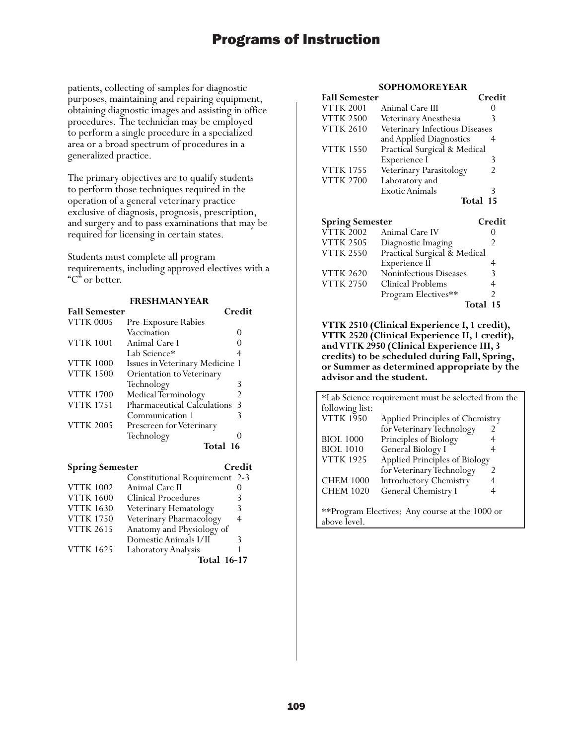patients, collecting of samples for diagnostic purposes, maintaining and repairing equipment, obtaining diagnostic images and assisting in office procedures. The technician may be employed to perform a single procedure in a specialized area or a broad spectrum of procedures in a generalized practice.

The primary objectives are to qualify students to perform those techniques required in the operation of a general veterinary practice exclusive of diagnosis, prognosis, prescription, and surgery and to pass examinations that may be required for licensing in certain states.

Students must complete all program requirements, including approved electives with a "C" or better.

### **FRESHMAN YEAR**

| <b>Fall Semester</b> |                                    | Credit |
|----------------------|------------------------------------|--------|
| <b>VTTK 0005</b>     | Pre-Exposure Rabies                |        |
|                      | Vaccination                        |        |
| <b>VTTK 1001</b>     | Animal Care I                      |        |
|                      | Lab Science*                       |        |
| <b>VTTK 1000</b>     | Issues in Veterinary Medicine 1    |        |
| <b>VTTK 1500</b>     | Orientation to Veterinary          |        |
|                      | Technology                         | 3      |
| <b>VTTK 1700</b>     | Medical Terminology                | 2      |
| <b>VTTK 1751</b>     | <b>Pharmaceutical Calculations</b> | 3      |
|                      | Communication 1                    |        |
| <b>VTTK 2005</b>     | Prescreen for Veterinary           |        |
|                      | Technology                         |        |
|                      | Total 16                           |        |

| <b>Spring Semester</b> |                                | Credit |
|------------------------|--------------------------------|--------|
|                        | Constitutional Requirement 2-3 |        |
| <b>VTTK 1002</b>       | Animal Care II                 |        |
| <b>VTTK 1600</b>       | Clinical Procedures            | 3      |
| <b>VTTK 1630</b>       | Veterinary Hematology          | 3      |
| <b>VTTK 1750</b>       | Veterinary Pharmacology        | 4      |
| <b>VTTK 2615</b>       | Anatomy and Physiology of      |        |
|                        | Domestic Animals I/II          | ζ      |
| <b>VTTK 1625</b>       | Laboratory Analysis            |        |
|                        | <b>Total 16-17</b>             |        |

#### **SOPHOMORE YEAR**

| <b>Fall Semester</b> |                                | Credit |
|----------------------|--------------------------------|--------|
| <b>VTTK 2001</b>     | Animal Care III                |        |
| <b>VTTK 2500</b>     | Veterinary Anesthesia          | 3      |
| <b>VTTK 2610</b>     | Veterinary Infectious Diseases |        |
|                      | and Applied Diagnostics        |        |
| <b>VTTK 1550</b>     | Practical Surgical & Medical   |        |
|                      | Experience I                   | 3      |
| <b>VTTK 1755</b>     | Veterinary Parasitology        | 2      |
| <b>VTTK 2700</b>     | Laboratory and                 |        |
|                      | <b>Exotic Animals</b>          | 3      |
|                      | Total                          | 15     |

| <b>Spring Semester</b> |                              | Credit   |
|------------------------|------------------------------|----------|
| <b>VTTK 2002</b>       | Animal Care IV               |          |
| <b>VTTK 2505</b>       | Diagnostic Imaging           | 2        |
| <b>VTTK 2550</b>       | Practical Surgical & Medical |          |
|                        | Experience II                |          |
| <b>VTTK 2620</b>       | Noninfectious Diseases       | 3        |
| <b>VTTK 2750</b>       | Clinical Problems            |          |
|                        | Program Electives**          | 2        |
|                        |                              | Total 15 |

**VTTK 2510 (Clinical Experience I, 1 credit), VTTK 2520 (Clinical Experience II, 1 credit), and VTTK 2950 (Clinical Experience III, 3 credits) to be scheduled during Fall, Spring, or Summer as determined appropriate by the advisor and the student.**

| *Lab Science requirement must be selected from the |                                 |   |  |
|----------------------------------------------------|---------------------------------|---|--|
| following list:                                    |                                 |   |  |
| <b>VTTK 1950</b>                                   | Applied Principles of Chemistry |   |  |
|                                                    | for Veterinary Technology       |   |  |
| <b>BIOL 1000</b>                                   | Principles of Biology           |   |  |
| <b>BIOL 1010</b>                                   | General Biology I               | 4 |  |
| <b>VTTK 1925</b>                                   | Applied Principles of Biology   |   |  |
|                                                    | for Veterinary Technology       | 2 |  |
| <b>CHEM 1000</b>                                   | <b>Introductory Chemistry</b>   |   |  |
| <b>CHEM 1020</b>                                   | General Chemistry I             |   |  |
|                                                    |                                 |   |  |
| **Program Electives: Any course at the 1000 or     |                                 |   |  |
| above level.                                       |                                 |   |  |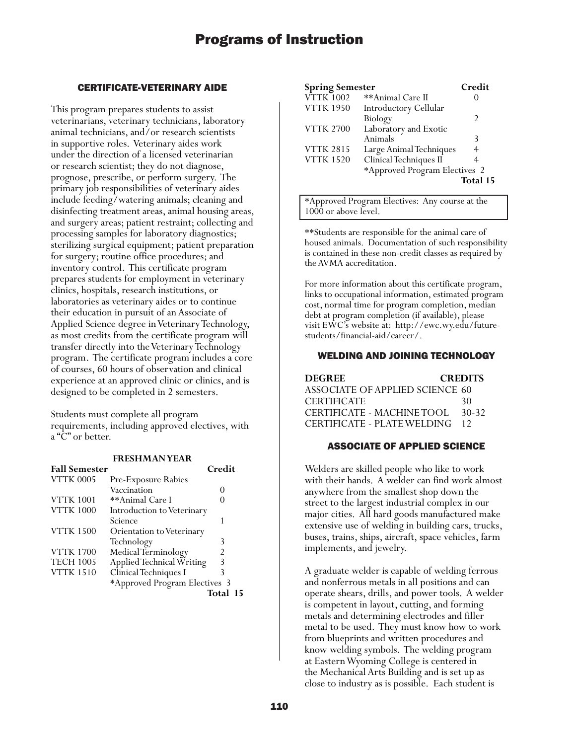## CERTIFICATE-VETERINARY AIDE

This program prepares students to assist veterinarians, veterinary technicians, laboratory animal technicians, and/or research scientists in supportive roles. Veterinary aides work under the direction of a licensed veterinarian or research scientist; they do not diagnose, prognose, prescribe, or perform surgery. The primary job responsibilities of veterinary aides include feeding/watering animals; cleaning and disinfecting treatment areas, animal housing areas, and surgery areas; patient restraint; collecting and processing samples for laboratory diagnostics; sterilizing surgical equipment; patient preparation for surgery; routine office procedures; and inventory control. This certificate program prepares students for employment in veterinary clinics, hospitals, research institutions, or laboratories as veterinary aides or to continue their education in pursuit of an Associate of Applied Science degree in Veterinary Technology, as most credits from the certificate program will transfer directly into the Veterinary Technology program. The certificate program includes a core of courses, 60 hours of observation and clinical experience at an approved clinic or clinics, and is designed to be completed in 2 semesters.

Students must complete all program requirements, including approved electives, with a "C" or better.

## **FRESHMAN YEAR**

| <b>Fall Semester</b> |                                  | Credit         |  |
|----------------------|----------------------------------|----------------|--|
| <b>VTTK 0005</b>     | Pre-Exposure Rabies              |                |  |
|                      | Vaccination                      |                |  |
| <b>VTTK 1001</b>     | **Animal Care I                  |                |  |
| <b>VTTK 1000</b>     | Introduction to Veterinary       |                |  |
|                      | Science                          |                |  |
| <b>VTTK 1500</b>     | <b>Orientation to Veterinary</b> |                |  |
|                      | Technology                       | 3              |  |
| <b>VTTK 1700</b>     | Medical Terminology              | $\mathfrak{D}$ |  |
| <b>TECH 1005</b>     | Applied Technical Writing        | 3              |  |
| <b>VTTK 1510</b>     | Clinical Techniques I            | 3              |  |
|                      | *Approved Program Electives 3    |                |  |
|                      |                                  | Total 15       |  |

| <b>Spring Semester</b> |                               | Credit        |
|------------------------|-------------------------------|---------------|
| <b>VTTK 1002</b>       | **Animal Care II              |               |
| <b>VTTK 1950</b>       | Introductory Cellular         |               |
|                        | Biology                       | $\mathcal{P}$ |
| <b>VTTK 2700</b>       | Laboratory and Exotic         |               |
|                        | Animals                       | 3             |
| <b>VTTK 2815</b>       | Large Animal Techniques       |               |
| <b>VTTK 1520</b>       | Clinical Techniques II        |               |
|                        | *Approved Program Electives 2 |               |
|                        |                               | Total 15      |

\*Approved Program Electives: Any course at the 1000 or above level.

\*\*Students are responsible for the animal care of housed animals. Documentation of such responsibility is contained in these non-credit classes as required by the AVMA accreditation.

For more information about this certificate program, links to occupational information, estimated program cost, normal time for program completion, median debt at program completion (if available), please visit EWC's website at: http://ewc.wy.edu/futurestudents/financial-aid/career/.

## WELDING AND JOINING TECHNOLOGY

| <b>DEGREE</b>                   | <b>CREDITS</b> |
|---------------------------------|----------------|
| ASSOCIATE OF APPLIED SCIENCE 60 |                |
| <b>CERTIFICATE</b>              | 30             |
| CERTIFICATE - MACHINE TOOL      | 30-32          |
| CERTIFICATE - PLATE WELDING     | 12             |

## ASSOCIATE OF APPLIED SCIENCE

Welders are skilled people who like to work with their hands. A welder can find work almost anywhere from the smallest shop down the street to the largest industrial complex in our major cities. All hard goods manufactured make extensive use of welding in building cars, trucks, buses, trains, ships, aircraft, space vehicles, farm implements, and jewelry.

A graduate welder is capable of welding ferrous and nonferrous metals in all positions and can operate shears, drills, and power tools. A welder is competent in layout, cutting, and forming metals and determining electrodes and filler metal to be used. They must know how to work from blueprints and written procedures and know welding symbols. The welding program at Eastern Wyoming College is centered in the Mechanical Arts Building and is set up as close to industry as is possible. Each student is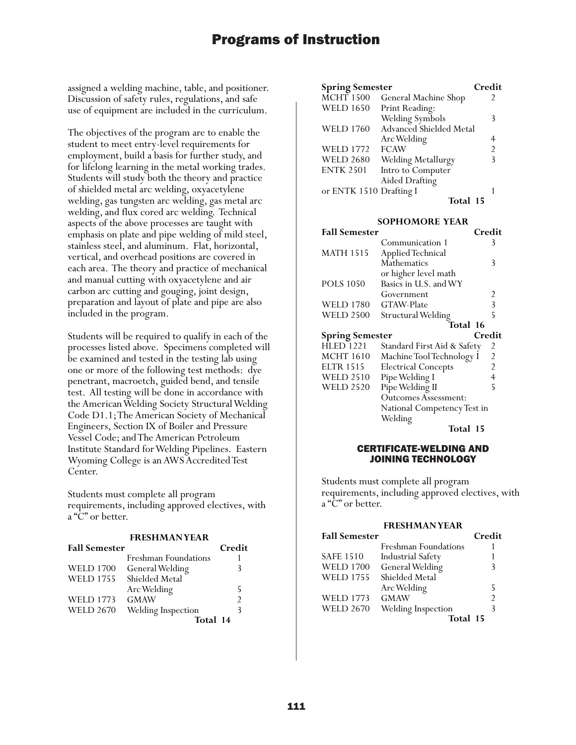assigned a welding machine, table, and positioner. Discussion of safety rules, regulations, and safe use of equipment are included in the curriculum.

The objectives of the program are to enable the student to meet entry-level requirements for employment, build a basis for further study, and for lifelong learning in the metal working trades. Students will study both the theory and practice of shielded metal arc welding, oxyacetylene welding, gas tungsten arc welding, gas metal arc welding, and flux cored arc welding. Technical aspects of the above processes are taught with emphasis on plate and pipe welding of mild steel, stainless steel, and aluminum. Flat, horizontal, vertical, and overhead positions are covered in each area. The theory and practice of mechanical and manual cutting with oxyacetylene and air carbon arc cutting and gouging, joint design, preparation and layout of plate and pipe are also included in the program.

Students will be required to qualify in each of the processes listed above. Specimens completed will be examined and tested in the testing lab using one or more of the following test methods: dye penetrant, macroetch, guided bend, and tensile test. All testing will be done in accordance with the American Welding Society Structural Welding Code D1.1; The American Society of Mechanical Engineers, Section IX of Boiler and Pressure Vessel Code; and The American Petroleum Institute Standard for Welding Pipelines. Eastern Wyoming College is an AWS Accredited Test Center.

Students must complete all program requirements, including approved electives, with a "C" or better.

#### **FRESHMAN YEAR**

| <b>Fall Semester</b> |                      | Credit         |
|----------------------|----------------------|----------------|
|                      | Freshman Foundations |                |
| <b>WELD 1700</b>     | General Welding      | 3              |
| <b>WELD 1755</b>     | Shielded Metal       |                |
|                      | Arc Welding          | 5              |
| <b>WELD 1773</b>     | <b>GMAW</b>          | $\mathfrak{D}$ |
| <b>WELD 2670</b>     | Welding Inspection   | 3              |
|                      | Total 14             |                |

| <b>Spring Semester</b>  |                         | Credit         |
|-------------------------|-------------------------|----------------|
| <b>MCHT 1500</b>        | General Machine Shop    | 2              |
| <b>WELD 1650</b>        | Print Reading:          |                |
|                         | Welding Symbols         | 3              |
| <b>WELD 1760</b>        | Advanced Shielded Metal |                |
|                         | Arc Welding             |                |
| <b>WELD 1772</b>        | <b>FCAW</b>             | $\overline{2}$ |
| <b>WELD 2680</b>        | Welding Metallurgy      | 3              |
| <b>ENTK 2501</b>        | Intro to Computer       |                |
|                         | <b>Aided Drafting</b>   |                |
| or ENTK 1510 Drafting I |                         |                |
|                         | Total 15                |                |

#### **SOPHOMORE YEAR**

| <b>Fall Semester</b>                       |                                                | Credit         |
|--------------------------------------------|------------------------------------------------|----------------|
|                                            | Communication 1                                | 3              |
| <b>MATH 1515</b>                           | Applied Technical                              |                |
|                                            | Mathematics                                    | 3              |
|                                            | or higher level math                           |                |
| <b>POLS 1050</b>                           | Basics in U.S. and WY                          |                |
|                                            | Government                                     | 2              |
| <b>WELD 1780</b>                           | GTAW-Plate                                     | 3              |
| <b>WELD 2500</b>                           | <b>Structural Welding</b>                      | 5              |
|                                            | <b>Total 16</b>                                |                |
|                                            |                                                |                |
|                                            |                                                | Credit         |
| <b>Spring Semester</b><br><b>HLED 1221</b> |                                                | 2              |
| <b>MCHT 1610</b>                           | Standard First Aid & Safety                    | $\overline{c}$ |
| <b>ELTR 1515</b>                           | Machine Tool Technology I                      | $\overline{2}$ |
| <b>WELD 2510</b>                           | <b>Electrical Concepts</b>                     | 4              |
| <b>WELD 2520</b>                           | Pipe Welding I                                 | 5              |
|                                            | Pipe Welding II<br><b>Outcomes Assessment:</b> |                |
|                                            | National Competency Test in                    |                |
|                                            | Welding                                        |                |

#### CERTIFICATE-WELDING AND JOINING TECHNOLOGY

Students must complete all program requirements, including approved electives, with a "C" or better.

#### **FRESHMAN YEAR**

| <b>Fall Semester</b> |                          | Credit         |
|----------------------|--------------------------|----------------|
|                      | Freshman Foundations     |                |
| <b>SAFE 1510</b>     | <b>Industrial Safety</b> |                |
| <b>WELD 1700</b>     | General Welding          | 3              |
| <b>WELD 1755</b>     | Shielded Metal           |                |
|                      | Arc Welding              | 5              |
| <b>WELD 1773</b>     | <b>GMAW</b>              | $\mathfrak{D}$ |
| <b>WELD 2670</b>     | Welding Inspection       | ξ              |
|                      | Total 15                 |                |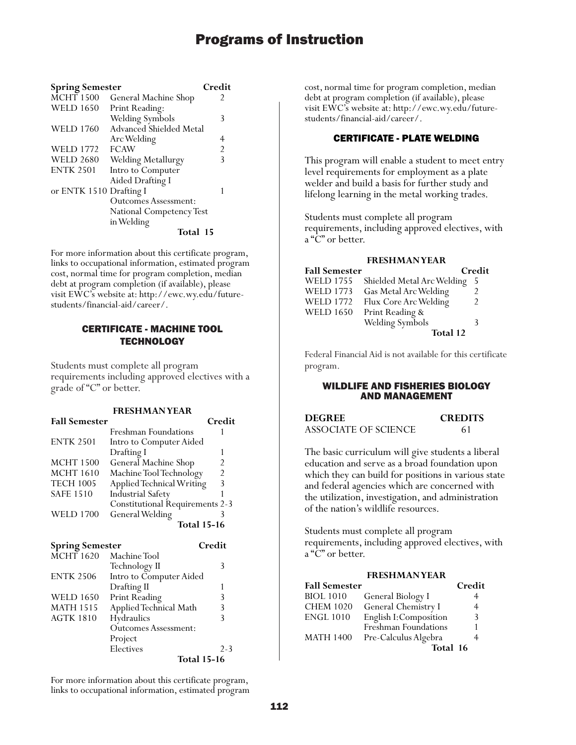| <b>Spring Semester</b>  |                             | Credit                  |
|-------------------------|-----------------------------|-------------------------|
| <b>MCHT 1500</b>        | General Machine Shop        | 2                       |
| <b>WELD 1650</b>        | Print Reading:              |                         |
|                         | Welding Symbols             | 3                       |
| <b>WELD 1760</b>        | Advanced Shielded Metal     |                         |
|                         | Arc Welding                 | 4                       |
| <b>WELD 1772</b>        | <b>FCAW</b>                 | $\overline{2}$          |
| <b>WELD 2680</b>        | Welding Metallurgy          | $\overline{\mathsf{B}}$ |
| <b>ENTK 2501</b>        | Intro to Computer           |                         |
|                         | Aided Drafting I            |                         |
| or ENTK 1510 Drafting I |                             | 1                       |
|                         | <b>Outcomes Assessment:</b> |                         |
|                         | National Competency Test    |                         |
|                         | in Welding                  |                         |
|                         | Total 15                    |                         |

For more information about this certificate program, links to occupational information, estimated program cost, normal time for program completion, median debt at program completion (if available), please visit EWC's website at: http://ewc.wy.edu/futurestudents/financial-aid/career/.

## CERTIFICATE - MACHINE TOOL **TECHNOLOGY**

Students must complete all program requirements including approved electives with a grade of "C" or better.

#### **FRESHMAN YEAR**

| <b>Fall Semester</b> |                                        | Credit |
|----------------------|----------------------------------------|--------|
|                      | Freshman Foundations                   |        |
| <b>ENTK 2501</b>     | Intro to Computer Aided                |        |
|                      | Drafting I                             |        |
| <b>MCHT 1500</b>     | General Machine Shop                   |        |
| <b>MCHT</b> 1610     | Machine Tool Technology                | 2      |
| <b>TECH 1005</b>     | Applied Technical Writing              | 3      |
| <b>SAFE 1510</b>     | <b>Industrial Safety</b>               |        |
|                      | <b>Constitutional Requirements 2-3</b> |        |
| <b>WELD 1700</b>     | General Welding                        |        |
|                      | <b>Total 15-16</b>                     |        |

| <b>Spring Semester</b> |                             | Credit             |
|------------------------|-----------------------------|--------------------|
| <b>MCHT</b> 1620       | Machine Tool                |                    |
|                        | Technology II               | 3                  |
| <b>ENTK 2506</b>       | Intro to Computer Aided     |                    |
|                        | Drafting II                 | 1                  |
| <b>WELD 1650</b>       | Print Reading               | 3                  |
| <b>MATH 1515</b>       | Applied Technical Math      | 3                  |
| <b>AGTK 1810</b>       | Hydraulics                  | ξ                  |
|                        | <b>Outcomes Assessment:</b> |                    |
|                        | Project                     |                    |
|                        | Electives                   | $2 - 3$            |
|                        |                             | <b>Total 15-16</b> |

For more information about this certificate program, links to occupational information, estimated program cost, normal time for program completion, median debt at program completion (if available), please visit EWC's website at: http://ewc.wy.edu/futurestudents/financial-aid/career/.

### CERTIFICATE - PLATE WELDING

This program will enable a student to meet entry level requirements for employment as a plate welder and build a basis for further study and lifelong learning in the metal working trades.

Students must complete all program requirements, including approved electives, with a "C" or better.

#### **FRESHMAN YEAR**

| <b>Fall Semester</b> |                            | Credit |
|----------------------|----------------------------|--------|
| <b>WELD 1755</b>     | Shielded Metal Arc Welding | -5     |
| <b>WELD 1773</b>     | Gas Metal Arc Welding      |        |
| <b>WELD 1772</b>     | Flux Core Arc Welding      |        |
| <b>WELD 1650</b>     | Print Reading &            |        |
|                      | Welding Symbols            | 3      |
|                      | Total 12                   |        |

Federal Financial Aid is not available for this certificate program.

#### WILDLIFE AND FISHERIES BIOLOGY AND MANAGEMENT

| <b>DEGREE</b>        | <b>CREDITS</b> |
|----------------------|----------------|
| ASSOCIATE OF SCIENCE | 61             |

The basic curriculum will give students a liberal education and serve as a broad foundation upon which they can build for positions in various state and federal agencies which are concerned with the utilization, investigation, and administration of the nation's wildlife resources.

Students must complete all program requirements, including approved electives, with a "C" or better.

## **FRESHMAN YEAR**

| <b>Fall Semester</b> |                        | Credit |
|----------------------|------------------------|--------|
| <b>BIOL 1010</b>     | General Biology I      | 4      |
| <b>CHEM 1020</b>     | General Chemistry I    | 4      |
| <b>ENGL 1010</b>     | English I: Composition | 3      |
|                      | Freshman Foundations   |        |
| <b>MATH 1400</b>     | Pre-Calculus Algebra   |        |
|                      | Total 16               |        |